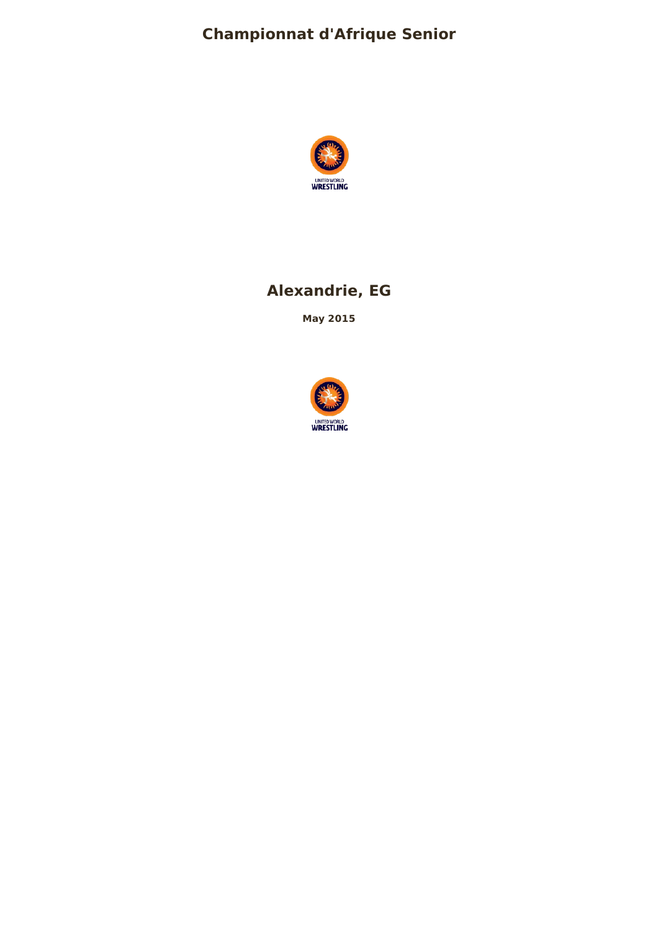# **Championnat d'Afrique Senior**



# **Alexandrie, EG**

**May 2015**

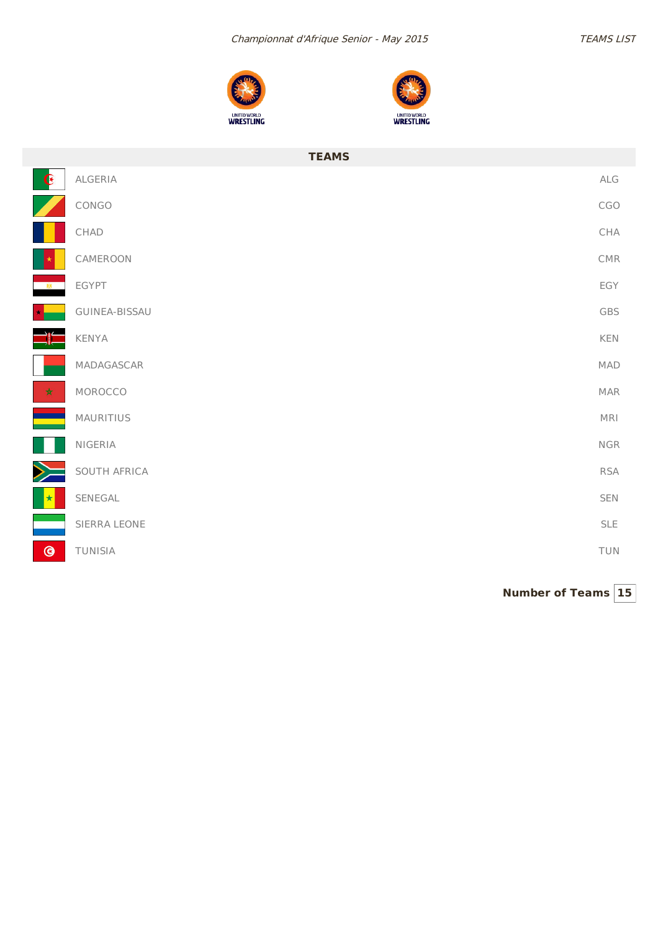



|                | <b>TEAMS</b>    |                       |
|----------------|-----------------|-----------------------|
| $\mathbf{G}$   | ALGERIA         | $\mathsf{ALG}\xspace$ |
|                | CONGO           | CGO                   |
|                | $\mathsf{CHAD}$ | CHA                   |
|                | CAMEROON        | CMR                   |
|                | EGYPT           | EGY                   |
|                | GUINEA-BISSAU   | GBS                   |
|                | KENYA           | KEN                   |
|                | MADAGASCAR      | MAD                   |
| $\star$        | MOROCCO         | <b>MAR</b>            |
|                | MAURITIUS       | MRI                   |
|                | NIGERIA         | <b>NGR</b>            |
|                | SOUTH AFRICA    | <b>RSA</b>            |
|                | SENEGAL         | SEN                   |
|                | SIERRA LEONE    | <b>SLE</b>            |
| $\circledcirc$ | TUNISIA         | TUN                   |

**Number of Teams 15**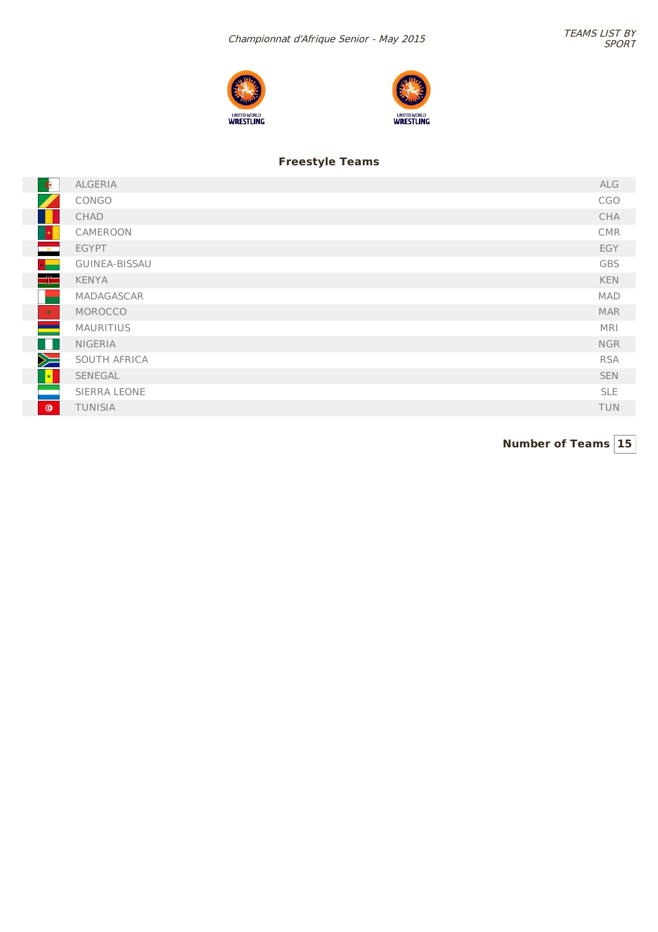



### **Freestyle Teams**

| $\bullet$                | ALGERIA              | ALG        |
|--------------------------|----------------------|------------|
|                          | CONGO                | <b>CGO</b> |
|                          | CHAD                 | CHA        |
|                          | CAMEROON             | <b>CMR</b> |
| $-8$                     | <b>EGYPT</b>         | EGY        |
| $\star$                  | <b>GUINEA-BISSAU</b> | <b>GBS</b> |
| $\Rightarrow$            | <b>KENYA</b>         | <b>KEN</b> |
|                          | MADAGASCAR           | <b>MAD</b> |
| 大                        | MOROCCO              | <b>MAR</b> |
| <b>The Second</b>        | <b>MAURITIUS</b>     | <b>MRI</b> |
| H.                       | <b>NIGERIA</b>       | <b>NGR</b> |
| $\searrow$               | SOUTH AFRICA         | <b>RSA</b> |
| $\left\  \cdot \right\ $ | SENEGAL              | <b>SEN</b> |
| e en                     | SIERRA LEONE         | <b>SLE</b> |
| $\circledcirc$           | <b>TUNISIA</b>       | <b>TUN</b> |

**Number of Teams 15**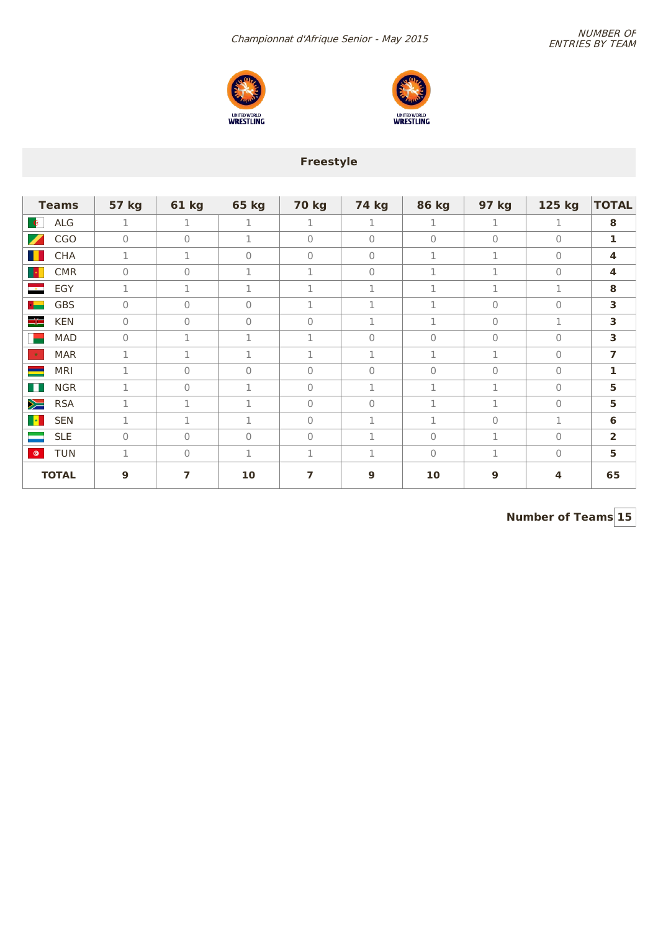NUMBER OF<br>Numbionnat d'Afrique Senior - May 2015





## **Freestyle**

| <b>Teams</b>                           | <b>57 kg</b>   | <b>61 kg</b>   | <b>65 kg</b> | <b>70 kg</b> | <b>74 kg</b>   | <b>86 kg</b>   | 97 kg     | 125 kg       | <b>TOTAL</b>            |
|----------------------------------------|----------------|----------------|--------------|--------------|----------------|----------------|-----------|--------------|-------------------------|
| ALG<br>$\mathbf{e}$                    | $\mathbf 1$    | 1              | $\mathbf 1$  | $\mathbf{1}$ | 1              | $\mathbf{1}$   | 1         | $\mathbf{1}$ | 8                       |
| $\overline{\mathscr{L}}$<br><b>CGO</b> | $\mathbf{0}$   | $\overline{0}$ | $\mathbf{1}$ | $\Omega$     | $\overline{0}$ | $\overline{0}$ | $\bigcap$ | $\Omega$     | 1                       |
| H<br><b>CHA</b>                        | 1              | 1              | 0            | $\mathbf{0}$ | $\mathbf 0$    | 1              | 1         | $\Omega$     | $\overline{\mathbf{4}}$ |
| H.<br><b>CMR</b>                       | $\mathbf 0$    | $\Omega$       | 1            | 1            | $\mathbf{0}$   | 1              | 1         | $\mathbf{0}$ | 4                       |
| <u>e a</u><br>EGY                      | 1              | 1              | 1            | $\mathbf 1$  | 1              | 1              | 1         | 1            | 8                       |
| <b>GBS</b><br>$\star$ $-$              | $\overline{0}$ | $\Omega$       | $\Omega$     | $\mathbf 1$  | $\mathbf 1$    | 1              | $\bigcap$ | $\Omega$     | 3                       |
| ≡⊫<br><b>KEN</b>                       | $\mathbf{0}$   | $\Omega$       | $\Omega$     | $\Omega$     | $\mathbf 1$    | 1              | $\Omega$  | 1            | 3                       |
| <b>MAD</b>                             | $\mathbf{0}$   | 1              | 1            | 1            | $\mathbf{0}$   | $\mathbf{0}$   | $\Omega$  | $\Omega$     | 3                       |
| <b>MAR</b><br>大                        | 1              | 1              | 1            | 1            | 1              | 1              | 1         | $\Omega$     | $\overline{7}$          |
| <b>MRI</b><br>▀                        | 1              | $\mathbf{0}$   | $\mathbf{0}$ | $\Omega$     | $\overline{0}$ | $\mathbf{0}$   | $\Omega$  | $\Omega$     | 1                       |
| <b>NGR</b><br>H                        | 1              | $\Omega$       | $\mathbf 1$  | $\Omega$     | $\mathbf 1$    | 1              | 1         | $\Omega$     | 5                       |
| Ň<br><b>RSA</b>                        | $\mathbf{1}$   | 1              | $\mathbf{1}$ | $\Omega$     | $\overline{0}$ | 1              | 1         | $\bigcap$    | 5                       |
| $\left\  \cdot \right\ $<br><b>SEN</b> | 1              | 1              | 1            | $\mathbf{0}$ | 1              | 1              | $\Omega$  | 1            | 6                       |
| <b>SLE</b>                             | $\mathbf{0}$   | $\Omega$       | $\mathbf{0}$ | $\mathbf{0}$ | $\mathbf 1$    | $\overline{0}$ | 1         | $\Omega$     | $\overline{2}$          |
| <b>TUN</b><br>$\bullet$                | 1              | $\Omega$       | 1            | 1            | 1              | $\mathbf{0}$   | 1         | $\mathbf{0}$ | 5                       |
| <b>TOTAL</b>                           | 9              | 7              | 10           | 7            | 9              | 10             | 9         | 4            | 65                      |

**Number of Teams 15**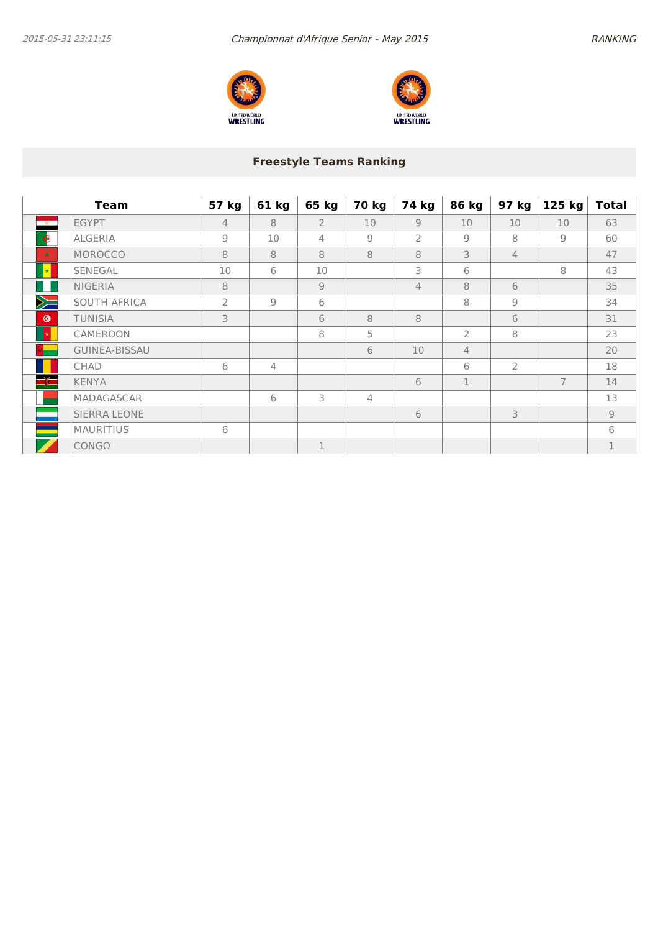



## **Freestyle Teams Ranking**

|                     | <b>Team</b>          | 57 kg          | 61 kg          | 65 kg          | 70 kg          | 74 kg          | 86 kg          | 97 kg          | 125 kg         | <b>Total</b>  |
|---------------------|----------------------|----------------|----------------|----------------|----------------|----------------|----------------|----------------|----------------|---------------|
| $-88$               | <b>EGYPT</b>         | $\overline{4}$ | 8              | $\overline{2}$ | 10             | $\overline{9}$ | 10             | 10             | 10             | 63            |
| $\bullet$           | <b>ALGERIA</b>       | $\overline{9}$ | 10             | $\overline{4}$ | $\overline{9}$ | $\overline{2}$ | $\overline{9}$ | 8              | $\overline{9}$ | 60            |
| 大                   | MOROCCO              | 8              | 8              | 8              | 8              | 8              | 3              | $\overline{4}$ |                | 47            |
| $\vert \star \vert$ | SENEGAL              | 10             | 6              | 10             |                | 3              | 6              |                | 8              | 43            |
| FFI                 | <b>NIGERIA</b>       | 8              |                | $\overline{9}$ |                | $\overline{4}$ | 8              | 6              |                | 35            |
| $\searrow$          | SOUTH AFRICA         | $\overline{2}$ | $\overline{9}$ | 6              |                |                | 8              | 9              |                | 34            |
| $\circledcirc$      | <b>TUNISIA</b>       | 3              |                | 6              | 8              | 8              |                | 6              |                | 31            |
| 图                   | CAMEROON             |                |                | 8              | 5              |                | $\overline{2}$ | 8              |                | 23            |
|                     | <b>GUINEA-BISSAU</b> |                |                |                | 6              | 10             | $\overline{4}$ |                |                | 20            |
|                     | <b>CHAD</b>          | 6              | $\overline{4}$ |                |                |                | 6              | $\overline{2}$ |                | 18            |
| $\Rightarrow$       | <b>KENYA</b>         |                |                |                |                | 6              | 1              |                | 7              | 14            |
|                     | MADAGASCAR           |                | 6              | 3              | $\overline{4}$ |                |                |                |                | 13            |
|                     | <b>SIERRA LEONE</b>  |                |                |                |                | 6              |                | 3              |                | $\mathcal{G}$ |
|                     | <b>MAURITIUS</b>     | 6              |                |                |                |                |                |                |                | 6             |
|                     | CONGO                |                |                | 1              |                |                |                |                |                | $\mathbf 1$   |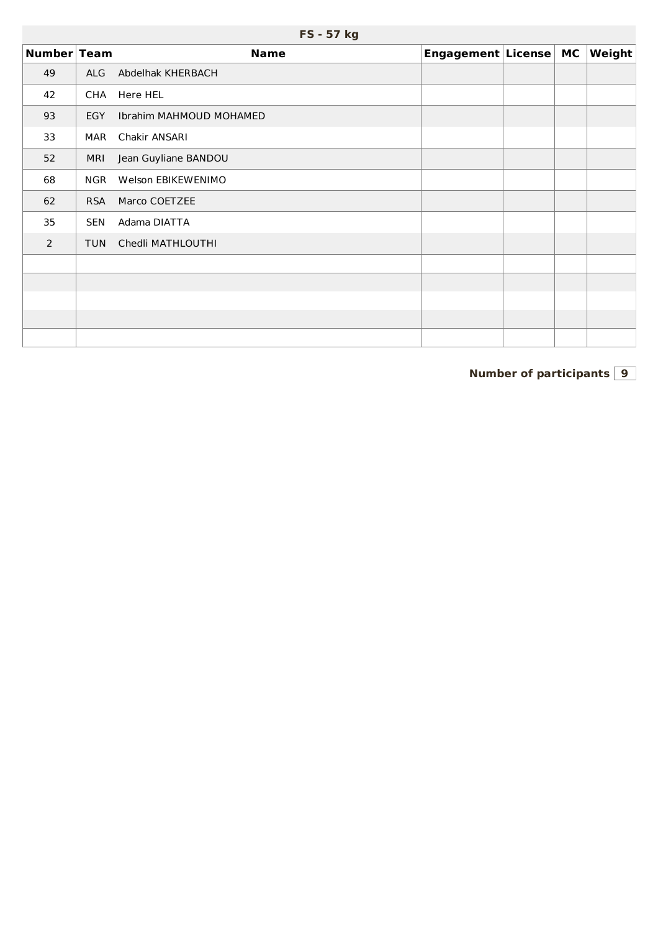|             | FS - 57 kg |                         |                       |  |  |        |  |  |  |  |  |  |
|-------------|------------|-------------------------|-----------------------|--|--|--------|--|--|--|--|--|--|
| Number Team |            | <b>Name</b>             | Engagement License MC |  |  | Weight |  |  |  |  |  |  |
| 49          | ALG        | Abdelhak KHERBACH       |                       |  |  |        |  |  |  |  |  |  |
| 42          | CHA        | Here HEL                |                       |  |  |        |  |  |  |  |  |  |
| 93          | EGY        | Ibrahim MAHMOUD MOHAMED |                       |  |  |        |  |  |  |  |  |  |
| 33          | MAR        | Chakir ANSARI           |                       |  |  |        |  |  |  |  |  |  |
| 52          | <b>MRI</b> | Jean Guyliane BANDOU    |                       |  |  |        |  |  |  |  |  |  |
| 68          | <b>NGR</b> | Welson EBIKEWENIMO      |                       |  |  |        |  |  |  |  |  |  |
| 62          | <b>RSA</b> | Marco COETZEE           |                       |  |  |        |  |  |  |  |  |  |
| 35          | <b>SEN</b> | Adama DIATTA            |                       |  |  |        |  |  |  |  |  |  |
| 2           | <b>TUN</b> | Chedli MATHLOUTHI       |                       |  |  |        |  |  |  |  |  |  |
|             |            |                         |                       |  |  |        |  |  |  |  |  |  |
|             |            |                         |                       |  |  |        |  |  |  |  |  |  |
|             |            |                         |                       |  |  |        |  |  |  |  |  |  |
|             |            |                         |                       |  |  |        |  |  |  |  |  |  |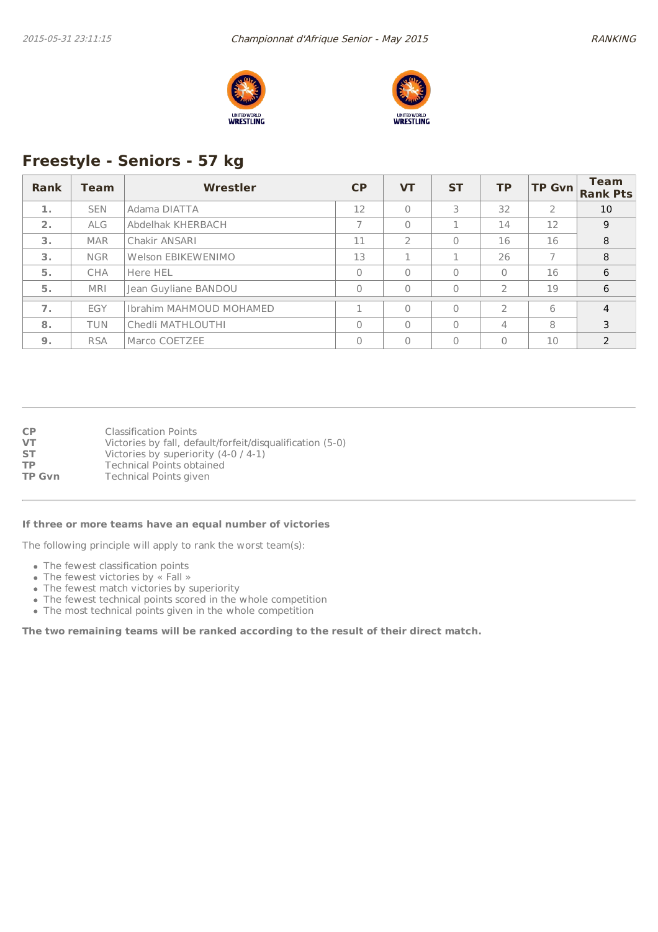



## **Freestyle - Seniors - 57 kg**

| Rank | Team       | Wrestler                | <b>CP</b> | <b>VT</b>     | <b>ST</b> | <b>TP</b>      | <b>TP Gvn</b> | <b>Team</b><br><b>Rank Pts</b> |
|------|------------|-------------------------|-----------|---------------|-----------|----------------|---------------|--------------------------------|
| 1.   | <b>SEN</b> | Adama DIATTA            | 12        |               | 3         | 32             | $\mathcal{P}$ | 10                             |
| 2.   | <b>ALG</b> | Abdelhak KHERBACH       |           | $\Omega$      |           | 14             | 12            | 9                              |
| 3.   | <b>MAR</b> | Chakir ANSARI           | 11        | $\mathcal{P}$ | $\Omega$  | 16             | 16            | 8                              |
| 3.   | <b>NGR</b> | Welson EBIKEWENIMO      | 13        |               |           | 26             |               | 8                              |
| 5.   | CHA        | Here HEL                | O         | $\bigcap$     | $\Omega$  | $\Omega$       | 16            | 6                              |
| 5.   | <b>MRI</b> | Jean Guyliane BANDOU    | 0         | $\Omega$      | $\Omega$  | $\overline{2}$ | 19            | 6                              |
| 7.   | EGY        | Ibrahim MAHMOUD MOHAMED |           | $\Omega$      | $\Omega$  | $\overline{2}$ | 6             | $\overline{4}$                 |
| 8.   | <b>TUN</b> | Chedli MATHLOUTHI       | $\Omega$  | $\Omega$      | $\Omega$  | 4              | 8             | 3                              |
| 9.   | <b>RSA</b> | Marco COETZEE           | 0         | $\bigcap$     | $\Omega$  | $\Omega$       | 10            | $\mathcal{P}$                  |

**CP** Classification Points<br> **VT** Victories by fall, def **VT** Victories by fall, default/forfeit/disqualification (5-0)<br>**ST** Victories by superiority (4-0 / 4-1) Victories by superiority (4-0 / 4-1) **TP** Technical Points obtained<br> **TP Gvn** Technical Points given **Technical Points given** 

#### **If three or more teams have an equal number of victories**

The following principle will apply to rank the worst team(s):

- The fewest classification points
- The fewest victories by « Fall »
- The fewest match victories by superiority
- The fewest technical points scored in the whole competition
- The most technical points given in the whole competition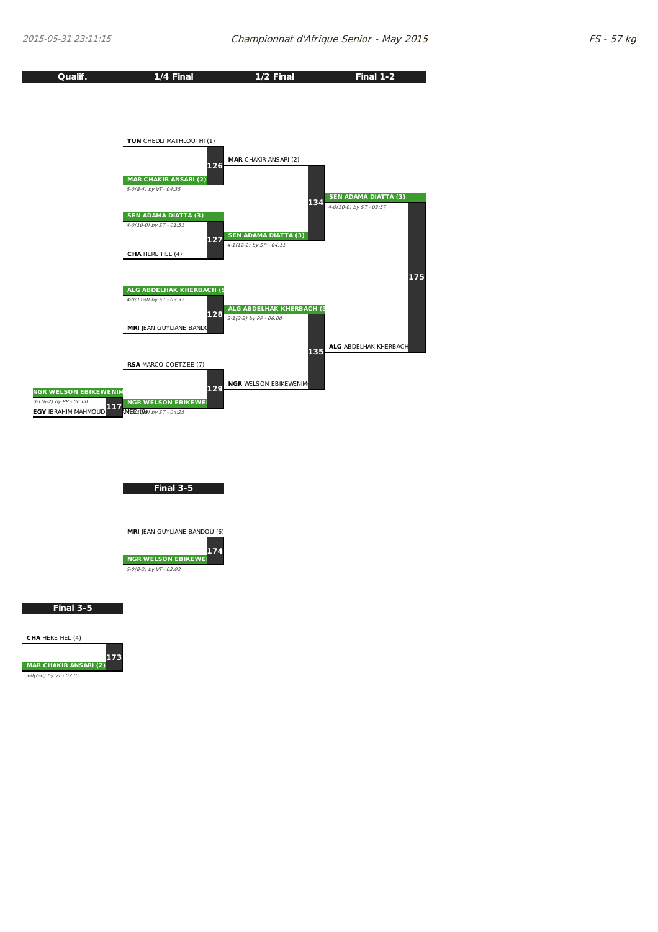| Qualif.                         | 1/4 Final                      | 1/2 Final                                                   | Final 1-2                                              |
|---------------------------------|--------------------------------|-------------------------------------------------------------|--------------------------------------------------------|
|                                 |                                |                                                             |                                                        |
|                                 |                                |                                                             |                                                        |
|                                 |                                |                                                             |                                                        |
|                                 |                                |                                                             |                                                        |
|                                 |                                |                                                             |                                                        |
|                                 | TUN CHEDLI MATHLOUTHI (1)      |                                                             |                                                        |
|                                 |                                | <b>MAR</b> CHAKIR ANSARI (2)                                |                                                        |
|                                 | 126                            |                                                             |                                                        |
|                                 | <b>MAR CHAKIR ANSARI (2)</b>   |                                                             |                                                        |
|                                 | 5-0(8-4) by VT - 04:35         |                                                             |                                                        |
|                                 |                                | 134                                                         | <b>SEN ADAMA DIATTA (3)</b><br>4-0(10-0) by ST - 03:57 |
|                                 | <b>SEN ADAMA DIATTA (3)</b>    |                                                             |                                                        |
|                                 | 4-0(10-0) by ST - 01:51        |                                                             |                                                        |
|                                 | 127                            | <b>SEN ADAMA DIATTA (3)</b>                                 |                                                        |
|                                 |                                | 4-1(12-2) by SP - 04:11                                     |                                                        |
|                                 | CHA HERE HEL (4)               |                                                             |                                                        |
|                                 |                                |                                                             |                                                        |
|                                 |                                |                                                             | 175                                                    |
|                                 | ALG ABDELHAK KHERBACH (5       |                                                             |                                                        |
|                                 | 4-0(11-0) by ST - 03:37        |                                                             |                                                        |
|                                 | 128                            | <b>ALG ABDELHAK KHERBACH (5</b><br>$3-1(3-2)$ by PP - 06:00 |                                                        |
|                                 | <b>MRI</b> JEAN GUYLIANE BANDO |                                                             |                                                        |
|                                 |                                |                                                             |                                                        |
|                                 |                                | 135                                                         | ALG ABDELHAK KHERBACH                                  |
|                                 |                                |                                                             |                                                        |
|                                 | <b>RSA MARCO COETZEE (7)</b>   |                                                             |                                                        |
|                                 |                                | <b>NGR WELSON EBIKEWENIM</b>                                |                                                        |
| <b>NGR WELSON EBIKEWENIM</b>    | 129                            |                                                             |                                                        |
| $3-1(6-2)$ by PP - 06:00<br>117 | <b>NGR WELSON EBIKEWEI</b>     |                                                             |                                                        |
| <b>EGY IBRAHIM MAHMOUD</b>      | <b>MED100</b> ) by ST - 04:25  |                                                             |                                                        |





**Final 3-5**

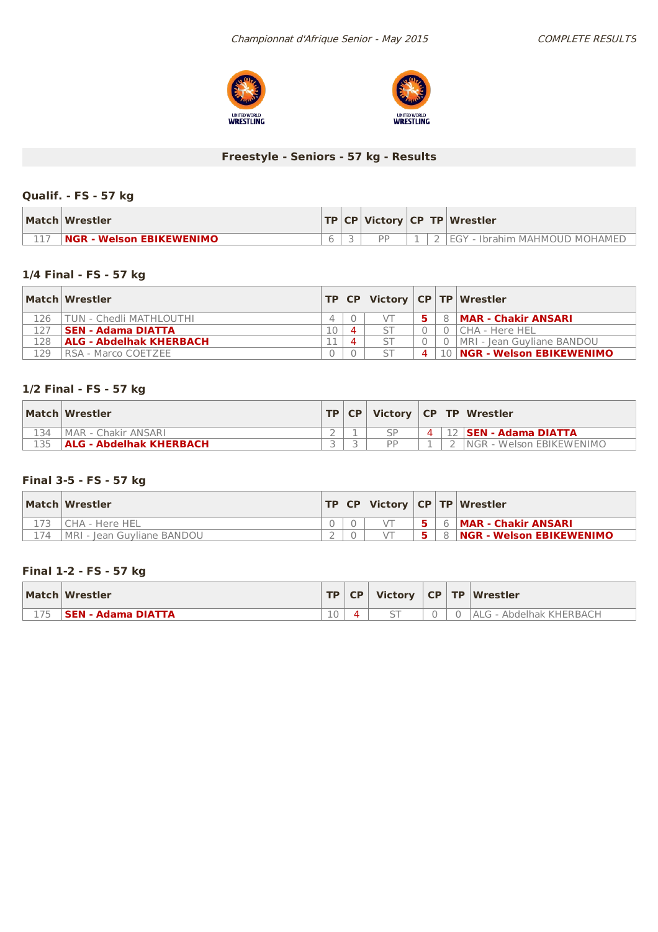



## **Freestyle - Seniors - 57 kg - Results**

### **Qualif. - FS - 57 kg**

| Match Wrestler                   |  |  | $ TP CP $ Victory $ CP TP $ Wrestler |
|----------------------------------|--|--|--------------------------------------|
| <b>INGR - Welson EBIKEWENIMO</b> |  |  | . FGY<br>' - Ibrahim MAHMOUD MOHAMED |

### **1/4 Final - FS - 57 kg**

|     | Match Wrestler              |    |          |                    | TP   CP   Victor   CP   TP   Wrestler |
|-----|-----------------------------|----|----------|--------------------|---------------------------------------|
| 126 | TUN - Chedli MATHLOUTHI     |    |          |                    | 8   MAR - Chakir ANSARI               |
| 127 | <b>SEN - Adama DIATTA</b>   | 10 | $\Delta$ |                    | l CHA - Here HFL                      |
| L28 | ALG - Abdelhak KHERBACH     |    | Δ        |                    | MRI - Jean Guyliane BANDOU            |
| 129 | <b>IRSA - Marco COETZEE</b> |    |          | $\mathbf{\Lambda}$ | 10 <b>NGR - Welson EBIKEWENIMO</b>    |

### **1/2 Final - FS - 57 kg**

|     | Match Wrestler                 | TP CP |    |  | Victory   CP   TP   Wrestler  |
|-----|--------------------------------|-------|----|--|-------------------------------|
| 134 | MAR - Chakir ANSARI            |       |    |  | $4$   12   SEN - Adama DIATTA |
|     | <b>ALG - Abdelhak KHERBACH</b> |       | DD |  | INGR - Welson EBIKEWENIMO     |

### **Final 3-5 - FS - 57 kg**

|     | Match Wrestler              |  |  | <b>TP CP Victory CP TP Wrestler</b> |
|-----|-----------------------------|--|--|-------------------------------------|
|     | l CHA - Here HEL            |  |  | 6 <b>MAR - Chakir ANSARI</b>        |
| 174 | IMRI - Iean Guvliane BANDOU |  |  | 8 <b>NGR - Welson EBIKEWENIMO</b>   |

### **Final 1-2 - FS - 57 kg**

| Match Wrestler            |    |  |  | TP   CP   Victory   CP   TP   Wrestler |
|---------------------------|----|--|--|----------------------------------------|
| <b>SEN - Adama DIATTA</b> | 10 |  |  | LALG - Abdelhak KHERBACH               |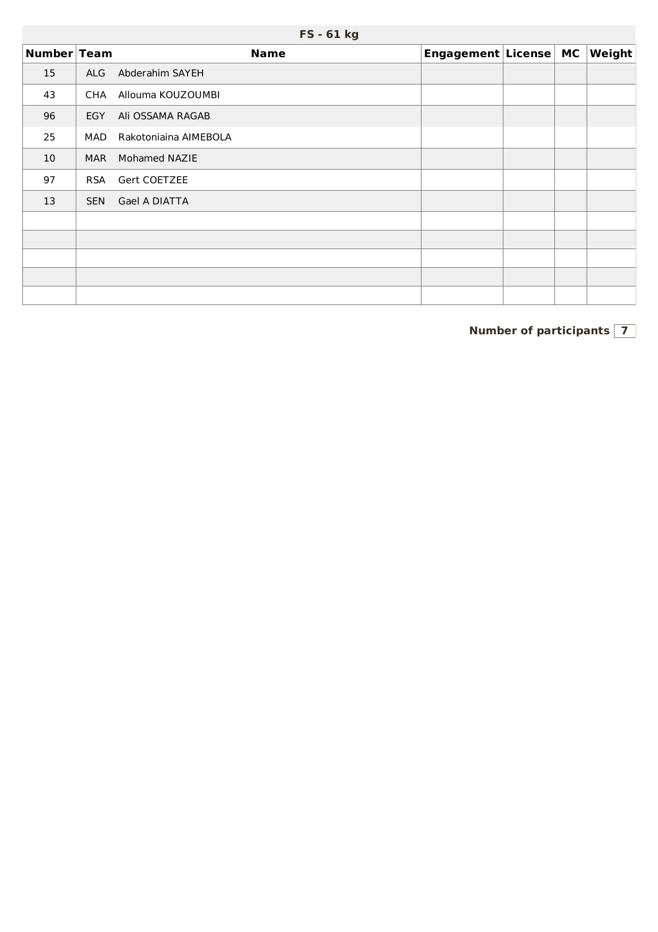|             | FS - 61 kg |                       |                       |  |  |        |  |  |  |  |  |
|-------------|------------|-----------------------|-----------------------|--|--|--------|--|--|--|--|--|
| Number Team |            | <b>Name</b>           | Engagement License MC |  |  | Weight |  |  |  |  |  |
| 15          | <b>ALG</b> | Abderahim SAYEH       |                       |  |  |        |  |  |  |  |  |
| 43          | CHA        | Allouma KOUZOUMBI     |                       |  |  |        |  |  |  |  |  |
| 96          | <b>EGY</b> | Ali OSSAMA RAGAB      |                       |  |  |        |  |  |  |  |  |
| 25          | MAD        | Rakotoniaina AIMEBOLA |                       |  |  |        |  |  |  |  |  |
| 10          | <b>MAR</b> | Mohamed NAZIE         |                       |  |  |        |  |  |  |  |  |
| 97          | <b>RSA</b> | Gert COETZEE          |                       |  |  |        |  |  |  |  |  |
| 13          | <b>SEN</b> | Gael A DIATTA         |                       |  |  |        |  |  |  |  |  |
|             |            |                       |                       |  |  |        |  |  |  |  |  |
|             |            |                       |                       |  |  |        |  |  |  |  |  |
|             |            |                       |                       |  |  |        |  |  |  |  |  |
|             |            |                       |                       |  |  |        |  |  |  |  |  |
|             |            |                       |                       |  |  |        |  |  |  |  |  |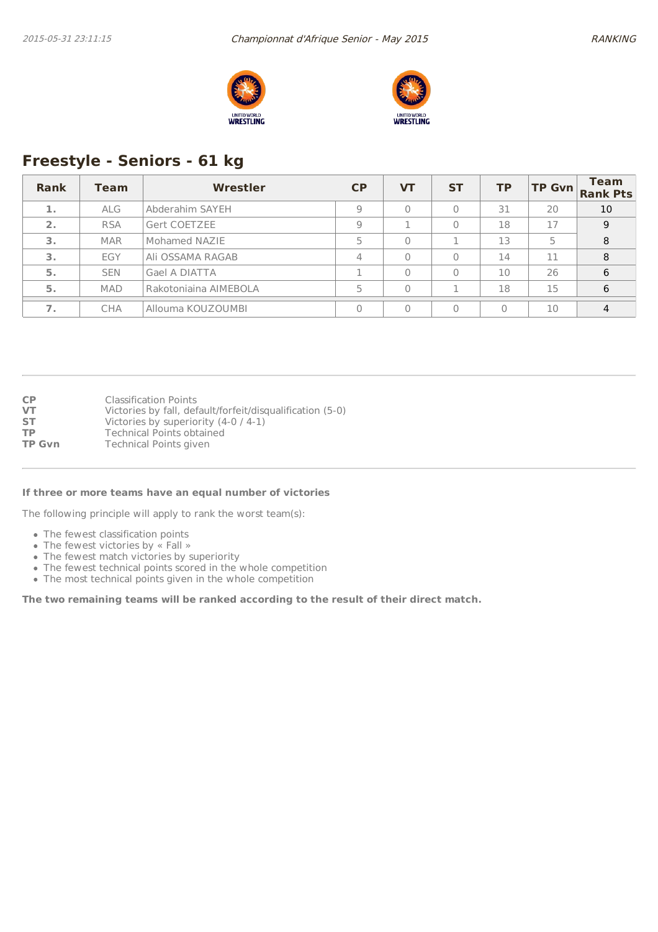



# **Freestyle - Seniors - 61 kg**

| Rank | Team       | Wrestler              | <b>CP</b> | VТ       | <b>ST</b> | <b>TP</b> | <b>TP Gvn</b> | <b>Team</b><br><b>Rank Pts</b> |
|------|------------|-----------------------|-----------|----------|-----------|-----------|---------------|--------------------------------|
| 1.   | <b>ALG</b> | Abderahim SAYEH       | 9         | $\Omega$ | 0         | 31        | 20            | 10                             |
| 2.   | <b>RSA</b> | Gert COETZEE          | 9         |          | 0         | 18        | 17            | 9                              |
| 3.   | <b>MAR</b> | Mohamed NAZIE         | 5         | $\Omega$ |           | 13        | 5             | 8                              |
| 3.   | EGY        | Ali OSSAMA RAGAB      | 4         | $\Omega$ | 0         | 14        | 11            | 8                              |
| 5.   | <b>SEN</b> | Gael A DIATTA         |           | $\Omega$ | 0         | 10        | 26            | 6                              |
| 5.   | <b>MAD</b> | Rakotoniaina AIMEBOLA |           | $\Omega$ |           | 18        | 15            | 6                              |
| 7.   | <b>CHA</b> | Allouma KOUZOUMBI     |           | $\Omega$ | 0         | $\Omega$  | 10            | 4                              |

| CP<br>VT      | <b>Classification Points</b><br>Victories by fall, default/forfeit/disqualification (5-0) |
|---------------|-------------------------------------------------------------------------------------------|
| SТ            | Victories by superiority $(4-0/4-1)$                                                      |
| ТP            | <b>Technical Points obtained</b>                                                          |
| <b>TP Gvn</b> | <b>Technical Points given</b>                                                             |

#### **If three or more teams have an equal number of victories**

The following principle will apply to rank the worst team(s):

- The fewest classification points
- The fewest victories by « Fall »
- The fewest match victories by superiority
- The fewest technical points scored in the whole competition
- The most technical points given in the whole competition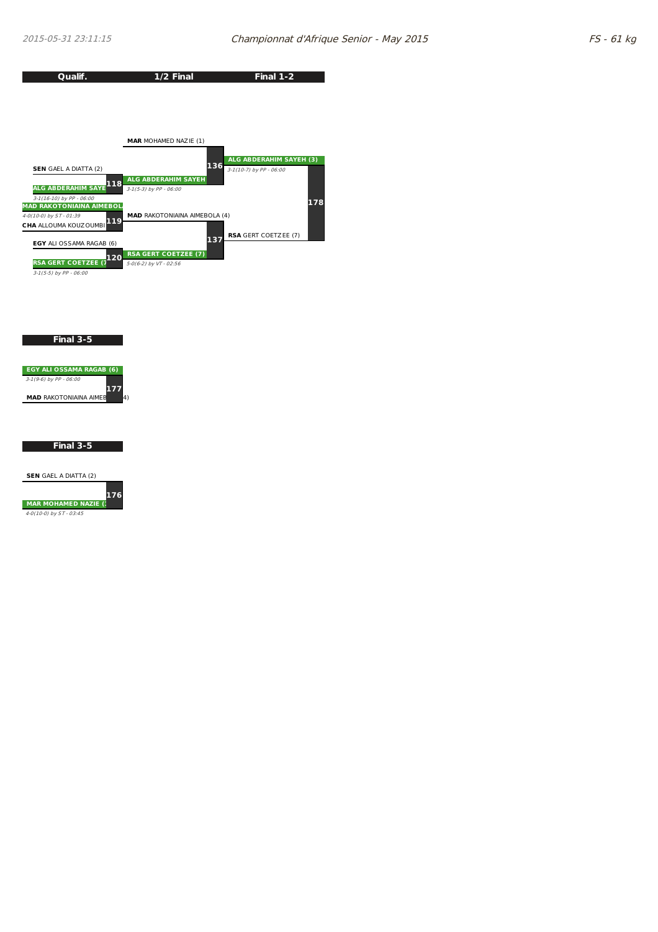

**Final 3-5**



#### **Final 3-5**

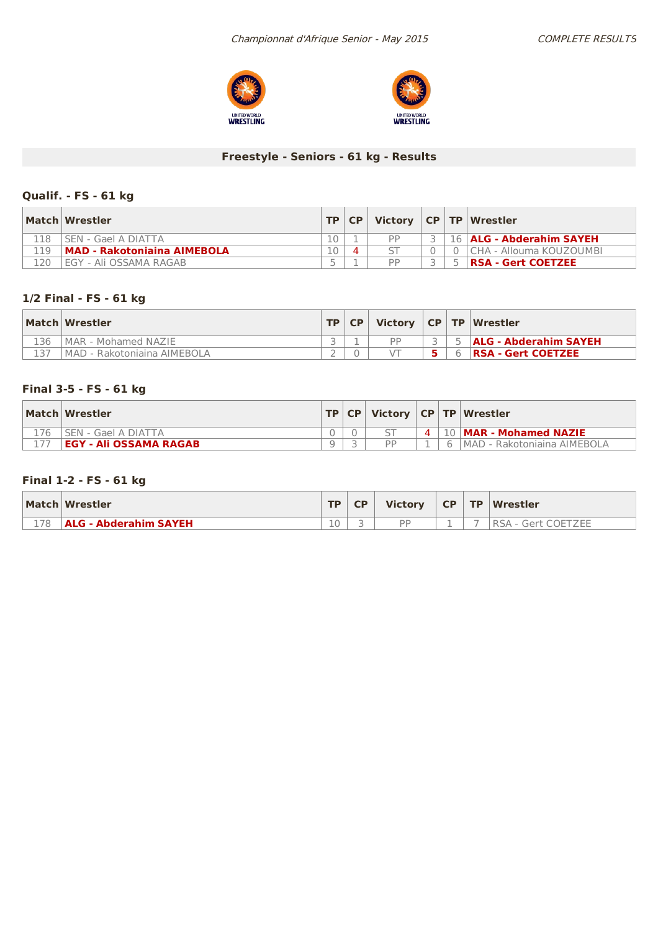



## **Freestyle - Seniors - 61 kg - Results**

### **Qualif. - FS - 61 kg**

|     | Match Wrestler                     | TP | CP | Victory   CP   TP   Wrestler |  |                            |
|-----|------------------------------------|----|----|------------------------------|--|----------------------------|
| 18  | SEN - Gael A DIATTA                |    |    | DD                           |  | 16   ALG - Abderahim SAYEH |
| 19  | <b>MAD - Rakotoniaina AIMEBOLA</b> | 10 |    |                              |  | l CHA - Allouma KOUZOUMBI  |
| 120 | EGY - Ali OSSAMA RAGAB             |    |    | DD                           |  | RSA - Gert COETZEE         |

### **1/2 Final - FS - 61 kg**

|     | Match Wrestler               | TP | <b>CP</b> |    |  | Victory $ CP TP Wrestler$    |
|-----|------------------------------|----|-----------|----|--|------------------------------|
| 136 | IMAR - Mohamed NAZIE         |    |           | DD |  | <b>ALG - Abderahim SAYEH</b> |
|     | IMAD - Rakotoniaina AIMEBOLA |    |           |    |  | RSA - Gert COETZEE           |

### **Final 3-5 - FS - 61 kg**

| Match Wrestler                |  |  | TP   CP   Victory   CP   TP   Wrestler |
|-------------------------------|--|--|----------------------------------------|
| l SEN - Gael A DIATTA         |  |  | 4   10   MAR - Mohamed NAZIE           |
| <b>EGY - Ali OSSAMA RAGAB</b> |  |  | 6   MAD - Rakotoniaina AIMEBOLA        |

### **Final 1-2 - FS - 61 kg**

|     | Match Wrestler               | <b>TD</b> | CP. | <b>Victory</b> | CP | <b>TP Wrestler</b>                |
|-----|------------------------------|-----------|-----|----------------|----|-----------------------------------|
| 178 | <b>ALG - Abderahim SAYEH</b> | 10        |     | <b>DD</b>      |    | <b>Gert COETZEE</b><br><b>RSA</b> |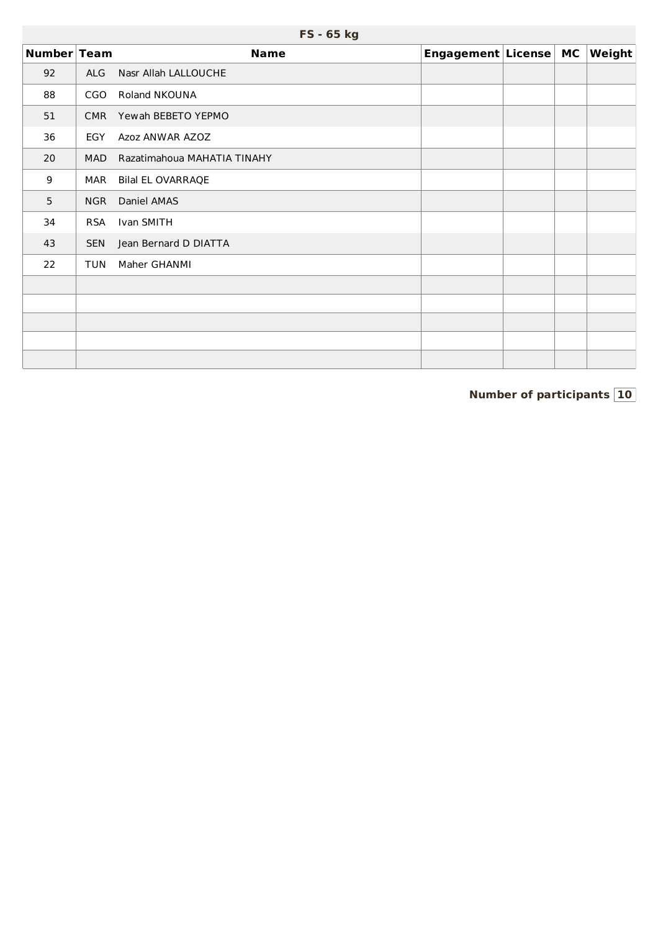|                  | FS - 65 kg |                             |                       |  |  |        |  |  |  |  |
|------------------|------------|-----------------------------|-----------------------|--|--|--------|--|--|--|--|
| Number Team      |            | <b>Name</b>                 | Engagement License MC |  |  | Weight |  |  |  |  |
| 92               | <b>ALG</b> | Nasr Allah LALLOUCHE        |                       |  |  |        |  |  |  |  |
| 88               | CGO        | <b>Roland NKOUNA</b>        |                       |  |  |        |  |  |  |  |
| 51               | <b>CMR</b> | Yewah BEBETO YEPMO          |                       |  |  |        |  |  |  |  |
| 36               | <b>EGY</b> | Azoz ANWAR AZOZ             |                       |  |  |        |  |  |  |  |
| 20               | MAD        | Razatimahoua MAHATIA TINAHY |                       |  |  |        |  |  |  |  |
| $\boldsymbol{9}$ | MAR        | <b>Bilal EL OVARRAQE</b>    |                       |  |  |        |  |  |  |  |
| 5                | <b>NGR</b> | Daniel AMAS                 |                       |  |  |        |  |  |  |  |
| 34               | <b>RSA</b> | Ivan SMITH                  |                       |  |  |        |  |  |  |  |
| 43               | <b>SEN</b> | Jean Bernard D DIATTA       |                       |  |  |        |  |  |  |  |
| 22               | <b>TUN</b> | Maher GHANMI                |                       |  |  |        |  |  |  |  |
|                  |            |                             |                       |  |  |        |  |  |  |  |
|                  |            |                             |                       |  |  |        |  |  |  |  |
|                  |            |                             |                       |  |  |        |  |  |  |  |
|                  |            |                             |                       |  |  |        |  |  |  |  |
|                  |            |                             |                       |  |  |        |  |  |  |  |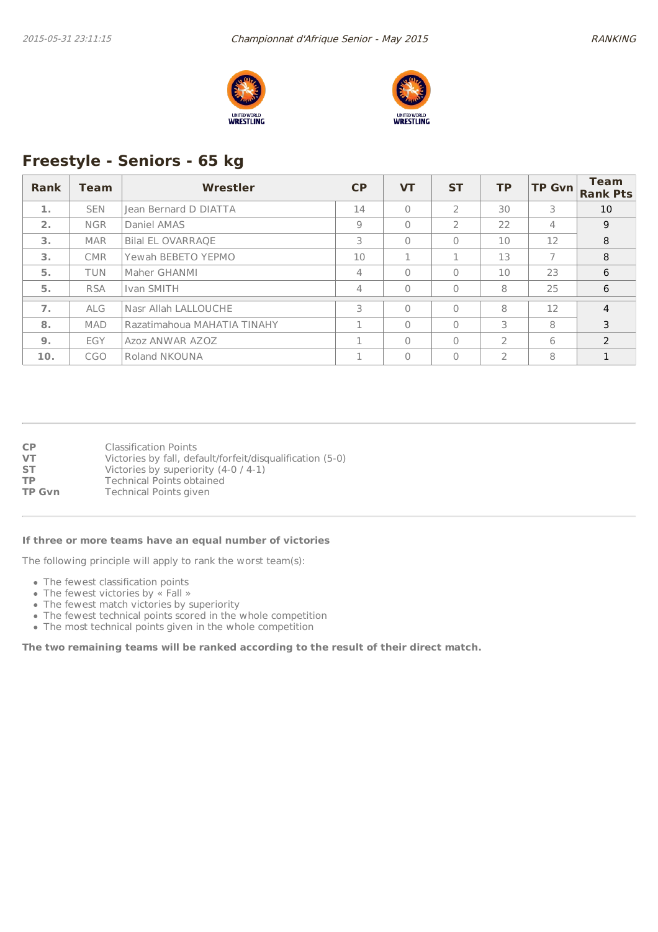



# **Freestyle - Seniors - 65 kg**

| <b>Rank</b> | <b>Team</b> | Wrestler                    | <b>CP</b> | <b>VT</b> | <b>ST</b>      | <b>TP</b>      | <b>TP Gvn</b>  | <b>Team</b><br><b>Rank Pts</b> |
|-------------|-------------|-----------------------------|-----------|-----------|----------------|----------------|----------------|--------------------------------|
| 1.          | <b>SEN</b>  | Jean Bernard D DIATTA       | 14        | $\Omega$  | $\overline{2}$ | 30             | 3              | 10                             |
| 2.          | <b>NGR</b>  | Daniel AMAS                 | 9         | $\Omega$  | $\overline{2}$ | 22             | $\overline{4}$ | 9                              |
| 3.          | <b>MAR</b>  | <b>Bilal EL OVARRAQE</b>    | 3         | $\Omega$  | $\Omega$       | 10             | 12             | 8                              |
| 3.          | <b>CMR</b>  | Yewah BEBETO YEPMO          | 10        | 1         |                | 13             | 7              | 8                              |
| 5.          | <b>TUN</b>  | Maher GHANMI                | 4         | $\Omega$  | $\Omega$       | 10             | 23             | 6                              |
| 5.          | <b>RSA</b>  | Ivan SMITH                  | 4         | $\Omega$  | $\Omega$       | 8              | 25             | 6                              |
| 7.          | <b>ALG</b>  | Nasr Allah LALLOUCHE        | 3         | $\Omega$  | $\Omega$       | 8              | 12             | $\overline{4}$                 |
| 8.          | <b>MAD</b>  | Razatimahoua MAHATIA TINAHY |           | $\Omega$  | $\Omega$       | 3              | 8              | 3                              |
| 9.          | EGY         | Azoz ANWAR AZOZ             | п.        | $\Omega$  | $\Omega$       | $\mathcal{P}$  | 6              | $\mathcal{P}$                  |
| 10.         | CGO         | Roland NKOUNA               |           | $\Omega$  | $\Omega$       | $\overline{2}$ | 8              |                                |

| СP     | <b>Classification Points</b>                              |
|--------|-----------------------------------------------------------|
| VT     | Victories by fall, default/forfeit/disqualification (5-0) |
| SТ     | Victories by superiority $(4-0/4-1)$                      |
| ТP     | <b>Technical Points obtained</b>                          |
| TP Gvn | Technical Points given                                    |

#### **If three or more teams have an equal number of victories**

The following principle will apply to rank the worst team(s):

- The fewest classification points
- The fewest victories by « Fall »
- The fewest match victories by superiority
- The fewest technical points scored in the whole competition
- The most technical points given in the whole competition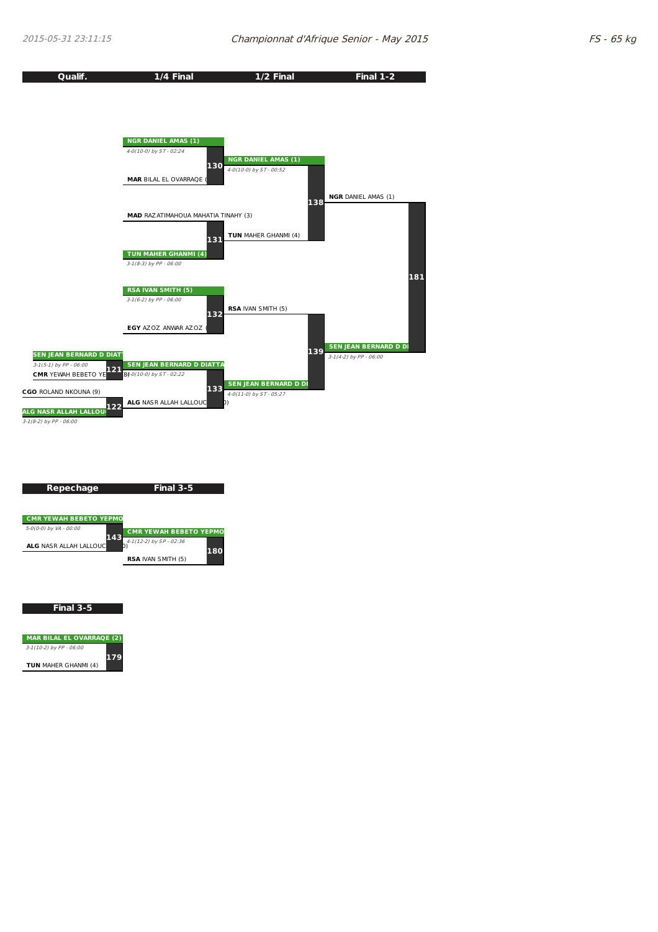



| <b>MAR BILAL EL OVARRAOE (2)</b> |     |
|----------------------------------|-----|
| $3-1(10-2)$ by PP - 06:00        |     |
| <b>TUN MAHER GHANMI (4)</b>      | 179 |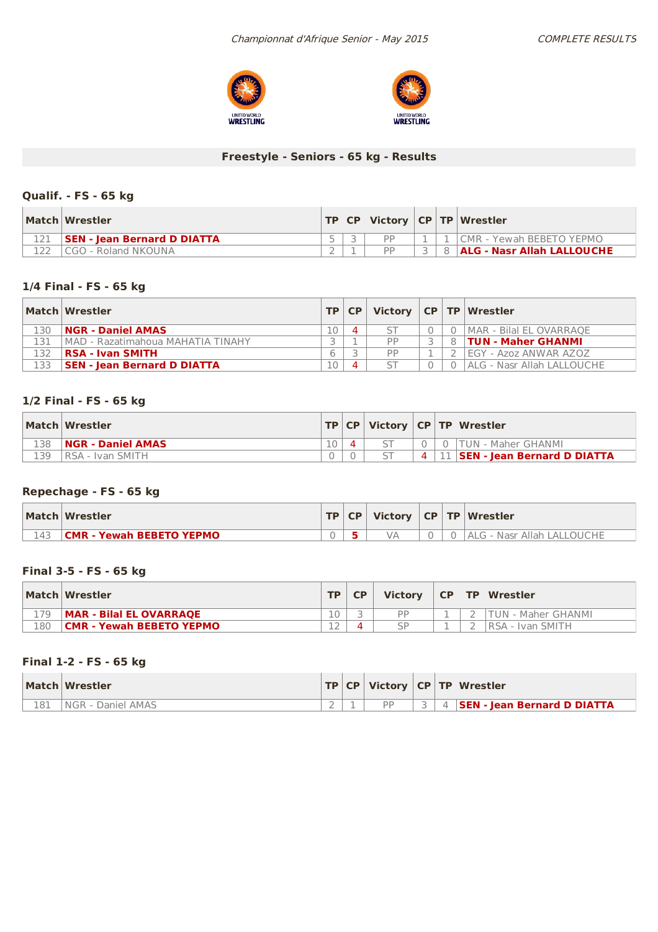



### **Freestyle - Seniors - 65 kg - Results**

### **Qualif. - FS - 65 kg**

| Match Wrestler                     |  |           |  | TP   CP   Victory   CP   TP   Wrestler |
|------------------------------------|--|-----------|--|----------------------------------------|
| <b>SEN - Jean Bernard D DIATTA</b> |  | <b>DD</b> |  | ICMR - Yewah BEBETO YEPMO              |
| CGO - Roland NKOUNA                |  | DD        |  | 8 ALG - Nasr Allah LALLOUCHE           |

### **1/4 Final - FS - 65 kg**

|     | Match Wrestler                     |    | TP   CP |           |  | Victory $ CP TP $ Wrestler |
|-----|------------------------------------|----|---------|-----------|--|----------------------------|
| 130 | <b>NGR - Daniel AMAS</b>           | 10 |         |           |  | MAR - Bilal EL OVARRAOE    |
| 131 | MAD - Razatimahoua MAHATIA TINAHY  |    |         | <b>DD</b> |  | <b>TUN - Maher GHANMI</b>  |
| 132 | RSA - Ivan SMITH                   | 6  |         | <b>DD</b> |  | IEGY - Azoz ANWAR AZOZ     |
| 133 | <b>SEN - Jean Bernard D DIATTA</b> | 10 |         |           |  | ALG - Nasr Allah LALLOUCHE |

### **1/2 Final - FS - 65 kg**

|     | Match Wrestler           |  |                | <b>TP CP Victory CP TP Wrestler</b> |
|-----|--------------------------|--|----------------|-------------------------------------|
| 138 | <b>NGR - Daniel AMAS</b> |  |                | 0   TUN - Maher GHANMI              |
| 139 | IRSA - Ivan SMITH        |  | $\overline{4}$ | 11   SEN - Jean Bernard D DIATTA    |

### **Repechage - FS - 65 kg**

|     | Match Wrestler                  |  |  | <b>TP CP Victory CP TP Wrestler</b> |
|-----|---------------------------------|--|--|-------------------------------------|
| 143 | <b>CMR - Yewah BEBETO YEPMO</b> |  |  | <b>ALG - Nasr Allah LALLOUCHE</b>   |

### **Final 3-5 - FS - 65 kg**

|     | Match Wrestler                  | <b>TD</b> | <b>Victory</b>        | CP | <b>TP Wrestler</b> |
|-----|---------------------------------|-----------|-----------------------|----|--------------------|
| 179 | MAR - Bilal EL OVARRAQE         | 10        | <b>D</b> <sub>D</sub> |    | TUN - Maher GHANMI |
| 180 | <b>CMR - Yewah BEBETO YEPMO</b> | $\sim$    | ςp                    |    | IRSA - Ivan SMITH  |

#### **Final 1-2 - FS - 65 kg**

|     | Match Wrestler    |  |  | $ TP CP $ Victory $ CP TP $ Wrestler |
|-----|-------------------|--|--|--------------------------------------|
| 181 | NGR - Daniel AMAS |  |  | 4 <b>SEN - Jean Bernard D DIATTA</b> |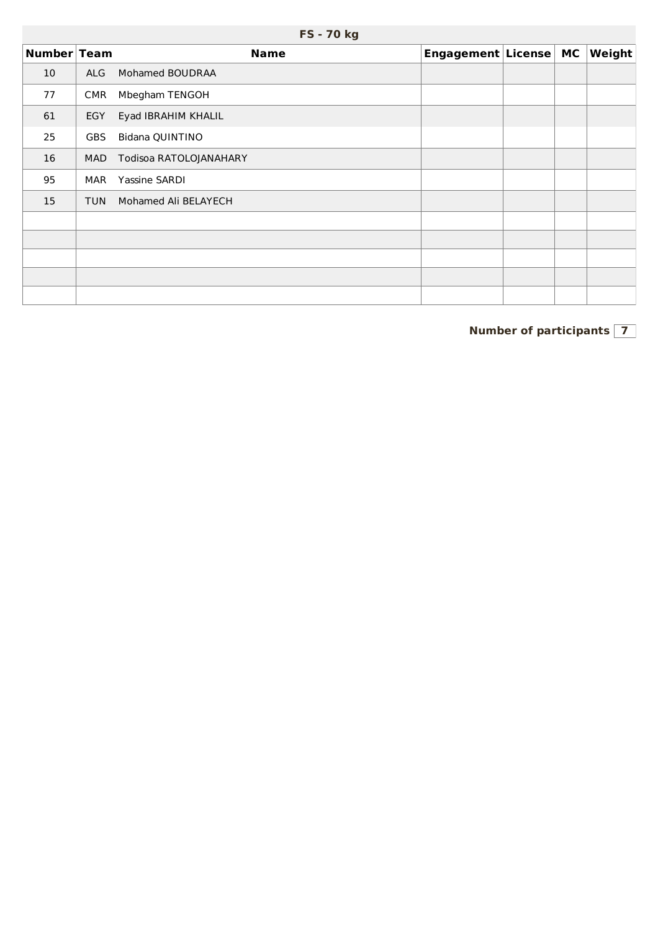|             | <b>FS-70 kg</b> |                        |                       |  |  |        |  |  |  |  |  |  |
|-------------|-----------------|------------------------|-----------------------|--|--|--------|--|--|--|--|--|--|
| Number Team |                 | <b>Name</b>            | Engagement License MC |  |  | Weight |  |  |  |  |  |  |
| 10          | <b>ALG</b>      | Mohamed BOUDRAA        |                       |  |  |        |  |  |  |  |  |  |
| 77          | CMR             | Mbegham TENGOH         |                       |  |  |        |  |  |  |  |  |  |
| 61          | <b>EGY</b>      | Eyad IBRAHIM KHALIL    |                       |  |  |        |  |  |  |  |  |  |
| 25          | <b>GBS</b>      | Bidana QUINTINO        |                       |  |  |        |  |  |  |  |  |  |
| 16          | <b>MAD</b>      | Todisoa RATOLOJANAHARY |                       |  |  |        |  |  |  |  |  |  |
| 95          | MAR             | Yassine SARDI          |                       |  |  |        |  |  |  |  |  |  |
| 15          | <b>TUN</b>      | Mohamed Ali BELAYECH   |                       |  |  |        |  |  |  |  |  |  |
|             |                 |                        |                       |  |  |        |  |  |  |  |  |  |
|             |                 |                        |                       |  |  |        |  |  |  |  |  |  |
|             |                 |                        |                       |  |  |        |  |  |  |  |  |  |
|             |                 |                        |                       |  |  |        |  |  |  |  |  |  |
|             |                 |                        |                       |  |  |        |  |  |  |  |  |  |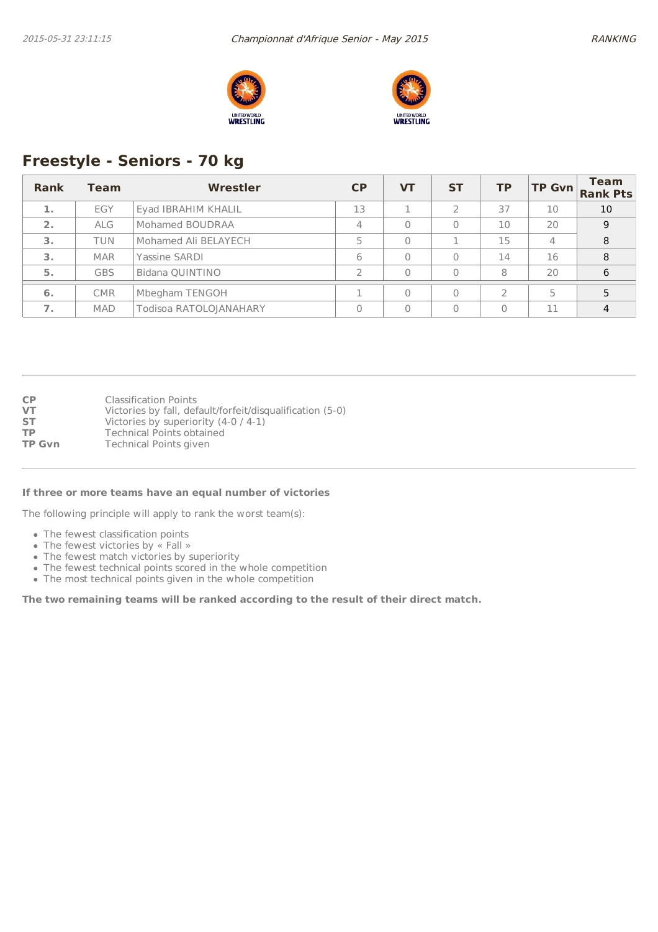



# **Freestyle - Seniors - 70 kg**

| Rank | <b>Team</b> | Wrestler               | CP | <b>VT</b> | <b>ST</b> | <b>TP</b>     | <b>TP Gvn</b>  | Team<br><b>Rank Pts</b> |
|------|-------------|------------------------|----|-----------|-----------|---------------|----------------|-------------------------|
| 1.   | EGY         | Eyad IBRAHIM KHALIL    | 13 |           |           | 37            | 10             | 10                      |
| 2.   | <b>ALG</b>  | Mohamed BOUDRAA        | 4  | $\Omega$  | 0         | 10            | 20             | 9                       |
| 3.   | <b>TUN</b>  | Mohamed Ali BELAYECH   | 5  | $\Omega$  |           | 15            | $\overline{4}$ | 8                       |
| 3.   | <b>MAR</b>  | Yassine SARDI          | 6  | $\bigcap$ | $\Omega$  | 14            | 16             | 8                       |
| 5.   | <b>GBS</b>  | Bidana QUINTINO        |    |           | $\Omega$  | 8             | 20             | 6                       |
| 6.   | <b>CMR</b>  | Mbegham TENGOH         |    |           | $\Omega$  | $\mathcal{P}$ | 5              |                         |
| 7.   | <b>MAD</b>  | Todisoa RATOLOJANAHARY | 0  | $\Omega$  | $\Omega$  | $\Omega$      | 11             | 4                       |

| <b>CP</b>     | <b>Classification Points</b>                              |
|---------------|-----------------------------------------------------------|
| VT            | Victories by fall, default/forfeit/disqualification (5-0) |
| <b>ST</b>     | Victories by superiority $(4-0/4-1)$                      |
| ТP            | <b>Technical Points obtained</b>                          |
| <b>TP Gvn</b> | Technical Points given                                    |

#### **If three or more teams have an equal number of victories**

The following principle will apply to rank the worst team(s):

- The fewest classification points
- The fewest victories by « Fall »
- The fewest match victories by superiority
- The fewest technical points scored in the whole competition
- The most technical points given in the whole competition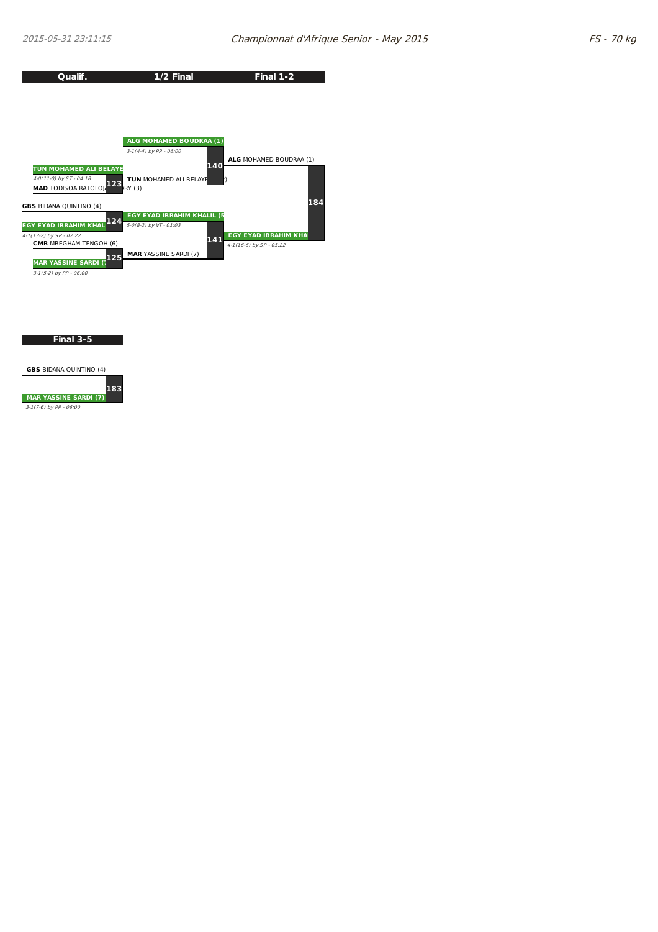

**Final 3-5**

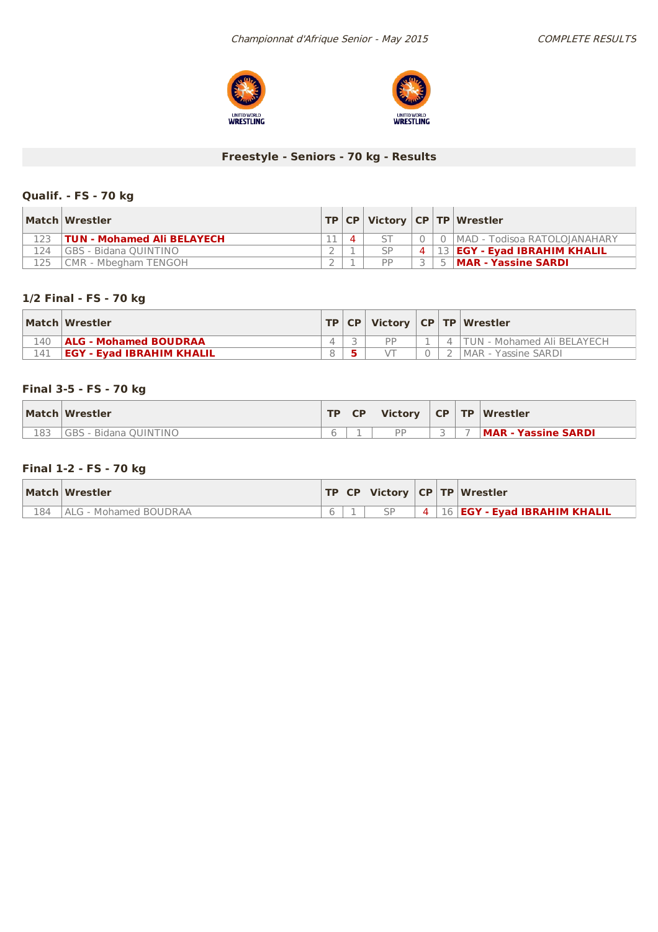



## **Freestyle - Seniors - 70 kg - Results**

### **Qualif. - FS - 70 kg**

|      | Match Wrestler                    |   |               |  | TP   CP   Victory   CP   TP   Wrestler     |
|------|-----------------------------------|---|---------------|--|--------------------------------------------|
|      | <b>TUN - Mohamed Ali BELAYECH</b> | Δ |               |  | 0   MAD - Todisoa RATOLOIANAHARY           |
| 124  | <b>IGBS - Bidana QUINTINO</b>     |   | $\varsigma_P$ |  | $4 \mid 13 \mid$ EGY - Eyad IBRAHIM KHALIL |
| 125. | CMR - Mbegham TENGOH              |   | <b>DD</b>     |  | 5   MAR - Yassine SARDI                    |

### **1/2 Final - FS - 70 kg**

|     | Match Wrestler                   |  |  | TP   CP   Victory   CP   TP   Wrestler |
|-----|----------------------------------|--|--|----------------------------------------|
| 140 | <b>ALG - Mohamed BOUDRAA</b>     |  |  | TUN - Mohamed Ali BELAYECH             |
| 141 | <b>EGY - Evad IBRAHIM KHALIL</b> |  |  | MAR - Yassine SARDI                    |

### **Final 3-5 - FS - 70 kg**

|     | Match Wrestler        | <b>TP</b> | <b>CP</b> | Victory   |  | CP TP Wrestler      |
|-----|-----------------------|-----------|-----------|-----------|--|---------------------|
| 183 | GBS - Bidana OUINTINO |           |           | <b>DD</b> |  | MAR - Yassine SARDI |

### **Final 1-2 - FS - 70 kg**

|     | Match Wrestler                |  |           | <b>TP CP Victory CP TP Wrestler</b> |
|-----|-------------------------------|--|-----------|-------------------------------------|
| 184 | <b>IALG - Mohamed BOUDRAA</b> |  | $\vert$ 4 | <b>16 EGY - Evad IBRAHIM KHALIL</b> |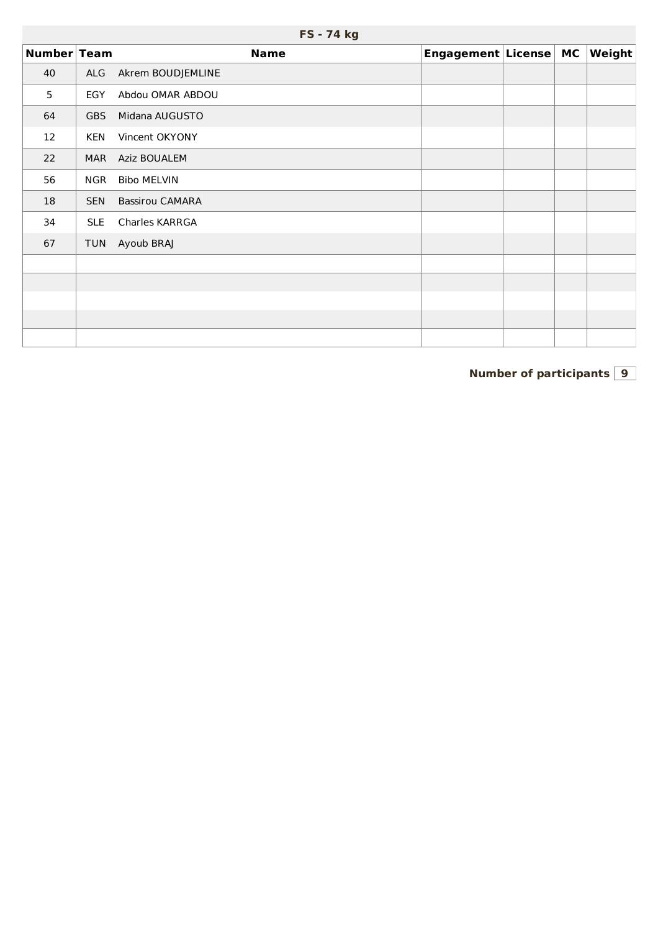|             | FS - 74 kg |                        |                       |  |  |        |  |  |
|-------------|------------|------------------------|-----------------------|--|--|--------|--|--|
| Number Team |            | <b>Name</b>            | Engagement License MC |  |  | Weight |  |  |
| 40          | ALG        | Akrem BOUDJEMLINE      |                       |  |  |        |  |  |
| 5           | EGY        | Abdou OMAR ABDOU       |                       |  |  |        |  |  |
| 64          | <b>GBS</b> | Midana AUGUSTO         |                       |  |  |        |  |  |
| 12          | <b>KEN</b> | Vincent OKYONY         |                       |  |  |        |  |  |
| 22          | <b>MAR</b> | Aziz BOUALEM           |                       |  |  |        |  |  |
| 56          | <b>NGR</b> | <b>Bibo MELVIN</b>     |                       |  |  |        |  |  |
| 18          | <b>SEN</b> | <b>Bassirou CAMARA</b> |                       |  |  |        |  |  |
| 34          | <b>SLE</b> | Charles KARRGA         |                       |  |  |        |  |  |
| 67          | <b>TUN</b> | Ayoub BRAJ             |                       |  |  |        |  |  |
|             |            |                        |                       |  |  |        |  |  |
|             |            |                        |                       |  |  |        |  |  |
|             |            |                        |                       |  |  |        |  |  |
|             |            |                        |                       |  |  |        |  |  |
|             |            |                        |                       |  |  |        |  |  |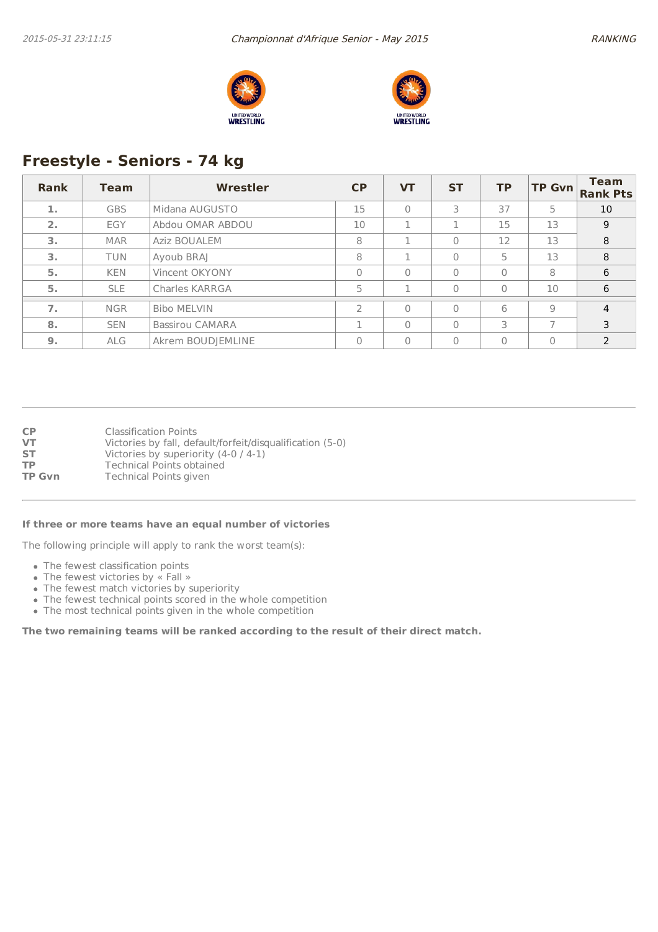



# **Freestyle - Seniors - 74 kg**

| Rank | Team       | Wrestler               | <b>CP</b>     | <b>VT</b> | <b>ST</b> | <b>TP</b>      | <b>TP Gvn</b> | <b>Team</b><br><b>Rank Pts</b> |
|------|------------|------------------------|---------------|-----------|-----------|----------------|---------------|--------------------------------|
| 1.   | <b>GBS</b> | Midana AUGUSTO         | 15            | $\Omega$  | 3         | 37             | 5             | 10                             |
| 2.   | EGY        | Abdou OMAR ABDOU       | 10            |           |           | 15             | 13            | 9                              |
| 3.   | <b>MAR</b> | Aziz BOUALEM           | 8             |           | $\Omega$  | 12             | 13            | 8                              |
| 3.   | <b>TUN</b> | Ayoub BRAJ             | 8             |           | $\theta$  | 5              | 13            | 8                              |
| 5.   | <b>KEN</b> | Vincent OKYONY         | $\cap$        | $\Omega$  | $\Omega$  | $\Omega$       | 8             | 6                              |
| 5.   | <b>SLE</b> | <b>Charles KARRGA</b>  | 5             | n.        | $\Omega$  | $\Omega$       | 10            | 6                              |
| 7.   | <b>NGR</b> | <b>Bibo MELVIN</b>     | $\mathcal{P}$ | $\Omega$  | $\Omega$  | 6              | 9             | $\overline{4}$                 |
| 8.   | <b>SEN</b> | <b>Bassirou CAMARA</b> |               | $\Omega$  | $\Omega$  | 3              | ⇁             | 3                              |
| 9.   | <b>ALG</b> | Akrem BOUDJEMLINE      |               | $\Omega$  | $\Omega$  | $\overline{0}$ | $\Omega$      | $\mathcal{P}$                  |

**CP** Classification Points<br> **VT** Victories by fall, def **VT** Victories by fall, default/forfeit/disqualification (5-0)<br>**ST** Victories by superiority (4-0 / 4-1) Victories by superiority (4-0 / 4-1) **TP** Technical Points obtained<br> **TP Gvn** Technical Points given **Technical Points given** 

#### **If three or more teams have an equal number of victories**

The following principle will apply to rank the worst team(s):

- The fewest classification points
- The fewest victories by « Fall »
- The fewest match victories by superiority
- The fewest technical points scored in the whole competition
- The most technical points given in the whole competition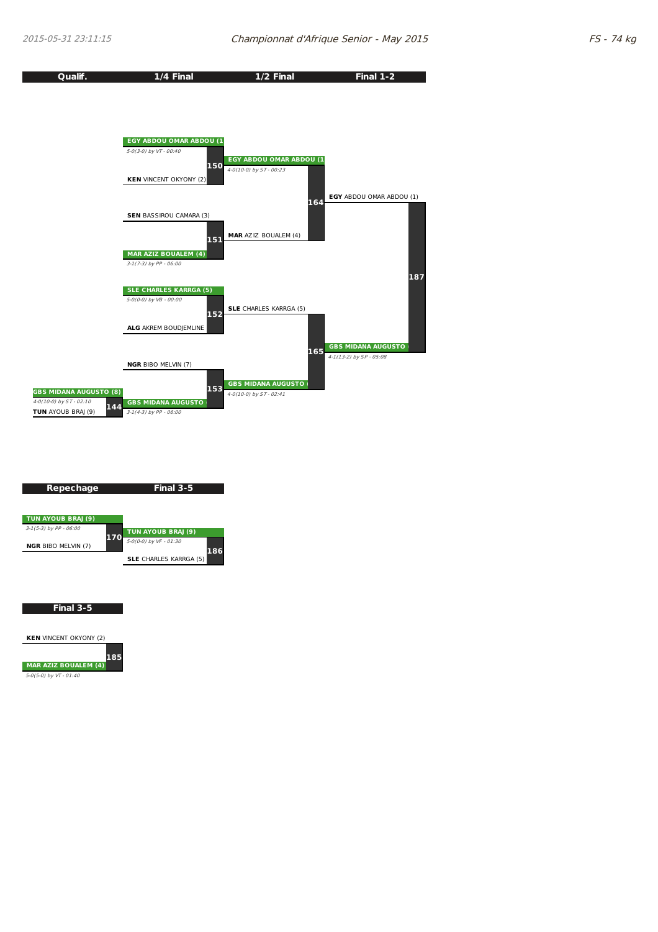

| Repechage                  |     | Final 3-5                     |
|----------------------------|-----|-------------------------------|
| TUN AYOUB BRAJ (9)         |     |                               |
| 3-1(5-3) by PP - 06:00     |     | TUN AYOUB BRAJ (9)            |
| <b>NGR BIBO MELVIN (7)</b> | 170 | 5-0(0-0) by VF - 01:30<br>186 |
|                            |     | <b>SLE</b> CHARLES KARRGA (5) |
|                            |     |                               |

**Final 3-5**

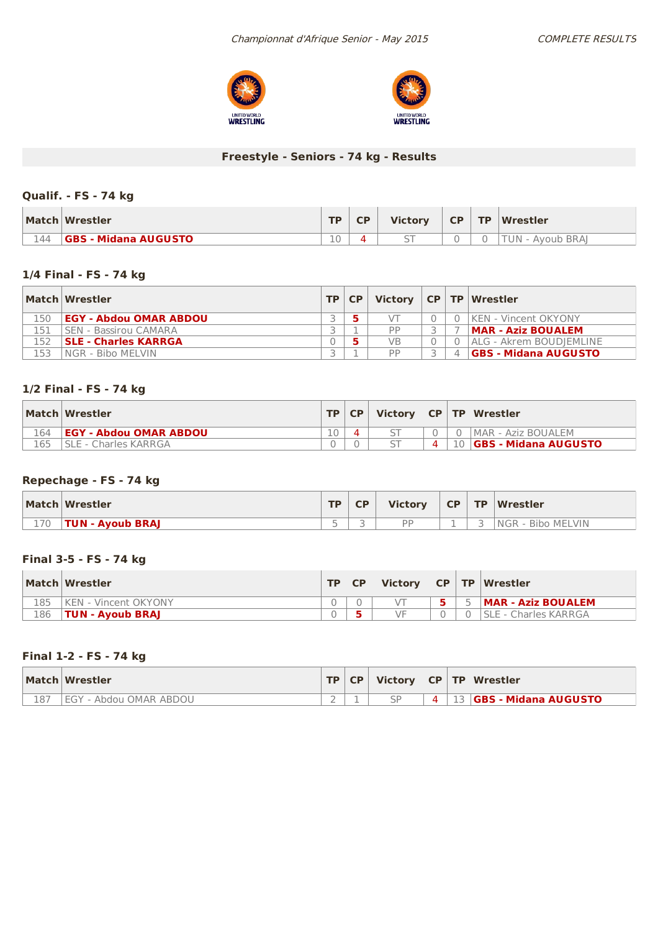



## **Freestyle - Seniors - 74 kg - Results**

### **Qualif. - FS - 74 kg**

|     | Match Wrestler              | TD.    | <b>CD</b> | <b>Victory</b> | <b>CP</b> | <b>TP</b> | Wrestler           |
|-----|-----------------------------|--------|-----------|----------------|-----------|-----------|--------------------|
| 144 | <b>GBS - Midana AUGUSTO</b> | $\cap$ |           |                |           |           | TUN-<br>Avoub BRAI |

### **1/4 Final - FS - 74 kg**

|     | Match Wrestler                | TP   CP |    |  | Victory $ CP TP Wrestler$   |
|-----|-------------------------------|---------|----|--|-----------------------------|
| 150 | <b>EGY - Abdou OMAR ABDOU</b> |         |    |  | KEN - Vincent OKYONY        |
| L51 | <b>SEN - Bassirou CAMARA</b>  |         | PP |  | MAR - Aziz BOUALEM          |
| 152 | <b>SLE - Charles KARRGA</b>   |         | VB |  | ALG - Akrem BOUDIEMLINE     |
| 153 | INGR - Bibo MELVIN            |         | DD |  | <b>GBS - Midana AUGUSTO</b> |

### **1/2 Final - FS - 74 kg**

|     | Match Wrestler                | TP | <b>CP</b> |   | Victory $ CP TP Wrestler$     |
|-----|-------------------------------|----|-----------|---|-------------------------------|
| 164 | <b>EGY - Abdou OMAR ABDOU</b> | 10 |           |   | MAR - Aziz BOUALEM            |
|     | I SLE - Charles KARRGA        |    |           | 4 | 川 <b>GBS - Midana AUGUSTO</b> |

### **Repechage - FS - 74 kg**

|     | Match Wrestler   | <b>TD</b> | CP      | <b>Victory</b> | <b>CP</b> | $\sqrt{TP}$ | Wrestler                      |
|-----|------------------|-----------|---------|----------------|-----------|-------------|-------------------------------|
| 170 | TUN - Ayoub BRAJ | $\sim$    | -<br>ــ | <b>DD</b>      |           | ٮ           | : - Bibo MELVIN<br><b>NGR</b> |

### **Final 3-5 - FS - 74 kg**

|     | Match Wrestler               | TD. | <b>Victory</b> |  | CP TP Wrestler              |
|-----|------------------------------|-----|----------------|--|-----------------------------|
| 185 | <b>IKEN - Vincent OKYONY</b> |     |                |  | <b>MAR - Aziz BOUALEM</b>   |
| 186 | <b>TUN - Avoub BRAJ</b>      |     | ٧F             |  | <b>SLE - Charles KARRGA</b> |

### **Final 1-2 - FS - 74 kg**

|     | Match Wrestler       | TD. | <b>CP</b> | <b>Victory</b> |  | CP   TP   Wrestler           |
|-----|----------------------|-----|-----------|----------------|--|------------------------------|
| 187 | ' - Abdou OMAR ABDOU | -   |           | CD.            |  | <b>IGBS - Midana AUGUSTO</b> |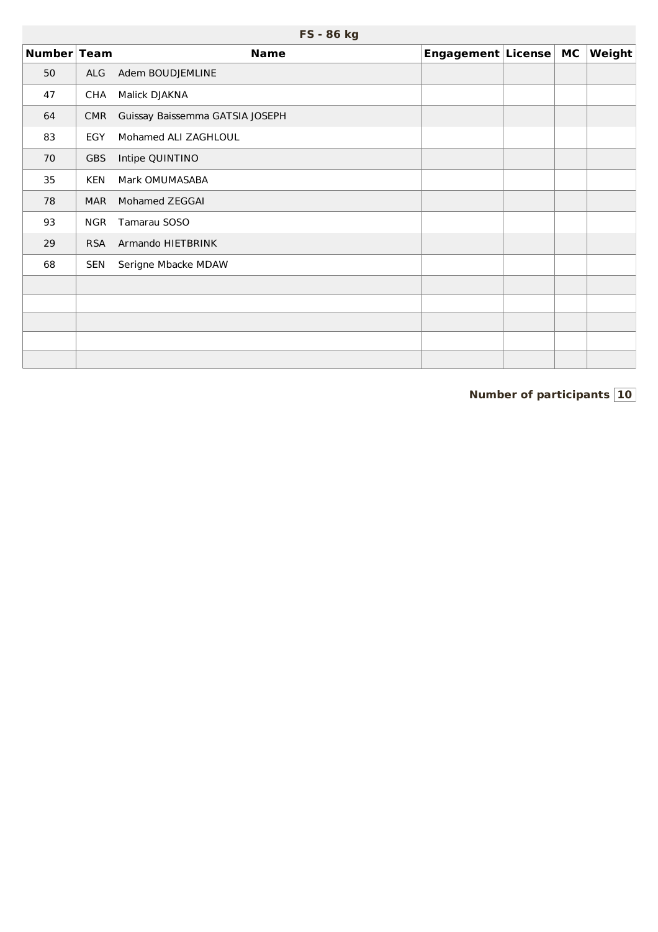|             |            | FS - 86 kg                      |                       |  |        |
|-------------|------------|---------------------------------|-----------------------|--|--------|
| Number Team |            | <b>Name</b>                     | Engagement License MC |  | Weight |
| 50          | ALG        | Adem BOUDJEMLINE                |                       |  |        |
| 47          | <b>CHA</b> | Malick DJAKNA                   |                       |  |        |
| 64          | <b>CMR</b> | Guissay Baissemma GATSIA JOSEPH |                       |  |        |
| 83          | EGY        | Mohamed ALI ZAGHLOUL            |                       |  |        |
| 70          | <b>GBS</b> | Intipe QUINTINO                 |                       |  |        |
| 35          | <b>KEN</b> | Mark OMUMASABA                  |                       |  |        |
| 78          | <b>MAR</b> | Mohamed ZEGGAI                  |                       |  |        |
| 93          | <b>NGR</b> | Tamarau SOSO                    |                       |  |        |
| 29          | <b>RSA</b> | Armando HIETBRINK               |                       |  |        |
| 68          | <b>SEN</b> | Serigne Mbacke MDAW             |                       |  |        |
|             |            |                                 |                       |  |        |
|             |            |                                 |                       |  |        |
|             |            |                                 |                       |  |        |
|             |            |                                 |                       |  |        |
|             |            |                                 |                       |  |        |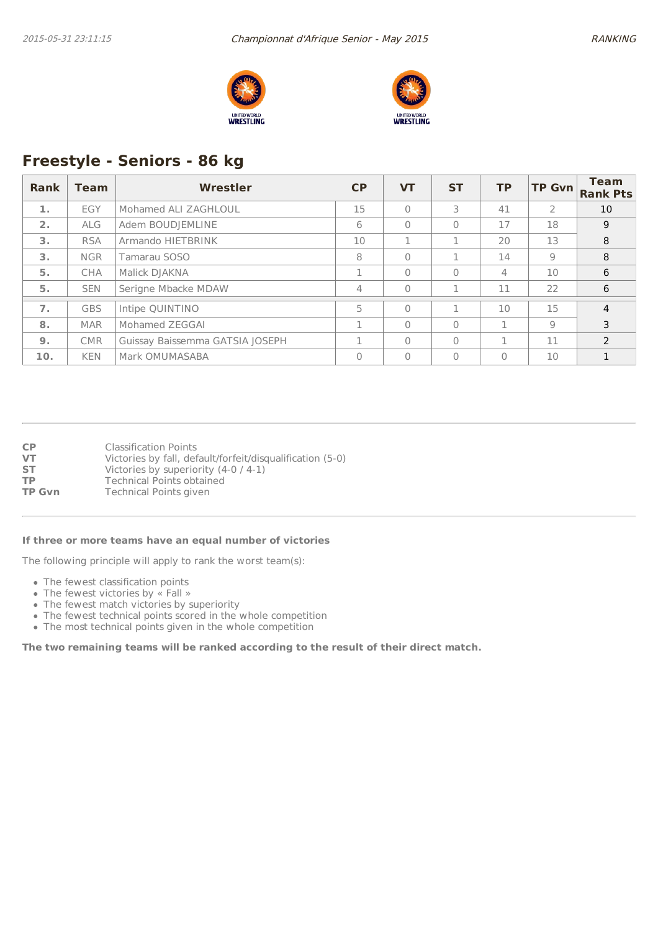



# **Freestyle - Seniors - 86 kg**

| Rank | <b>Team</b> | Wrestler                        | CP       | <b>VT</b>    | <b>ST</b> | <b>TP</b> | <b>TP Gvn</b>  | <b>Team</b><br><b>Rank Pts</b> |
|------|-------------|---------------------------------|----------|--------------|-----------|-----------|----------------|--------------------------------|
| 1.   | EGY         | Mohamed ALI ZAGHLOUL            | 15       | $\mathbf{0}$ | 3         | 41        | $\overline{2}$ | 10                             |
| 2.   | <b>ALG</b>  | Adem BOUDJEMLINE                | 6        | $\Omega$     | $\Omega$  | 17        | 18             | 9                              |
| 3.   | <b>RSA</b>  | Armando HIETBRINK               | 10       |              |           | 20        | 13             | 8                              |
| 3.   | <b>NGR</b>  | Tamarau SOSO                    | 8        | $\Omega$     |           | 14        | 9              | 8                              |
| 5.   | <b>CHA</b>  | Malick DJAKNA                   |          | $\Omega$     | $\Omega$  | 4         | 10             | 6                              |
| 5.   | <b>SEN</b>  | Serigne Mbacke MDAW             | 4        | $\Omega$     | п         | 11        | 22             | 6                              |
| 7.   | <b>GBS</b>  | Intipe QUINTINO                 | 5        | $\Omega$     | п         | 10        | 15             | $\overline{4}$                 |
| 8.   | <b>MAR</b>  | Mohamed ZEGGAI                  | п.       | $\Omega$     | $\Omega$  | п         | 9              | 3                              |
| 9.   | <b>CMR</b>  | Guissay Baissemma GATSIA JOSEPH | п.       | $\Omega$     | $\Omega$  |           | 11             | $\mathcal{P}$                  |
| 10.  | <b>KEN</b>  | Mark OMUMASABA                  | $\Omega$ | $\Omega$     | $\Omega$  | $\Omega$  | 10             |                                |

| СP     | <b>Classification Points</b>                              |
|--------|-----------------------------------------------------------|
| VT     | Victories by fall, default/forfeit/disqualification (5-0) |
| SТ     | Victories by superiority $(4-0/4-1)$                      |
| ТP     | Technical Points obtained                                 |
| TP Gvn | Technical Points given                                    |

#### **If three or more teams have an equal number of victories**

The following principle will apply to rank the worst team(s):

- The fewest classification points
- The fewest victories by « Fall »
- The fewest match victories by superiority
- The fewest technical points scored in the whole competition
- The most technical points given in the whole competition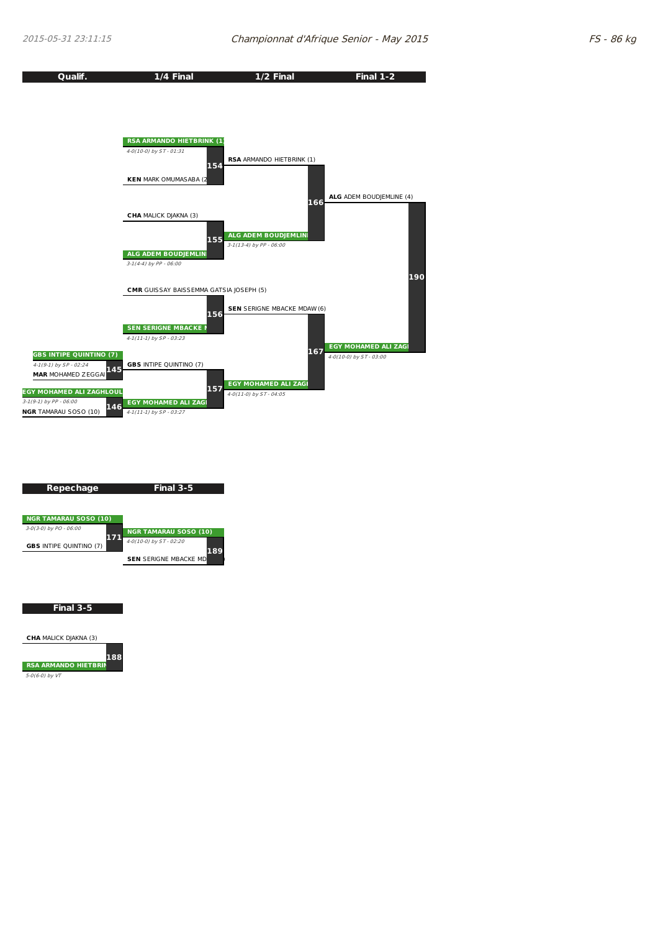

| Repechage                      | Final 3-5                           |
|--------------------------------|-------------------------------------|
|                                |                                     |
|                                |                                     |
| <b>NGR TAMARAU SOSO (10)</b>   |                                     |
| 3-0(3-0) by PO - 06:00<br>7    | <b>NGR TAMARAU SOSO (10)</b>        |
| <b>GBS INTIPE QUINTINO (7)</b> | 4-0(10-0) by ST - 02:20             |
|                                | 189<br><b>SEN SERIGNE MBACKE MD</b> |
|                                |                                     |
|                                |                                     |
|                                |                                     |

**Final 3-5**

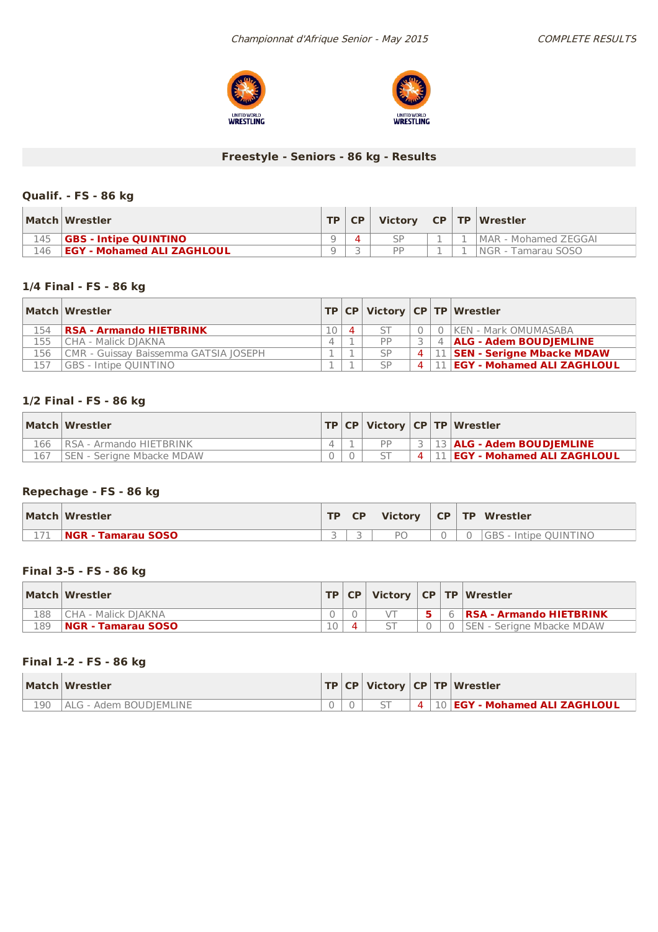



### **Freestyle - Seniors - 86 kg - Results**

### **Qualif. - FS - 86 kg**

|     | Match Wrestler                    | <b>TP</b> | <b>CP</b> | <b>Victory</b> |  | CP   TP   Wrestler    |
|-----|-----------------------------------|-----------|-----------|----------------|--|-----------------------|
| 145 | <b>GBS - Intipe OUINTINO</b>      | a         |           |                |  | IMAR - Mohamed ZEGGAI |
| 146 | <b>EGY - Mohamed ALI ZAGHLOUL</b> |           |           | DD             |  | NGR - Tamarau SOSO    |

#### **1/4 Final - FS - 86 kg**

|     | Match Wrestler                        |          |           |                | <b>TP CP Victory CP TP Wrestler</b> |
|-----|---------------------------------------|----------|-----------|----------------|-------------------------------------|
| 154 | <b>RSA - Armando HIETBRINK</b>        | $\Delta$ |           |                | KEN - Mark OMUMASABA                |
| 155 | CHA - Malick DIAKNA                   |          | PP        |                | 4   ALG - Adem BOUDJEMLINE          |
| 156 | CMR - Guissay Baissemma GATSIA IOSEPH |          | <b>SP</b> | $\overline{4}$ | 11 SEN - Serigne Mbacke MDAW        |
| 157 | <b>GBS - Intipe OUINTINO</b>          |          | SP        | $\Delta$       | 11   EGY - Mohamed ALI ZAGHLOUL     |

### **1/2 Final - FS - 86 kg**

|     | Match Wrestler                  |  |  | <b>TP CP Victory CP TP Wrestler</b>        |
|-----|---------------------------------|--|--|--------------------------------------------|
| 166 | <b>IRSA - Armando HIETBRINK</b> |  |  | 3 3 43 ALG - Adem BOUDJEMLINE              |
| 167 | ISEN - Serigne Mbacke MDAW      |  |  | 4   11   <b>EGY - Mohamed ALI ZAGHLOUL</b> |

### **Repechage - FS - 86 kg**

|      | Match Wrestler            | TD. | <b>CP</b> | <b>Victory</b> |  | CP   TP   Wrestler    |
|------|---------------------------|-----|-----------|----------------|--|-----------------------|
| $-1$ | <b>NGR - Tamarau SOSO</b> |     |           | P <sub>C</sub> |  | GBS - Intipe QUINTINO |

### **Final 3-5 - FS - 86 kg**

|     | Match Wrestler        |           | TP CP |  | Victory   CP   TP   Wrestler     |
|-----|-----------------------|-----------|-------|--|----------------------------------|
| 188 | l CHA - Malick DIAKNA |           |       |  | 6 <b>RSA - Armando HIETBRINK</b> |
| 189 | NGR - Tamarau SOSO    | $\bigcap$ |       |  | ISEN - Seriane Mbacke MDAW       |

#### **Final 1-2 - FS - 86 kg**

|     | Match Wrestler         |  |  | TP   CP   Victory   CP   TP   Wrestler |
|-----|------------------------|--|--|----------------------------------------|
| 190 | ALG - Adem BOUDIEMLINE |  |  | 4   10   EGY - Mohamed ALI ZAGHLOUL    |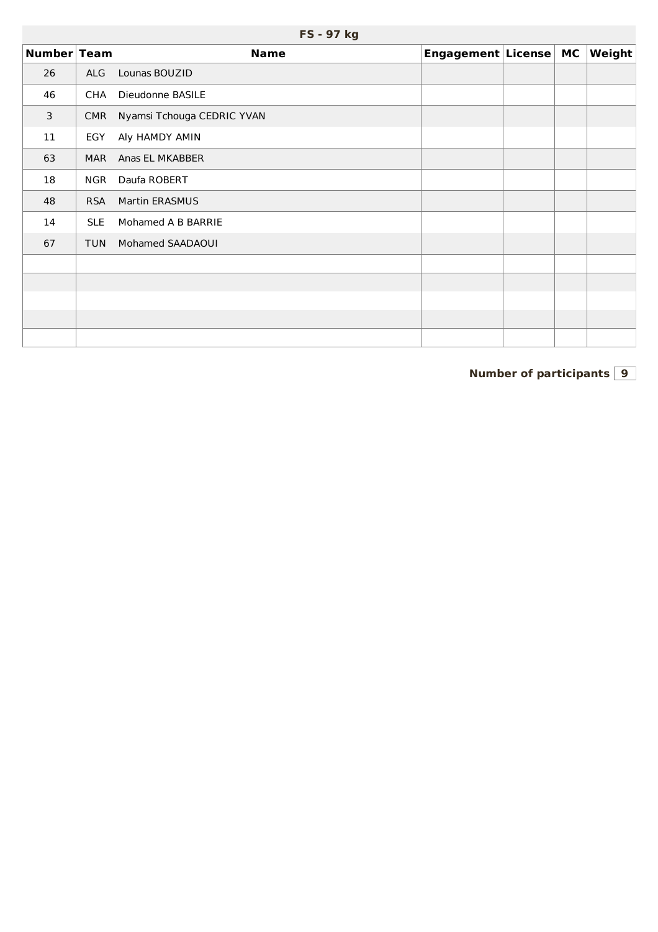|             |            | FS - 97 kg                 |                       |  |               |
|-------------|------------|----------------------------|-----------------------|--|---------------|
| Number Team |            | <b>Name</b>                | Engagement License MC |  | <b>Weight</b> |
| 26          | ALG        | Lounas BOUZID              |                       |  |               |
| 46          | CHA        | Dieudonne BASILE           |                       |  |               |
| 3           | <b>CMR</b> | Nyamsi Tchouga CEDRIC YVAN |                       |  |               |
| 11          | EGY        | Aly HAMDY AMIN             |                       |  |               |
| 63          | <b>MAR</b> | Anas EL MKABBER            |                       |  |               |
| 18          | <b>NGR</b> | Daufa ROBERT               |                       |  |               |
| 48          | <b>RSA</b> | <b>Martin ERASMUS</b>      |                       |  |               |
| 14          | <b>SLE</b> | Mohamed A B BARRIE         |                       |  |               |
| 67          | <b>TUN</b> | Mohamed SAADAOUI           |                       |  |               |
|             |            |                            |                       |  |               |
|             |            |                            |                       |  |               |
|             |            |                            |                       |  |               |
|             |            |                            |                       |  |               |
|             |            |                            |                       |  |               |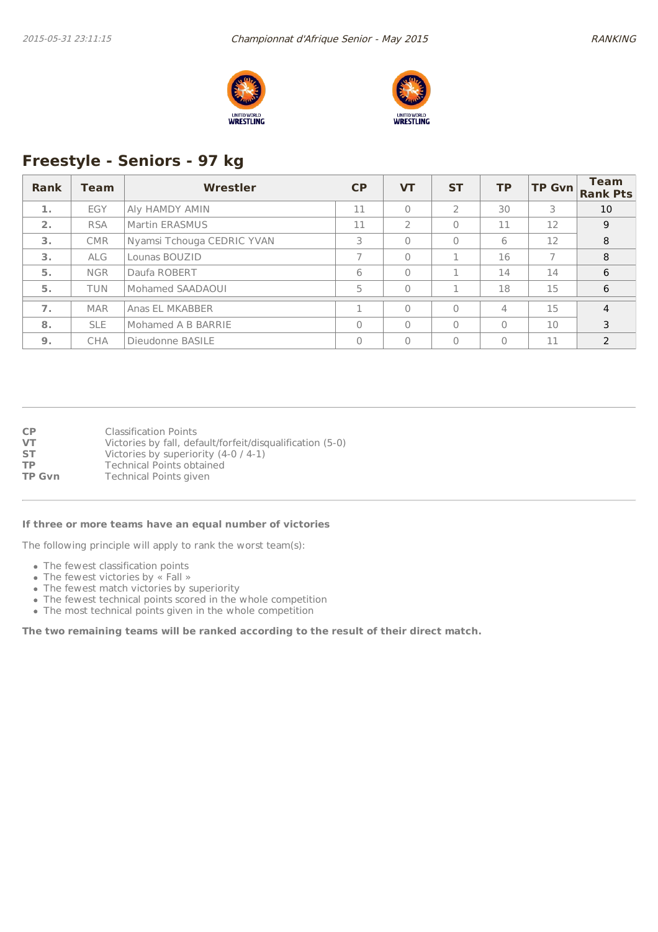



## **Freestyle - Seniors - 97 kg**

| Rank | <b>Team</b> | Wrestler                   | <b>CP</b> | <b>VT</b> | <b>ST</b>     | <b>TP</b>      | <b>TP Gvn</b> | <b>Team</b><br><b>Rank Pts</b> |
|------|-------------|----------------------------|-----------|-----------|---------------|----------------|---------------|--------------------------------|
| 1.   | EGY         | Aly HAMDY AMIN             | 11        | $\Omega$  | $\mathcal{L}$ | 30             | 3             | 10                             |
| 2.   | <b>RSA</b>  | Martin ERASMUS             | 11        |           | $\Omega$      | 11             | 12            | 9                              |
| 3.   | <b>CMR</b>  | Nyamsi Tchouga CEDRIC YVAN | 3         | $\Omega$  | $\Omega$      | 6              | 12            | 8                              |
| 3.   | <b>ALG</b>  | Lounas BOUZID              |           | $\Omega$  |               | 16             |               | 8                              |
| 5.   | <b>NGR</b>  | Daufa ROBERT               | 6         | $\Omega$  |               | 14             | 14            | 6                              |
| 5.   | <b>TUN</b>  | Mohamed SAADAOUI           | 5         | $\Omega$  |               | 18             | 15            | 6                              |
| 7.   | <b>MAR</b>  | Anas EL MKABBER            |           | $\bigcap$ | $\Omega$      | $\overline{4}$ | 15            | $\overline{4}$                 |
| 8.   | <b>SLE</b>  | Mohamed A B BARRIE         | O         | $\Omega$  | $\Omega$      | $\Omega$       | 10            | 3                              |
| 9.   | <b>CHA</b>  | Dieudonne BASILE           | 0         | $\Omega$  | $\Omega$      | $\Omega$       | 11            | $\mathcal{P}$                  |

**CP** Classification Points<br> **VT** Victories by fall, def **VT** Victories by fall, default/forfeit/disqualification (5-0)<br>**ST** Victories by superiority (4-0 / 4-1) Victories by superiority (4-0 / 4-1) **TP** Technical Points obtained<br> **TP Gvn** Technical Points given **Technical Points given** 

#### **If three or more teams have an equal number of victories**

The following principle will apply to rank the worst team(s):

- The fewest classification points
- The fewest victories by « Fall »
- The fewest match victories by superiority
- The fewest technical points scored in the whole competition
- The most technical points given in the whole competition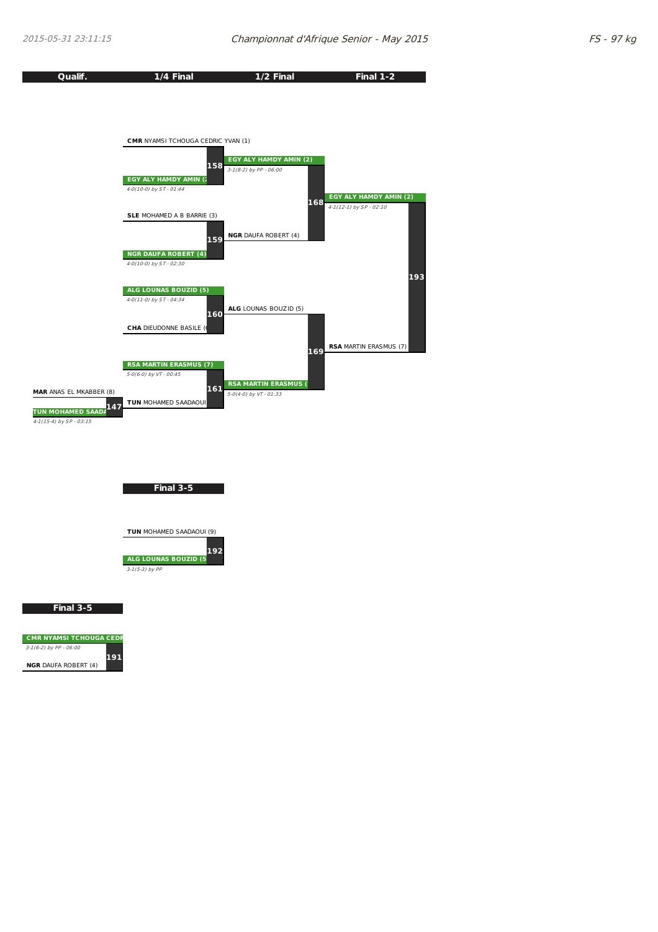**Final 3-5**

**191**

 $\overline{C}$  CMR NYAMSI TCHOUGA CEDR 3-1(6-2) by PP - 06:00 **NGR** DAUFA ROBERT (4)

| Qualif.                         | 1/4 Final                                        | 1/2 Final                   | <b>Final 1-2</b>                                             |
|---------------------------------|--------------------------------------------------|-----------------------------|--------------------------------------------------------------|
|                                 |                                                  |                             |                                                              |
|                                 |                                                  |                             |                                                              |
|                                 |                                                  |                             |                                                              |
|                                 | <b>CMR NYAMSI TCHOUGA CEDRIC YVAN (1)</b>        |                             |                                                              |
|                                 |                                                  | EGY ALY HAMDY AMIN (2)      |                                                              |
|                                 | 158                                              | $3-1(8-2)$ by PP - 06:00    |                                                              |
|                                 | EGY ALY HAMDY AMIN (2<br>4-0(10-0) by ST - 01:44 |                             |                                                              |
|                                 |                                                  | 168                         | <b>EGY ALY HAMDY AMIN (2)</b><br>$4-1(12-1)$ by $SP - 02:10$ |
|                                 | SLE MOHAMED A B BARRIE (3)                       |                             |                                                              |
|                                 | 159                                              | <b>NGR DAUFA ROBERT (4)</b> |                                                              |
|                                 | <b>NGR DAUFA ROBERT (4)</b>                      |                             |                                                              |
|                                 | 4-0(10-0) by ST - 02:30                          |                             |                                                              |
|                                 | <b>ALG LOUNAS BOUZID (5)</b>                     |                             | 193                                                          |
|                                 | 4-0(11-0) by ST - 04:34                          |                             |                                                              |
|                                 | 160                                              | ALG LOUNAS BOUZID (5)       |                                                              |
|                                 | <b>CHA DIEUDONNE BASILE (6</b>                   |                             |                                                              |
|                                 |                                                  | 169                         | <b>RSA MARTIN ERASMUS (7)</b>                                |
|                                 | <b>RSA MARTIN ERASMUS (7)</b>                    |                             |                                                              |
|                                 | 5-0(6-0) by VT - 00:45                           | <b>RSA MARTIN ERASMUS (</b> |                                                              |
| MAR ANAS EL MKABBER (8)         | 161<br>TUN MOHAMED SAADAOUI                      | 5-0(4-0) by VT - 01:33      |                                                              |
| 147<br><b>TUN MOHAMED SAADA</b> |                                                  |                             |                                                              |
| 4-1(15-4) by SP - 03:15         |                                                  |                             |                                                              |
|                                 |                                                  |                             |                                                              |
|                                 |                                                  |                             |                                                              |
|                                 |                                                  |                             |                                                              |
|                                 | Final 3-5                                        |                             |                                                              |
|                                 |                                                  |                             |                                                              |
|                                 | TUN MOHAMED SAADAOUI (9)                         |                             |                                                              |
|                                 | 192                                              |                             |                                                              |
|                                 | ALG LOUNAS BOUZID (5                             |                             |                                                              |
|                                 | $3-1(5-3)$ by PP                                 |                             |                                                              |
|                                 |                                                  |                             |                                                              |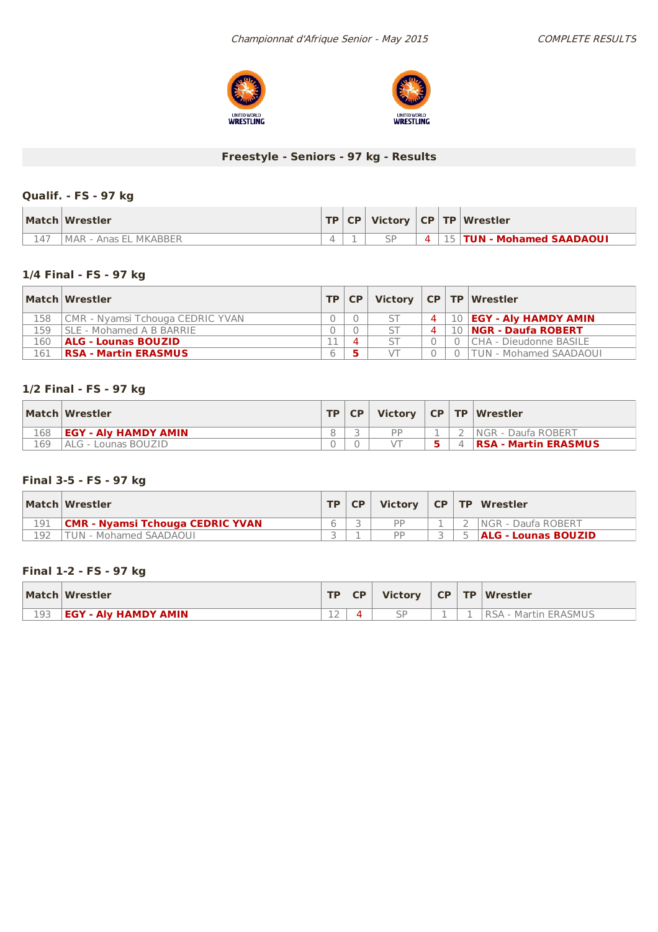



## **Freestyle - Seniors - 97 kg - Results**

### **Qualif. - FS - 97 kg**

| Match Wrestler          |  |  | <b>TP CP Victory CP TP Wrestler</b> |
|-------------------------|--|--|-------------------------------------|
| l MAR - Anas EL MKABBER |  |  | $+4$   15   TUN - Mohamed SAADAOUI  |

### **1/4 Final - FS - 97 kg**

|     | Match Wrestler                   |   | TP   CP |                | Victory $ CP TP $ Wrestler    |
|-----|----------------------------------|---|---------|----------------|-------------------------------|
| 158 | CMR - Nyamsi Tchouga CEDRIC YVAN |   |         | $\overline{4}$ | 10   EGY - Aly HAMDY AMIN     |
| L59 | SLE - Mohamed A B BARRIE         |   |         | $\Delta$       | 10   NGR - Daufa ROBERT       |
| 160 | <b>ALG - Lounas BOUZID</b>       |   |         |                | CHA - Dieudonne BASILE        |
| 161 | <b>RSA - Martin ERASMUS</b>      | 6 |         |                | <b>TUN - Mohamed SAADAOUI</b> |

### **1/2 Final - FS - 97 kg**

|     | Match Wrestler              | TP   CP | Victory   CP   TP   Wrestler |  |                             |
|-----|-----------------------------|---------|------------------------------|--|-----------------------------|
| 168 | <b>EGY - Alv HAMDY AMIN</b> |         | <b>DD</b>                    |  | <b>INGR - Daufa ROBERT</b>  |
| 169 | I ALG - Lounas BOUZID       |         |                              |  | <b>RSA - Martin ERASMUS</b> |

### **Final 3-5 - FS - 97 kg**

|     | Match Wrestler                          | <b>TP</b> | CP | <b>Victory</b> |  | $\vert$ CP $\vert$ TP $\vert$ Wrestler |
|-----|-----------------------------------------|-----------|----|----------------|--|----------------------------------------|
| 191 | <b>CMR - Nyamsi Tchouga CEDRIC YVAN</b> |           |    | DD             |  | <b>INGR - Daufa ROBERT</b>             |
| 192 | FUN - Mohamed SAADAOUI                  |           |    | <b>DD</b>      |  | <b>ALG - Lounas BOUZID</b>             |

### **Final 1-2 - FS - 97 kg**

|     | Match Wrestler              | TD. | <b>CP</b> | <b>Victory</b> |  | CP TP Wrestler        |
|-----|-----------------------------|-----|-----------|----------------|--|-----------------------|
| 193 | <b>EGY - AIV HAMDY AMIN</b> |     |           | $\varsigma$ F  |  | IRSA - Martin ERASMUS |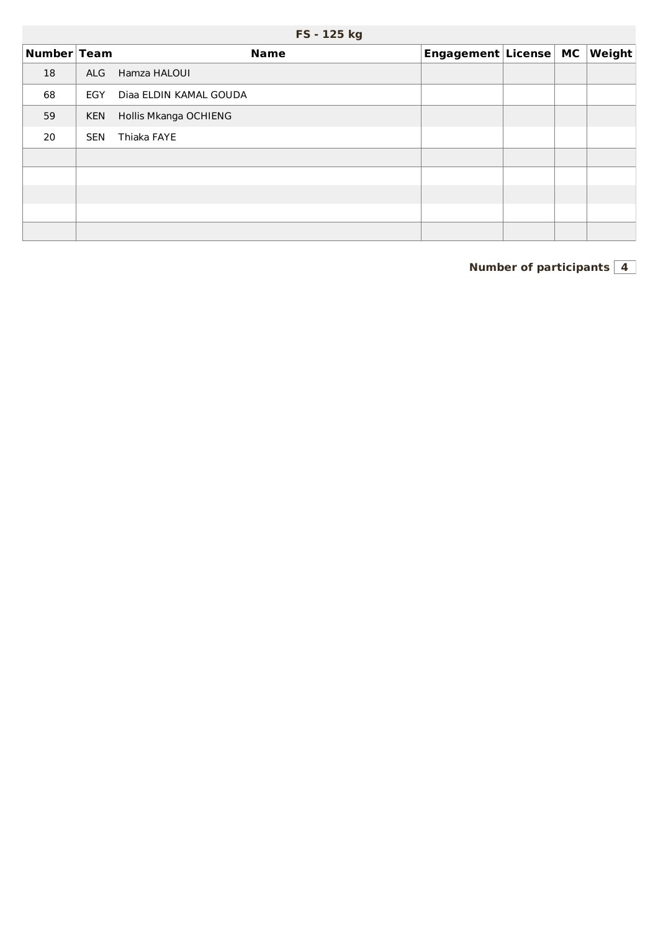| Number Team |            | <b>Name</b>            | Engagement License MC |  | $ \bm{\mathsf{Weight}} $ |
|-------------|------------|------------------------|-----------------------|--|--------------------------|
| 18          | <b>ALG</b> | Hamza HALOUI           |                       |  |                          |
| 68          | EGY        | Diaa ELDIN KAMAL GOUDA |                       |  |                          |
| 59          | <b>KEN</b> | Hollis Mkanga OCHIENG  |                       |  |                          |
| 20          | <b>SEN</b> | Thiaka FAYE            |                       |  |                          |
|             |            |                        |                       |  |                          |
|             |            |                        |                       |  |                          |
|             |            |                        |                       |  |                          |
|             |            |                        |                       |  |                          |
|             |            |                        |                       |  |                          |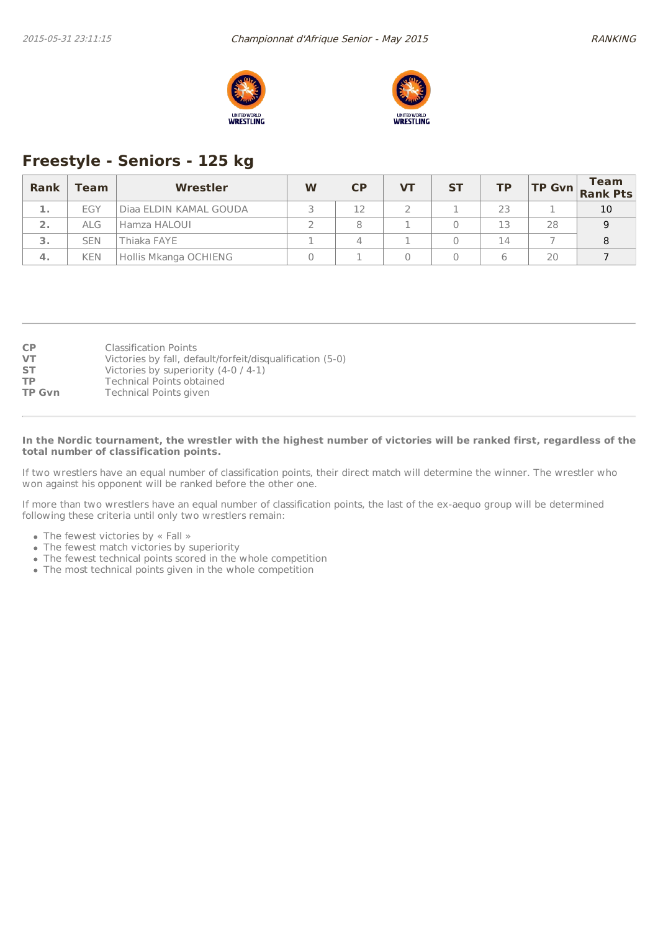



# **Freestyle - Seniors - 125 kg**

| Rank | Team       | Wrestler               | W | $\mathsf{C}\mathsf{P}$ | VТ | <b>ST</b> | <b>TP</b> |    | <b>Team</b><br>$\begin{vmatrix} \mathsf{TP} & \mathsf{Gvn} \\ \mathsf{Rank} & \mathsf{Pts} \end{vmatrix}$ |
|------|------------|------------------------|---|------------------------|----|-----------|-----------|----|-----------------------------------------------------------------------------------------------------------|
| ı.   | EGY        | Diaa ELDIN KAMAL GOUDA |   |                        |    |           | 23        |    | 10                                                                                                        |
| 2.   | <b>ALG</b> | Hamza HALOUI           |   |                        |    |           | 13        | 28 | Q                                                                                                         |
| З.   | <b>SEN</b> | hiaka FAYE             |   |                        |    |           | 14        |    |                                                                                                           |
| 4.   | <b>KEN</b> | Hollis Mkanga OCHIENG  |   |                        |    |           |           | 20 |                                                                                                           |

| <b>CP</b>     | <b>Classification Points</b>                              |
|---------------|-----------------------------------------------------------|
| <b>VT</b>     | Victories by fall, default/forfeit/disqualification (5-0) |
| <b>ST</b>     | Victories by superiority $(4-0/4-1)$                      |
| <b>TP</b>     | <b>Technical Points obtained</b>                          |
| <b>TP Gvn</b> | Technical Points given                                    |

#### In the Nordic tournament, the wrestler with the highest number of victories will be ranked first, regardless of the **total number of classification points.**

If two wrestlers have an equal number of classification points, their direct match will determine the winner. The wrestler who won against his opponent will be ranked before the other one.

If more than two wrestlers have an equal number of classification points, the last of the ex-aequo group will be determined following these criteria until only two wrestlers remain:

- The fewest victories by « Fall »
- The fewest match victories by superiority
- The fewest technical points scored in the whole competition
- The most technical points given in the whole competition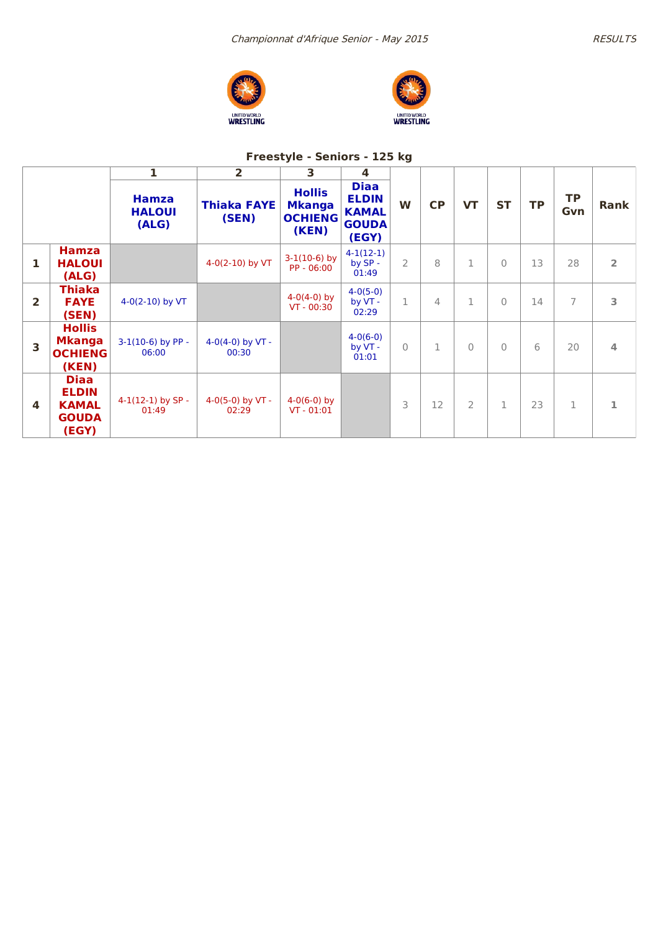





## **Freestyle - Seniors - 125 kg**

|                         |                                                                      | 1                                      | $\overline{\mathbf{2}}$     | 3                                                         | 4                                                                    |               |             |                |             |           |                  |                |
|-------------------------|----------------------------------------------------------------------|----------------------------------------|-----------------------------|-----------------------------------------------------------|----------------------------------------------------------------------|---------------|-------------|----------------|-------------|-----------|------------------|----------------|
|                         |                                                                      | <b>Hamza</b><br><b>HALOUI</b><br>(ALG) | <b>Thiaka FAYE</b><br>(SEN) | <b>Hollis</b><br><b>Mkanga</b><br><b>OCHIENG</b><br>(KEN) | <b>Diaa</b><br><b>ELDIN</b><br><b>KAMAL</b><br><b>GOUDA</b><br>(EGY) | W             | <b>CP</b>   | <b>VT</b>      | <b>ST</b>   | <b>TP</b> | <b>TP</b><br>Gvn | Rank           |
| 1                       | <b>Hamza</b><br><b>HALOUI</b><br>(ALG)                               |                                        | 4-0(2-10) by VT             | $3-1(10-6)$ by<br>PP - 06:00                              | $4-1(12-1)$<br>by SP -<br>01:49                                      | $\mathcal{P}$ | 8           | $\mathbf 1$    | $\Omega$    | 13        | 28               | $\overline{2}$ |
| $\overline{\mathbf{2}}$ | <b>Thiaka</b><br><b>FAYE</b><br>(SEN)                                | $4-0(2-10)$ by VT                      |                             | $4-0(4-0)$ by<br>$VT - 00:30$                             | $4-0(5-0)$<br>by VT -<br>02:29                                       | $\mathbf 1$   | 4           | 1              | $\Omega$    | 14        | 7                | 3              |
| 3                       | <b>Hollis</b><br><b>Mkanga</b><br><b>OCHIENG</b><br>(KEN)            | $3-1(10-6)$ by PP -<br>06:00           | 4-0(4-0) by $VT -$<br>00:30 |                                                           | $4-0(6-0)$<br>by VT -<br>01:01                                       | $\mathbf{0}$  | $\mathbf 1$ | $\Omega$       | $\Omega$    | 6         | 20               | 4              |
| $\overline{\mathbf{4}}$ | <b>Diaa</b><br><b>ELDIN</b><br><b>KAMAL</b><br><b>GOUDA</b><br>(EGY) | $4-1(12-1)$ by SP -<br>01:49           | 4-0(5-0) by $VT -$<br>02:29 | $4-0(6-0)$ by<br>$VT - 01:01$                             |                                                                      | 3             | 12          | $\overline{2}$ | $\mathbf 1$ | 23        | $\mathbf{1}$     | 1              |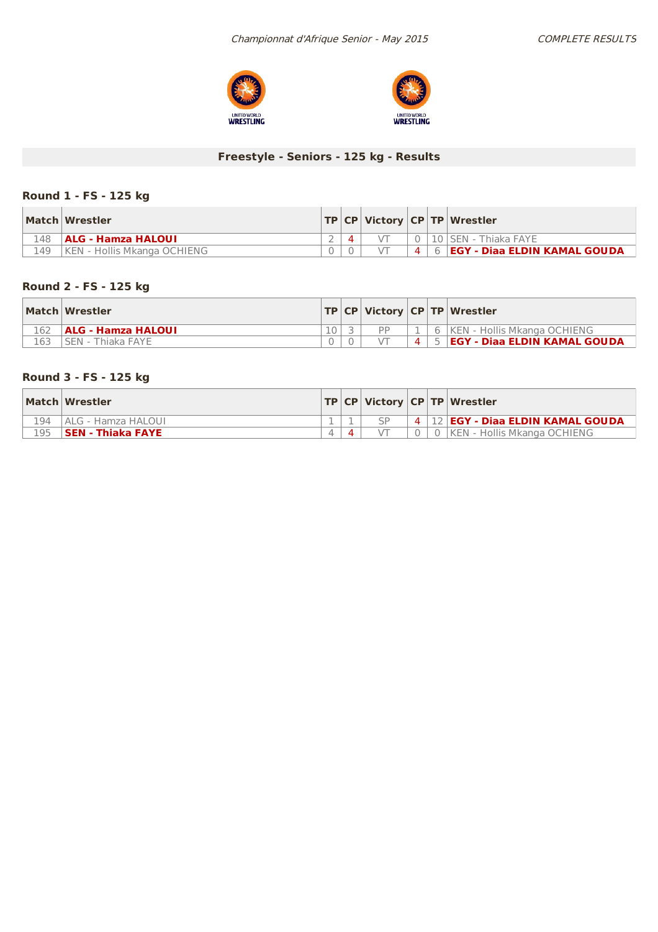



## **Freestyle - Seniors - 125 kg - Results**

## **Round 1 - FS - 125 kg**

|     | Match Wrestler              |  |           | TP   CP   Victory   CP   TP   Wrestler  |
|-----|-----------------------------|--|-----------|-----------------------------------------|
| 148 | <b>ALG - Hamza HALOUI</b>   |  |           | 10   SEN - Thiaka FAYE                  |
| 149 | KEN - Hollis Mkanga OCHIENG |  | $\vert$ 4 | 6 <b>  EGY - Diaa ELDIN KAMAL GOUDA</b> |

## **Round 2 - FS - 125 kg**

|     | Match Wrestler            |  |    |           | <b>TP CP Victory CP TP Wrestler</b>          |
|-----|---------------------------|--|----|-----------|----------------------------------------------|
| 162 | <b>ALG - Hamza HALOUI</b> |  | DD |           | 6 KEN - Hollis Mkanga OCHIENG                |
| 163 | 'SEN - Thiaka FAYE        |  |    | $\vert$ 4 | <b>S <b>EGY - Diaa ELDIN KAMAL GOUDA</b></b> |

## **Round 3 - FS - 125 kg**

|     | Match Wrestler     |  |  | TP   CP   Victory   CP   TP   Wrestler |
|-----|--------------------|--|--|----------------------------------------|
| 194 | ALG - Hamza HALOUI |  |  | 4   12   EGY - Diaa ELDIN KAMAL GOUDA  |
| 195 | SEN - Thiaka FAYE  |  |  | KEN - Hollis Mkanga OCHIENG            |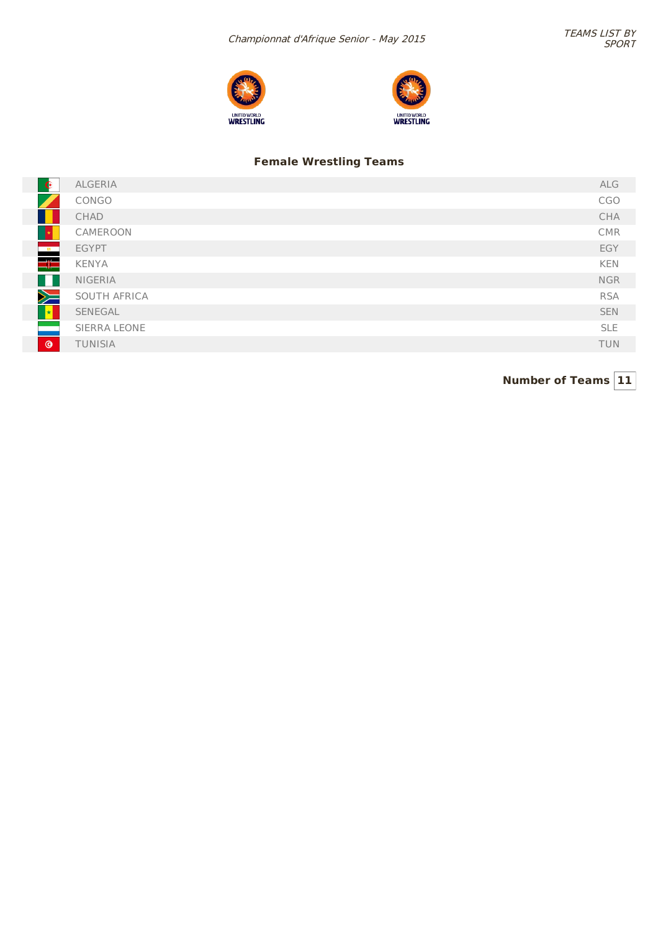



## **Female Wrestling Teams**

| $\bullet$              | ALGERIA        | ALG        |
|------------------------|----------------|------------|
|                        | CONGO          | CGO        |
|                        | CHAD           | CHA        |
|                        | CAMEROON       | <b>CMR</b> |
| $\frac{1}{2}$          | <b>EGYPT</b>   | EGY        |
| $\Rightarrow$          | KENYA          | KEN        |
| a d                    | <b>NIGERIA</b> | <b>NGR</b> |
| X                      | SOUTH AFRICA   | <b>RSA</b> |
| $\left  \cdot \right $ | SENEGAL        | <b>SEN</b> |
|                        | SIERRA LEONE   | <b>SLE</b> |
| $\circledcirc$         | TUNISIA        | <b>TUN</b> |
|                        |                |            |

**Number of Teams 11**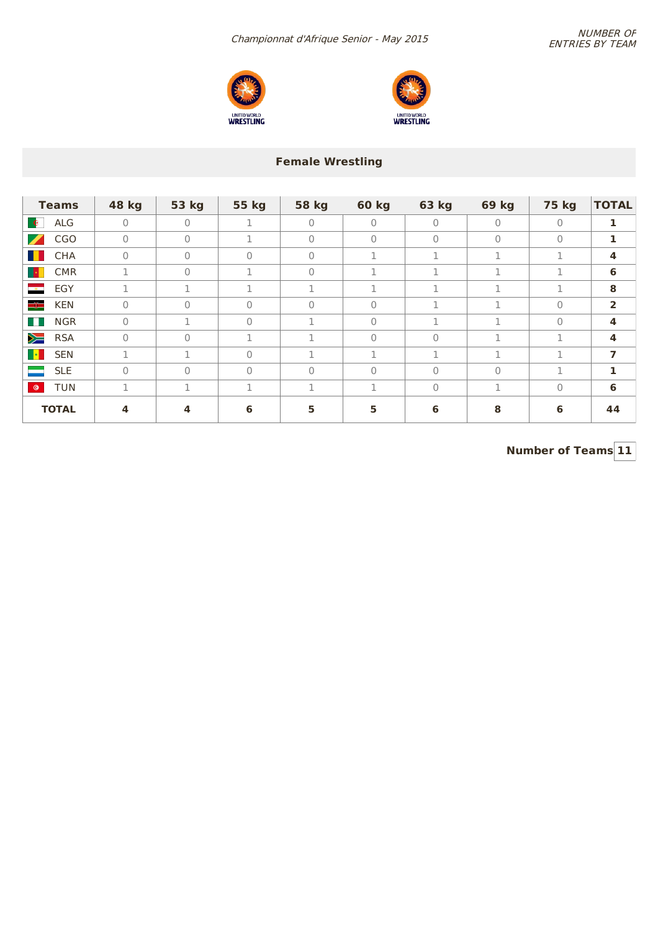



## **Female Wrestling**

| <b>Teams</b>                           | 48 kg        | 53 kg        | 55 kg        | <b>58 kg</b> | <b>60 kg</b> | 63 kg          | 69 kg        | <b>75 kg</b> | <b>TOTAL</b>            |
|----------------------------------------|--------------|--------------|--------------|--------------|--------------|----------------|--------------|--------------|-------------------------|
| ALG<br>$\bullet$                       | $\mathbf{0}$ | $\mathbf{0}$ | 1            | $\Omega$     | $\Omega$     | $\Omega$       | $\mathbf{0}$ | $\Omega$     | 1                       |
| $\overline{\mathscr{I}}$<br><b>CGO</b> | $\mathbf{0}$ | $\Omega$     | $\mathbf{1}$ | $\Omega$     | $\mathbf{0}$ | $\overline{0}$ | $\mathbf{0}$ | $\Omega$     | 1                       |
| $\blacksquare$<br>CHA                  | $\mathbf{0}$ | $\mathbf{0}$ | $\mathbf{0}$ | $\Omega$     | п.           | 1              | 1            | 1            | $\overline{\mathbf{4}}$ |
| <b>Expertise</b><br><b>CMR</b>         | 1            | 0            | 1            | $\Omega$     | п.           | п.             | 1            | 1            | 6                       |
| $-8$<br>EGY                            | 1            | 1            | 1            | 1.           | 1            | 1              | 1            | 1            | 8                       |
| $\equiv$<br><b>KEN</b>                 | $\mathbf{0}$ | $\mathbf{0}$ | $\mathbf{0}$ | 0            | $\Omega$     | п.             | 1.           | 0            | $\overline{2}$          |
| $\Box$<br><b>NGR</b>                   | $\circ$      | 1            | $\Omega$     | п.           | $\Omega$     | 1              | 1            | $\Omega$     | 4                       |
| $\geq$<br><b>RSA</b>                   | $\mathbf{0}$ | $\Omega$     | 1            | 1.           | $\mathbf{0}$ | $\Omega$       | 1            | 1            | $\overline{\mathbf{4}}$ |
| $\mathbf{r}$<br><b>SEN</b>             | 1            | п.           | $\Omega$     | п.           | п.           | п.             | 1            | 1            | 7                       |
| <b>SLE</b>                             | $\mathbf{0}$ | $\Omega$     | $\Omega$     | 0            | $\Omega$     | $\Omega$       | $\mathbf{0}$ | 1            | 1                       |
| <b>TUN</b><br>$\bullet$                | 1            | п.           | 1            | п.           | п.           | 0              | 1            | $\Omega$     | 6                       |
| <b>TOTAL</b>                           | 4            | 4            | 6            | 5            | 5            | 6              | 8            | 6            | 44                      |

**Number of Teams 11**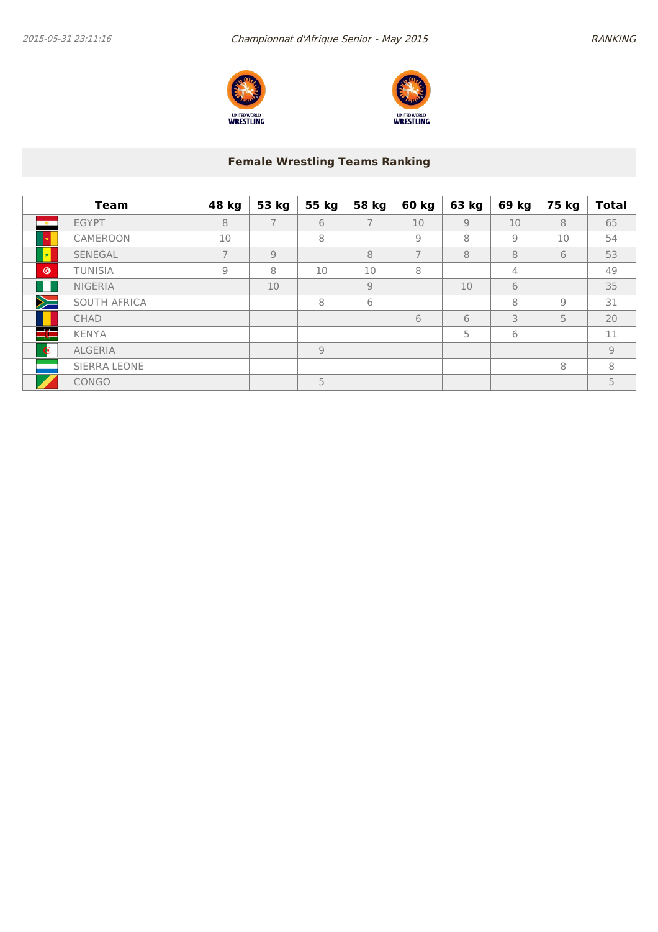



# **Female Wrestling Teams Ranking**

|                     | <b>Team</b>    | 48 kg          | 53 kg          | 55 kg          | 58 kg          | 60 kg          | 63 kg | 69 kg | 75 kg | <b>Total</b> |
|---------------------|----------------|----------------|----------------|----------------|----------------|----------------|-------|-------|-------|--------------|
| $-10$               | <b>EGYPT</b>   | 8              | $\overline{7}$ | 6              | 7              | 10             | 9     | 10    | 8     | 65           |
|                     | CAMEROON       | 10             |                | 8              |                | $\overline{9}$ | 8     | 9     | 10    | 54           |
| $\vert \star \vert$ | <b>SENEGAL</b> | 7              | $\overline{9}$ |                | 8              | $\overline{7}$ | 8     | 8     | 6     | 53           |
| $\circ$             | <b>TUNISIA</b> | $\overline{9}$ | 8              | 10             | 10             | 8              |       | 4     |       | 49           |
|                     | <b>NIGERIA</b> |                | 10             |                | $\overline{9}$ |                | 10    | 6     |       | 35           |
| $\geq$              | SOUTH AFRICA   |                |                | 8              | 6              |                |       | 8     | 9     | 31           |
|                     | <b>CHAD</b>    |                |                |                |                | 6              | 6     | 3     | 5     | 20           |
| $\equiv$            | <b>KENYA</b>   |                |                |                |                |                | 5     | 6     |       | 11           |
| $\bullet$           | <b>ALGERIA</b> |                |                | $\overline{9}$ |                |                |       |       |       | 9            |
|                     | SIERRA LEONE   |                |                |                |                |                |       |       | 8     | 8            |
|                     | CONGO          |                |                | 5              |                |                |       |       |       | 5            |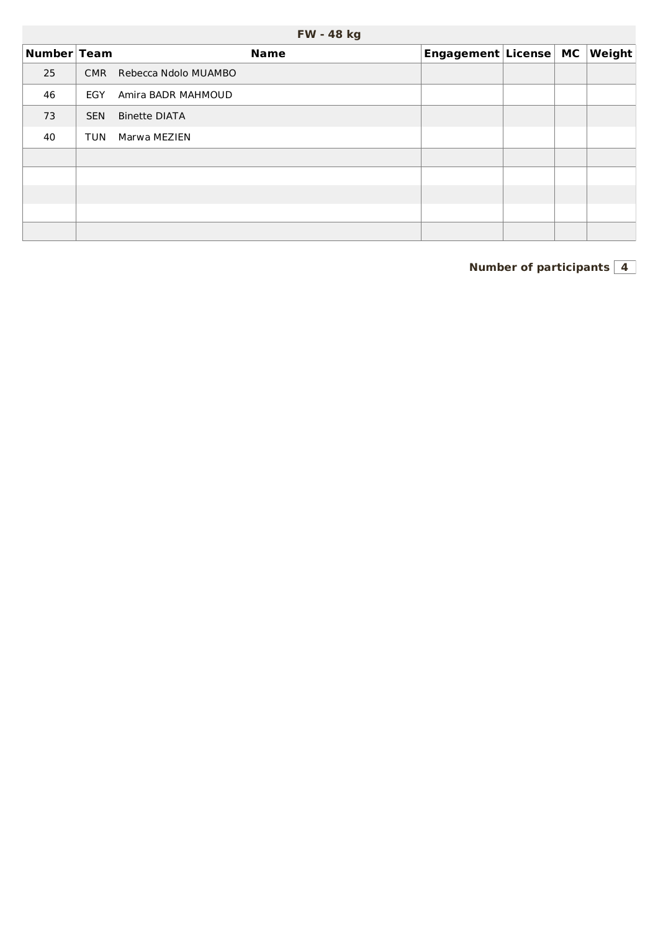| FW - 48 kg |  |
|------------|--|
|------------|--|

| Number Team |            | <b>Name</b>          | Engagement License MC |  | $\vert$ Weight $\vert$ |
|-------------|------------|----------------------|-----------------------|--|------------------------|
| 25          | <b>CMR</b> | Rebecca Ndolo MUAMBO |                       |  |                        |
| 46          | EGY        | Amira BADR MAHMOUD   |                       |  |                        |
| 73          | <b>SEN</b> | Binette DIATA        |                       |  |                        |
| 40          | <b>TUN</b> | Marwa MEZIEN         |                       |  |                        |
|             |            |                      |                       |  |                        |
|             |            |                      |                       |  |                        |
|             |            |                      |                       |  |                        |
|             |            |                      |                       |  |                        |
|             |            |                      |                       |  |                        |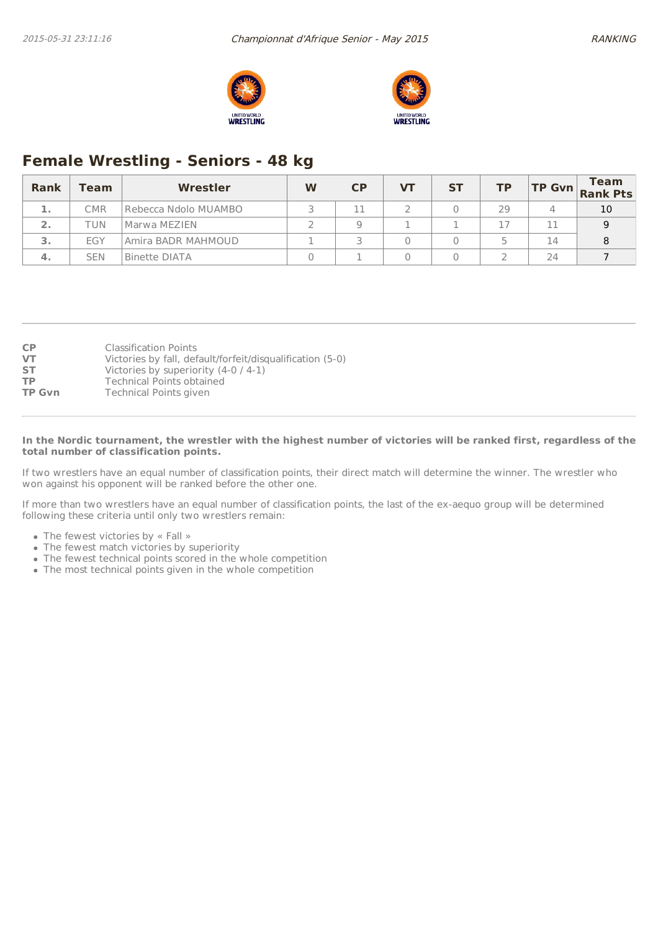



# **Female Wrestling - Seniors - 48 kg**

| Rank         | Team       | Wrestler             | W | <b>CP</b> | VТ | <b>ST</b> | ТP |    | <b>Team</b><br>$\begin{vmatrix} \mathsf{TP} & \mathsf{Gvn} \\ \mathsf{Rank} & \mathsf{Pts} \end{vmatrix}$ |
|--------------|------------|----------------------|---|-----------|----|-----------|----|----|-----------------------------------------------------------------------------------------------------------|
| -14          | <b>CMR</b> | Rebecca Ndolo MUAMBO |   |           |    |           | 29 | 4  | 10                                                                                                        |
| $\mathbf{2}$ | TUN        | Marwa MEZIEN         |   |           |    |           |    | 11 |                                                                                                           |
| 3            | EGY        | Amira BADR MAHMOUD   |   |           |    |           |    | 14 |                                                                                                           |
| 4.           | <b>SEN</b> | Binette DIATA        |   |           |    |           |    | 24 |                                                                                                           |

| <b>CP</b>     | <b>Classification Points</b>                              |
|---------------|-----------------------------------------------------------|
| <b>VT</b>     | Victories by fall, default/forfeit/disqualification (5-0) |
| <b>ST</b>     | Victories by superiority $(4-0/4-1)$                      |
| <b>TP</b>     | <b>Technical Points obtained</b>                          |
| <b>TP Gvn</b> | Technical Points given                                    |

#### In the Nordic tournament, the wrestler with the highest number of victories will be ranked first, regardless of the **total number of classification points.**

If two wrestlers have an equal number of classification points, their direct match will determine the winner. The wrestler who won against his opponent will be ranked before the other one.

If more than two wrestlers have an equal number of classification points, the last of the ex-aequo group will be determined following these criteria until only two wrestlers remain:

- The fewest victories by « Fall »
- The fewest match victories by superiority
- The fewest technical points scored in the whole competition
- The most technical points given in the whole competition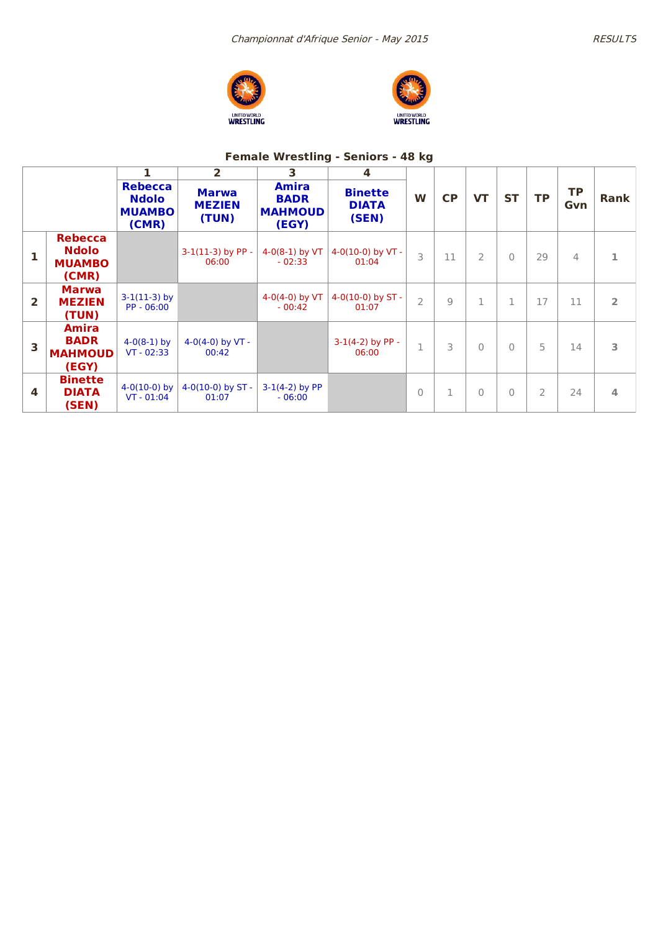





## **Female Wrestling - Seniors - 48 kg**

|                |                                                          |                                                          | $\mathbf{2}$                           | 3                                               | 4                                       |                |                |                |              |                |                  |                |
|----------------|----------------------------------------------------------|----------------------------------------------------------|----------------------------------------|-------------------------------------------------|-----------------------------------------|----------------|----------------|----------------|--------------|----------------|------------------|----------------|
|                |                                                          | <b>Rebecca</b><br><b>Ndolo</b><br><b>MUAMBO</b><br>(CMR) | <b>Marwa</b><br><b>MEZIEN</b><br>(TUN) | Amira<br><b>BADR</b><br><b>MAHMOUD</b><br>(EGY) | <b>Binette</b><br><b>DIATA</b><br>(SEN) | W              | <b>CP</b>      | <b>VT</b>      | <b>ST</b>    | <b>TP</b>      | <b>TP</b><br>Gvn | Rank           |
| 1              | <b>Rebecca</b><br><b>Ndolo</b><br><b>MUAMBO</b><br>(CMR) |                                                          | $3-1(11-3)$ by PP -<br>06:00           | $4-0(8-1)$ by VT<br>$-02:33$                    | 4-0(10-0) by $VT -$<br>01:04            | 3              | 11             | $\overline{2}$ | $\bigcap$    | 29             | 4                | 1              |
| $\overline{2}$ | <b>Marwa</b><br><b>MEZIEN</b><br>(TUN)                   | $3-1(11-3)$ by<br>PP - 06:00                             |                                        | 4-0(4-0) by $VT$<br>$-00:42$                    | 4-0(10-0) by $ST -$<br>01:07            | $\overline{2}$ | $\overline{9}$ | $\mathbf{1}$   | $\mathbf{1}$ | 17             | 11               | $\overline{2}$ |
| 3              | <b>Amira</b><br><b>BADR</b><br><b>MAHMOUD</b><br>(EGY)   | $4-0(8-1)$ by<br>$VT - 02:33$                            | 4-0(4-0) by VT -<br>00:42              |                                                 | $3-1(4-2)$ by PP -<br>06:00             | $\mathbf 1$    | 3              | $\bigcap$      | $\bigcap$    | 5              | 14               | 3              |
| 4              | <b>Binette</b><br><b>DIATA</b><br>(SEN)                  | $4-0(10-0)$ by<br>$VT - 01:04$                           | $4-0(10-0)$ by ST -<br>01:07           | $3-1(4-2)$ by PP<br>$-06:00$                    |                                         | $\Omega$       | 1              | $\Omega$       | $\Omega$     | $\overline{2}$ | 24               | 4              |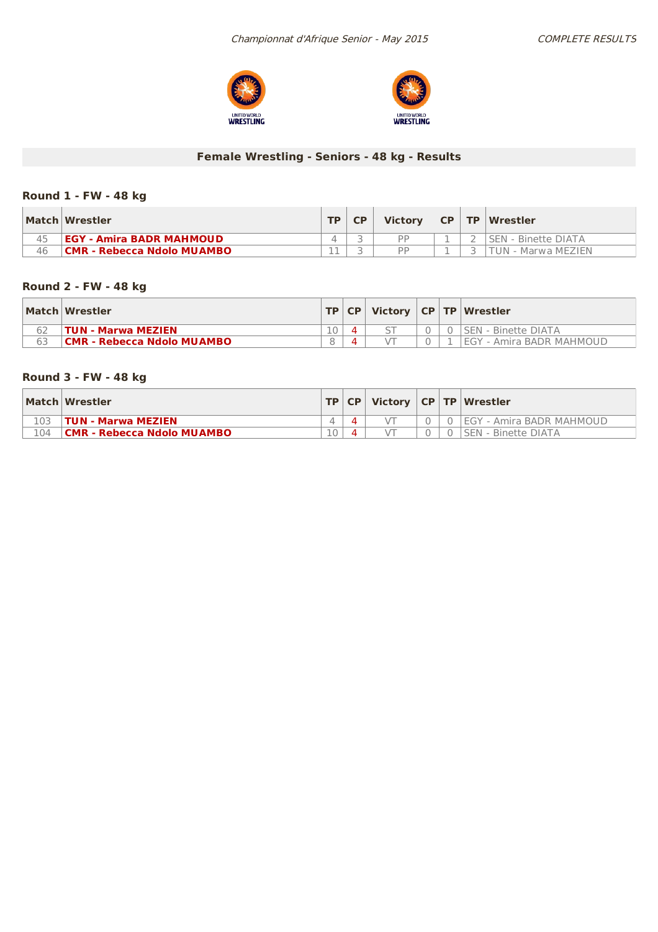



## **Female Wrestling - Seniors - 48 kg - Results**

## **Round 1 - FW - 48 kg**

|    | Match Wrestler                    | TD. | <b>Victory</b> | TCP | <b>TP Wrestler</b>         |
|----|-----------------------------------|-----|----------------|-----|----------------------------|
|    | <b>EGY - Amira BADR MAHMOUD</b>   |     | DD             |     | <b>SEN - Binette DIATA</b> |
| 46 | <b>CMR - Rebecca Ndolo MUAMBO</b> |     | DD             |     | TUN - Marwa MEZIEN         |

## **Round 2 - FW - 48 kg**

|    | Match Wrestler             |                 | TP CP |  | Victory $ CP TP Wrestler$  |
|----|----------------------------|-----------------|-------|--|----------------------------|
|    | TUN - Marwa MEZIEN         | 10 <sup>°</sup> |       |  | l SEN - Binette DIATA      |
| 63 | CMR - Rebecca Ndolo MUAMBO |                 |       |  | I EGY - Amira BADR MAHMOUD |

## **Round 3 - FW - 48 kg**

|     | Match Wrestler                    |    |  |  | <b>TP CP Victory CP TP Wrestler</b> |
|-----|-----------------------------------|----|--|--|-------------------------------------|
|     | <b>TUN - Marwa MEZIEN</b>         |    |  |  | <b>IEGY - Amira BADR MAHMOUD</b>    |
| 104 | <b>CMR - Rebecca Ndolo MUAMBO</b> | 10 |  |  | <b>ISEN - Binette DIATA</b>         |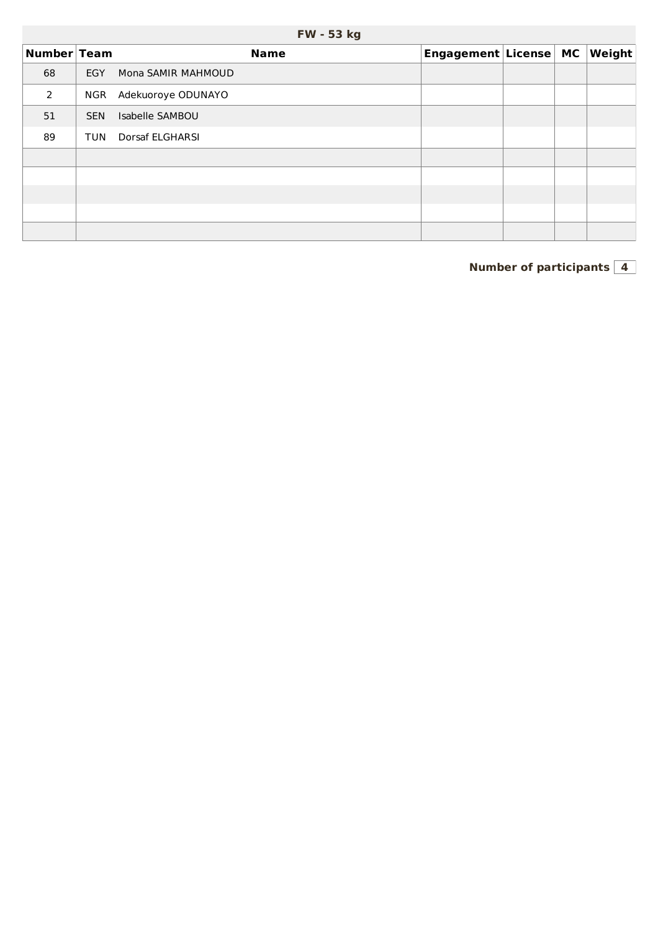|  | <b>FW - 53 kg</b> |
|--|-------------------|
|--|-------------------|

| Number Team |            | <b>Name</b>        | Engagement License MC |  | $\vert$ Weight $\vert$ |
|-------------|------------|--------------------|-----------------------|--|------------------------|
| 68          | EGY        | Mona SAMIR MAHMOUD |                       |  |                        |
| 2           | <b>NGR</b> | Adekuoroye ODUNAYO |                       |  |                        |
| 51          | <b>SEN</b> | Isabelle SAMBOU    |                       |  |                        |
| 89          | TUN        | Dorsaf ELGHARSI    |                       |  |                        |
|             |            |                    |                       |  |                        |
|             |            |                    |                       |  |                        |
|             |            |                    |                       |  |                        |
|             |            |                    |                       |  |                        |
|             |            |                    |                       |  |                        |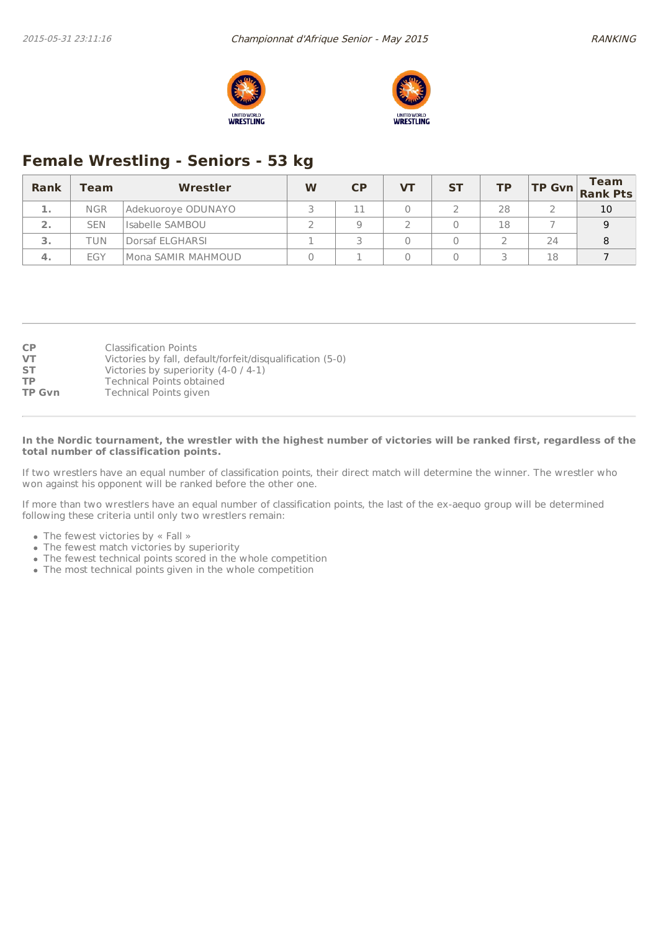



# **Female Wrestling - Seniors - 53 kg**

| <b>Rank</b>    | Team       | Wrestler           | W | CP | VТ | <b>ST</b> | ТP |    | <b>TP Gvn</b> Team |
|----------------|------------|--------------------|---|----|----|-----------|----|----|--------------------|
| 1.             | <b>NGR</b> | Adekuoroye ODUNAYO |   |    |    |           | 28 |    | 10                 |
| $\mathbf{2}$ . | <b>SEN</b> | Isabelle SAMBOU    |   |    |    |           | 18 |    |                    |
| 3.             | TUN        | Dorsaf ELGHARSI    |   |    |    |           |    | 24 |                    |
| 4.             | EGY        | Mona SAMIR MAHMOUD |   |    |    |           |    | 18 |                    |

| <b>CP</b>     | <b>Classification Points</b>                              |
|---------------|-----------------------------------------------------------|
| <b>VT</b>     | Victories by fall, default/forfeit/disqualification (5-0) |
| <b>ST</b>     | Victories by superiority $(4-0/4-1)$                      |
| <b>TP</b>     | <b>Technical Points obtained</b>                          |
| <b>TP Gvn</b> | Technical Points given                                    |

#### In the Nordic tournament, the wrestler with the highest number of victories will be ranked first, regardless of the **total number of classification points.**

If two wrestlers have an equal number of classification points, their direct match will determine the winner. The wrestler who won against his opponent will be ranked before the other one.

If more than two wrestlers have an equal number of classification points, the last of the ex-aequo group will be determined following these criteria until only two wrestlers remain:

- The fewest victories by « Fall »
- The fewest match victories by superiority
- The fewest technical points scored in the whole competition
- The most technical points given in the whole competition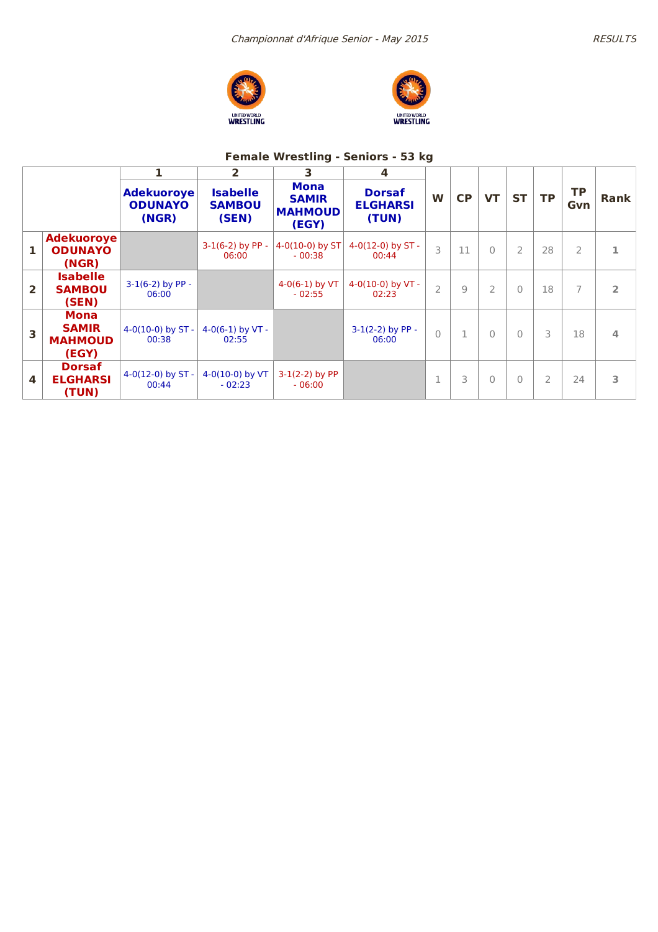





# **Female Wrestling - Seniors - 53 kg**

|                |                                                 |                                              | $\mathbf{2}$                              | 3                                                      | 4                                         |                |               |                |                |                               |                |                |
|----------------|-------------------------------------------------|----------------------------------------------|-------------------------------------------|--------------------------------------------------------|-------------------------------------------|----------------|---------------|----------------|----------------|-------------------------------|----------------|----------------|
|                |                                                 | <b>Adekuoroye</b><br><b>ODUNAYO</b><br>(NGR) | <b>Isabelle</b><br><b>SAMBOU</b><br>(SEN) | <b>Mona</b><br><b>SAMIR</b><br><b>MAHMOUD</b><br>(EGY) | <b>Dorsaf</b><br><b>ELGHARSI</b><br>(TUN) | W              | CP            | <b>VT</b>      | <b>ST</b>      | <b>TP</b><br><b>TP</b><br>Gvn |                | Rank           |
| 1              | <b>Adekuoroye</b><br><b>ODUNAYO</b><br>(NGR)    |                                              | $3-1(6-2)$ by PP -<br>06:00               | 4-0(10-0) by $ST$<br>$-00:38$                          | $4-0(12-0)$ by ST -<br>00:44              | 3              | 11            | $\Omega$       | $\overline{2}$ | 28                            | $\overline{2}$ | 1              |
| $\overline{2}$ | <b>Isabelle</b><br><b>SAMBOU</b><br>(SEN)       | $3-1(6-2)$ by PP -<br>06:00                  |                                           | $4-0(6-1)$ by VT<br>$-02:55$                           | 4-0(10-0) by $VT -$<br>02:23              | $\overline{2}$ | $\mathcal{Q}$ | $\overline{2}$ | $\Omega$       | 18                            | 7              | $\overline{2}$ |
| 3              | Mona<br><b>SAMIR</b><br><b>MAHMOUD</b><br>(EGY) | 4-0(10-0) by $ST -$<br>00:38                 | $4-0(6-1)$ by VT -<br>02:55               |                                                        | $3-1(2-2)$ by PP -<br>06:00               | $\overline{0}$ | $\mathbf{1}$  | $\Omega$       | $\Omega$       | 3                             | 18             | 4              |
| 4              | <b>Dorsaf</b><br><b>ELGHARSI</b><br>(TUN)       | $4-0(12-0)$ by ST -<br>00:44                 | $4-0(10-0)$ by VT<br>$-02:23$             | $3-1(2-2)$ by PP<br>$-06:00$                           |                                           | $\mathbf 1$    | 3             | $\Omega$       | $\mathbf{0}$   | 2                             | 24             | 3              |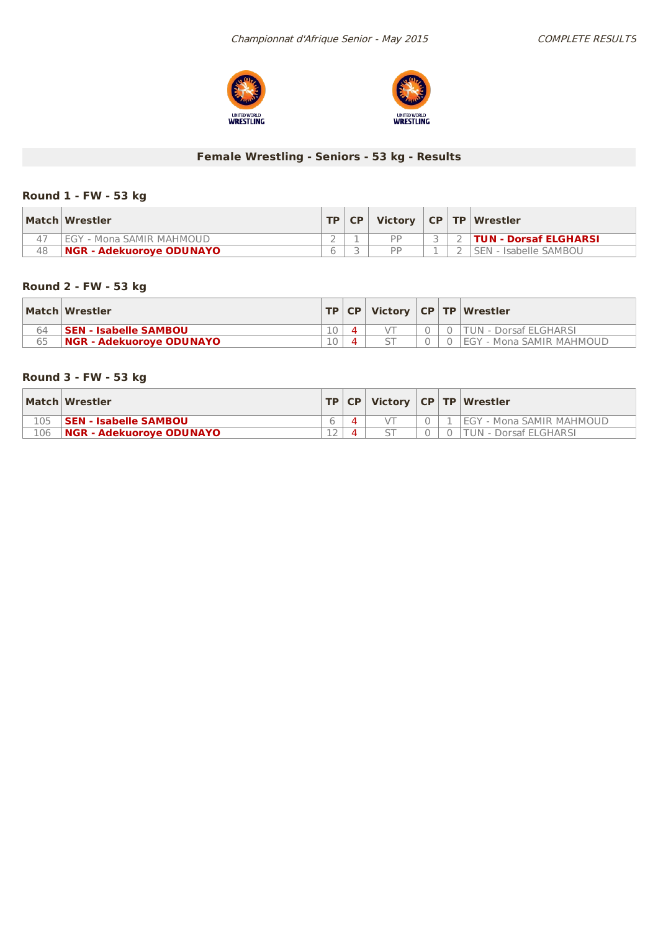



## **Female Wrestling - Seniors - 53 kg - Results**

## **Round 1 - FW - 53 kg**

|    | Match Wrestler                  |  | $TP   CP  $ Victory $  CP   TP  $ Wrestler |  |                              |
|----|---------------------------------|--|--------------------------------------------|--|------------------------------|
|    | I EGY - Mona SAMIR MAHMOUD      |  | <b>DD</b>                                  |  | <b>TUN - Dorsaf ELGHARSI</b> |
| 48 | <b>NGR - Adekuorove ODUNAYO</b> |  | <b>DD</b>                                  |  | 'SEN - Isabelle SAMBOU       |

## **Round 2 - FW - 53 kg**

|    | Match Wrestler                  |    |  |  | TP   CP   Victory   CP   TP   Wrestler |
|----|---------------------------------|----|--|--|----------------------------------------|
| 64 | <b>SEN - Isabelle SAMBOU</b>    |    |  |  | TUN - Dorsaf ELGHARSI                  |
| 65 | <b>NGR - Adekuorove ODUNAYO</b> | 10 |  |  | 'EGY - Mona SAMIR MAHMOUD              |

## **Round 3 - FW - 53 kg**

|     | Match Wrestler                  |  |  | $ TP CP $ Victory $ CP TP $ Wrestler |
|-----|---------------------------------|--|--|--------------------------------------|
| 105 | <b>SEN - Isabelle SAMBOU</b>    |  |  | l EGY - Mona SAMIR MAHMOUD           |
| 106 | <b>NGR - Adekuorove ODUNAYO</b> |  |  | UN - Dorsaf ELGHARSI                 |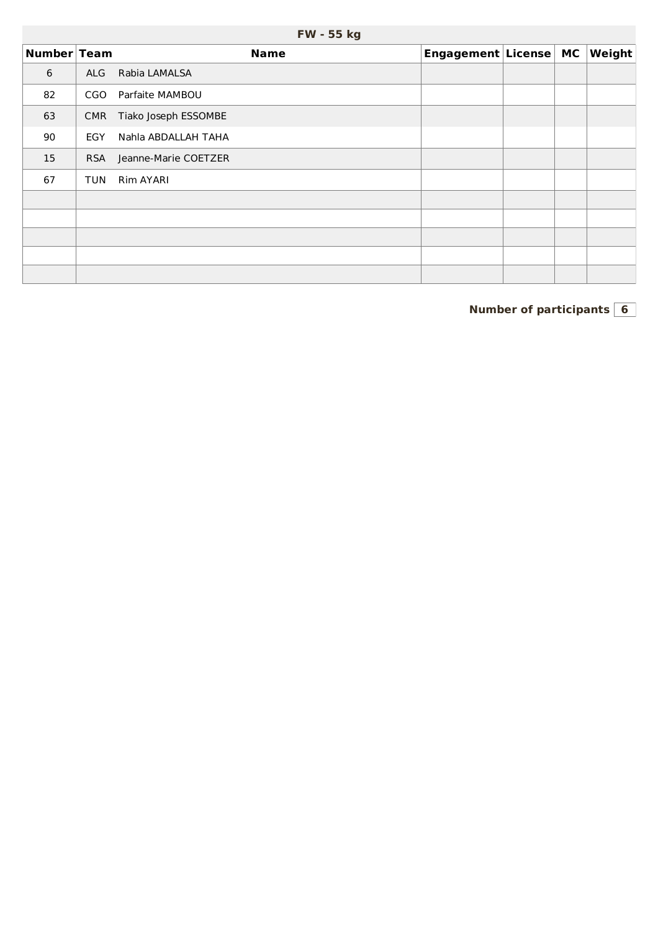|             |            | <b>FW - 55 kg</b>    |                       |  |        |
|-------------|------------|----------------------|-----------------------|--|--------|
| Number Team |            | <b>Name</b>          | Engagement License MC |  | Weight |
| 6           | ALG        | Rabia LAMALSA        |                       |  |        |
| 82          | CGO        | Parfaite MAMBOU      |                       |  |        |
| 63          | <b>CMR</b> | Tiako Joseph ESSOMBE |                       |  |        |
| 90          | <b>EGY</b> | Nahla ABDALLAH TAHA  |                       |  |        |
| 15          | <b>RSA</b> | Jeanne-Marie COETZER |                       |  |        |
| 67          | TUN        | Rim AYARI            |                       |  |        |
|             |            |                      |                       |  |        |
|             |            |                      |                       |  |        |
|             |            |                      |                       |  |        |
|             |            |                      |                       |  |        |
|             |            |                      |                       |  |        |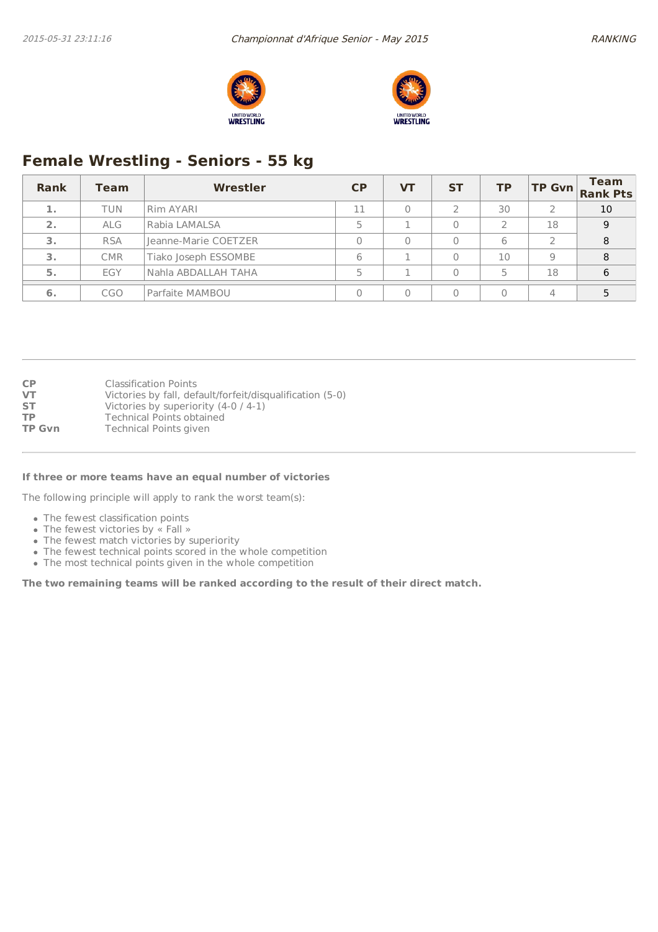



# **Female Wrestling - Seniors - 55 kg**

| Rank | Team       | Wrestler             | CP | <b>VT</b> | <b>ST</b> | <b>TP</b> |               | <b>Team</b><br>TP Gvn Rank Pts |
|------|------------|----------------------|----|-----------|-----------|-----------|---------------|--------------------------------|
| 1.   | TUN        | Rim AYARI            | 11 |           |           | 30        |               | 10                             |
| 2.   | <b>ALG</b> | Rabia LAMALSA        |    |           |           |           | 18            | 9                              |
| 3.   | <b>RSA</b> | Jeanne-Marie COETZER |    | $\Omega$  |           | 6         | $\mathcal{D}$ | 8                              |
| 3.   | <b>CMR</b> | Tiako Joseph ESSOMBE | 6  |           |           | 10        | 9             | 8                              |
| 5.   | EGY        | Nahla ABDALLAH TAHA  |    |           | 0         | 5         | 18            | 6                              |
| 6.   | <b>CGO</b> | Parfaite MAMBOU      |    |           |           |           | 4             |                                |

#### **If three or more teams have an equal number of victories**

The following principle will apply to rank the worst team(s):

- The fewest classification points
- The fewest victories by « Fall »
- The fewest match victories by superiority
- The fewest technical points scored in the whole competition
- The most technical points given in the whole competition

**The two remaining teams will be ranked according to the result of their direct match.**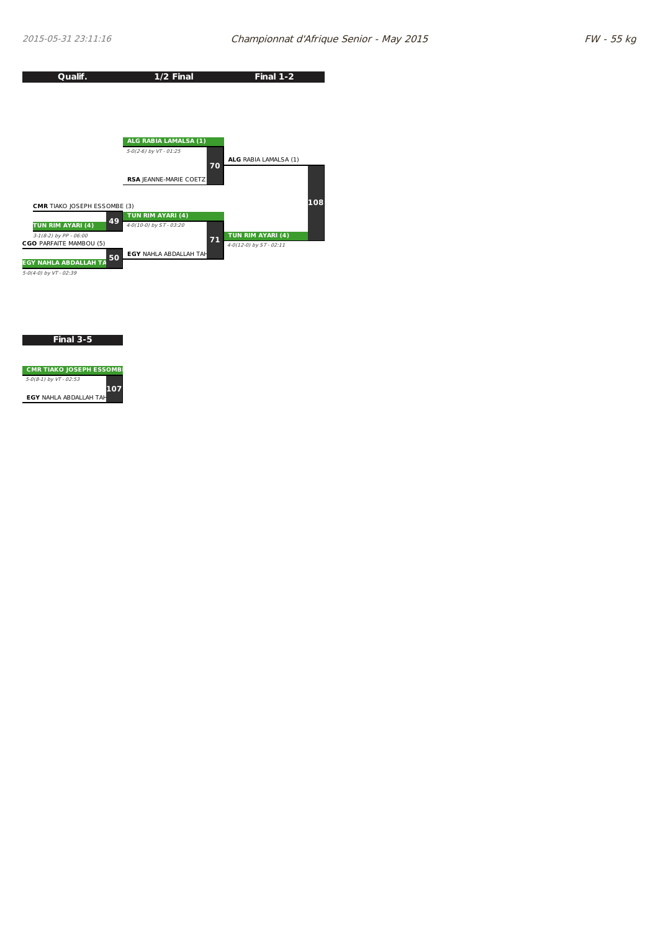

**Final 3-5**

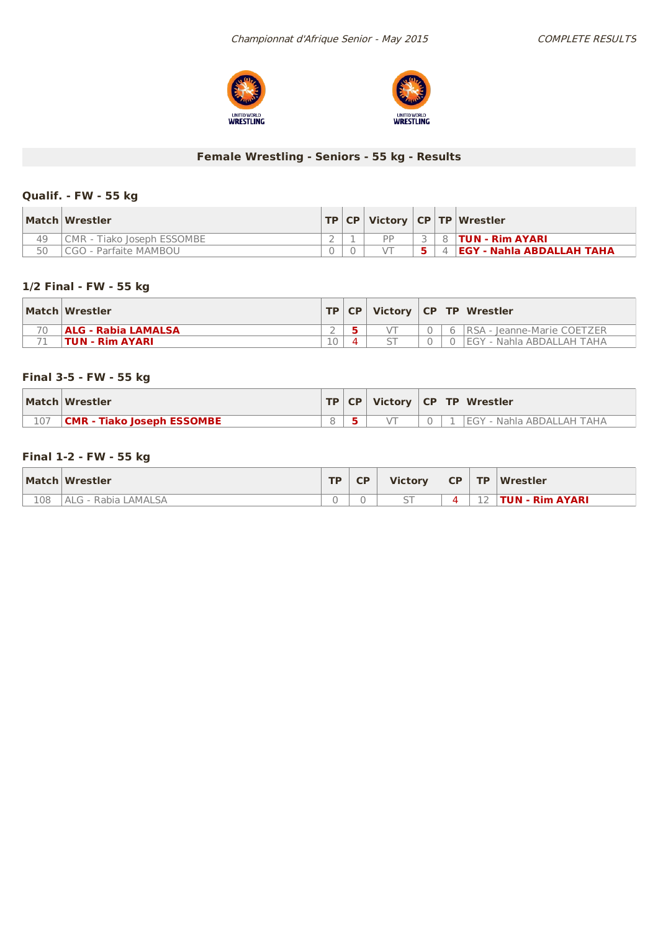



## **Female Wrestling - Seniors - 55 kg - Results**

## **Qualif. - FW -55 kg**

|    | Match Wrestler                    |  |    |  | TP   CP   Victory   CP   TP   Wrestler |
|----|-----------------------------------|--|----|--|----------------------------------------|
| 49 | <b>CMR - Tiako Joseph ESSOMBE</b> |  | DD |  | 8 <b>TUN - Rim AYARI</b>               |
| 50 | CGO - Parfaite MAMBOU             |  |    |  | <b>EGY - Nahla ABDALLAH TAHA</b>       |

## **1/2 Final - FW - 55 kg**

| Match Wrestler             |  |  | TP CP   Victory   CP   TP   Wrestler |
|----------------------------|--|--|--------------------------------------|
| <b>ALG - Rabia LAMALSA</b> |  |  | 6   RSA - Jeanne-Marie COETZER       |
| 'TUN - Rim AYARI           |  |  | <b>IEGY - Nahla ABDALLAH TAHA</b>    |

## **Final 3-5 - FW -55 kg**

| Match Wrestler                    |  |  | $\vert$ TP $\vert$ CP $\vert$ Victory $\vert$ CP $\vert$ TP $\vert$ Wrestler |
|-----------------------------------|--|--|------------------------------------------------------------------------------|
| <b>CMR - Tiako Joseph ESSOMBE</b> |  |  | EGY - Nahla ABDALLAH TAHA                                                    |

### **Final 1-2 - FW -55 kg**

|     | Match Wrestler      | TD. | <b>CP</b> | <b>Victory</b> | CP | <b>TP</b> | Wrestler        |
|-----|---------------------|-----|-----------|----------------|----|-----------|-----------------|
| 108 | ALG - Rabia LAMALSA | 0   |           |                |    | 12<br>∸   | TUN - Rim AYARI |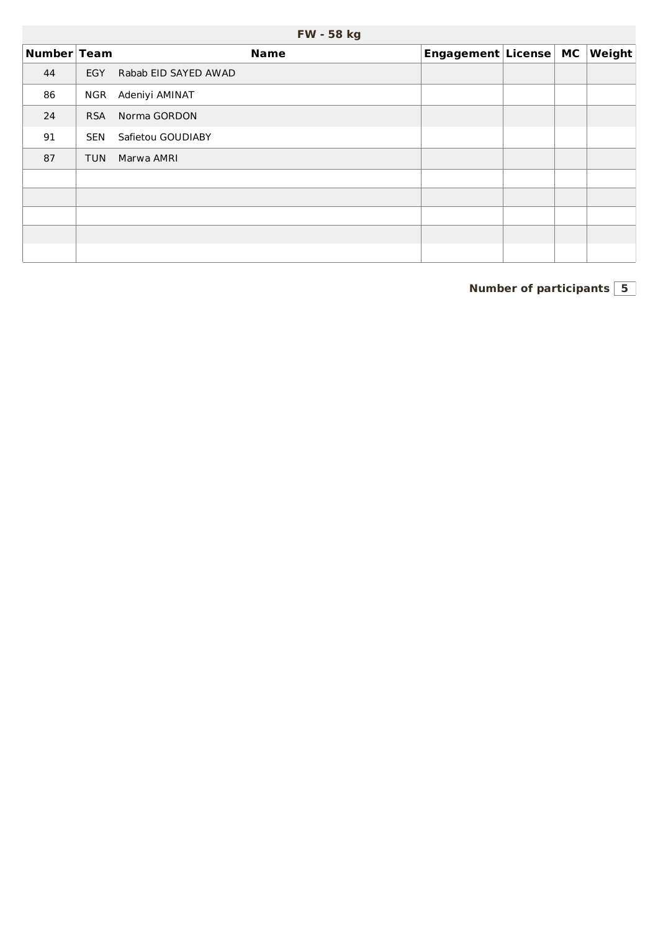|             |            | .                    |                       |  |                        |
|-------------|------------|----------------------|-----------------------|--|------------------------|
| Number Team |            | <b>Name</b>          | Engagement License MC |  | $\vert$ Weight $\vert$ |
| 44          | <b>EGY</b> | Rabab EID SAYED AWAD |                       |  |                        |
| 86          | NGR        | Adeniyi AMINAT       |                       |  |                        |
| 24          | <b>RSA</b> | Norma GORDON         |                       |  |                        |
| 91          | <b>SEN</b> | Safietou GOUDIABY    |                       |  |                        |
| 87          | <b>TUN</b> | Marwa AMRI           |                       |  |                        |
|             |            |                      |                       |  |                        |
|             |            |                      |                       |  |                        |
|             |            |                      |                       |  |                        |
|             |            |                      |                       |  |                        |
|             |            |                      |                       |  |                        |

## **FW - 58 kg**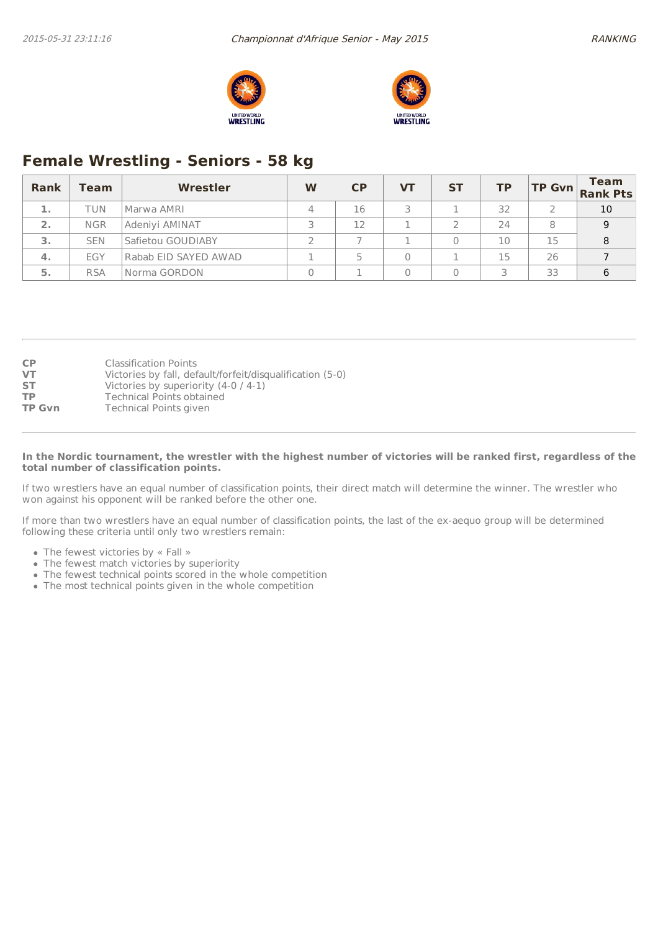



# **Female Wrestling - Seniors - 58 kg**

| <b>Rank</b> | Team       | Wrestler             | W | CP | VТ | <b>ST</b> | ΤP |    | <b>Team</b><br>$T$ P Gvn Rank Pts |
|-------------|------------|----------------------|---|----|----|-----------|----|----|-----------------------------------|
| 1.          | TUN        | Marwa AMRI           |   | 16 |    |           | 32 |    | 10                                |
| 2.          | <b>NGR</b> | Adeniyi AMINAT       |   | 12 |    |           | 24 | 8  | 9                                 |
| 3.          | <b>SEN</b> | Safietou GOUDIABY    |   |    |    |           | 10 | 15 | 8                                 |
| 4.          | EGY        | Rabab EID SAYED AWAD |   |    |    |           | 15 | 26 |                                   |
| 5.          | <b>RSA</b> | Norma GORDON         |   |    |    |           |    | 33 | 6                                 |

| <b>CP</b>     | <b>Classification Points</b>                              |
|---------------|-----------------------------------------------------------|
| <b>VT</b>     | Victories by fall, default/forfeit/disqualification (5-0) |
| <b>ST</b>     | Victories by superiority $(4-0/4-1)$                      |
| <b>TP</b>     | Technical Points obtained                                 |
| <b>TP Gvn</b> | <b>Technical Points given</b>                             |

#### In the Nordic tournament, the wrestler with the highest number of victories will be ranked first, regardless of the **total number of classification points.**

If two wrestlers have an equal number of classification points, their direct match will determine the winner. The wrestler who won against his opponent will be ranked before the other one.

If more than two wrestlers have an equal number of classification points, the last of the ex-aequo group will be determined following these criteria until only two wrestlers remain:

- The fewest victories by « Fall »
- The fewest match victories by superiority
- The fewest technical points scored in the whole competition
- The most technical points given in the whole competition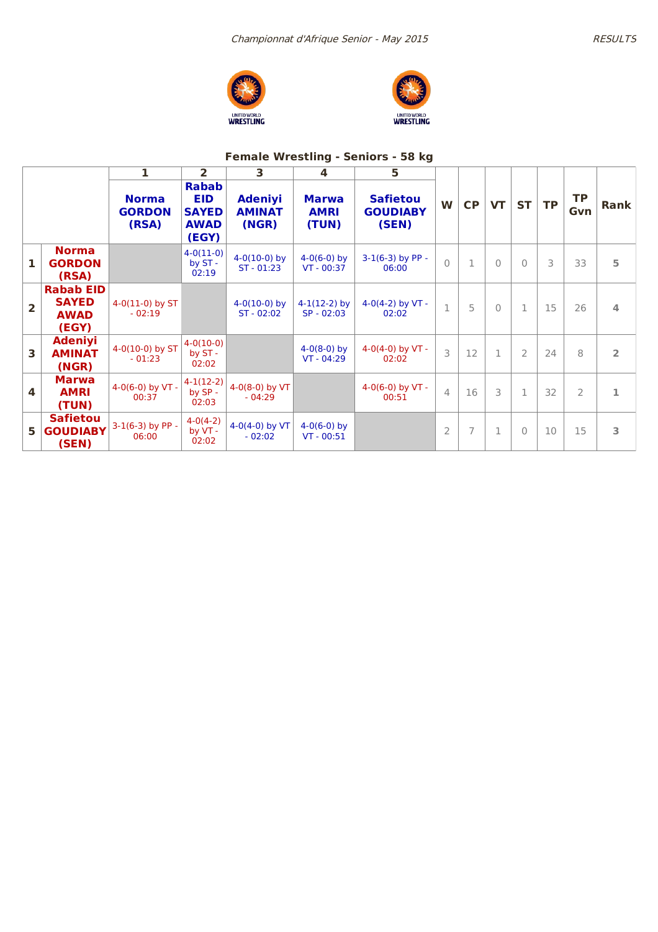



## **Female Wrestling - Seniors - 58 kg**

|              |                                                          | 1                                      | $\overline{2}$                                                     | 3                                        | 4                                    | 5                                           |                |                |           |                |           |                  |                |
|--------------|----------------------------------------------------------|----------------------------------------|--------------------------------------------------------------------|------------------------------------------|--------------------------------------|---------------------------------------------|----------------|----------------|-----------|----------------|-----------|------------------|----------------|
|              |                                                          | <b>Norma</b><br><b>GORDON</b><br>(RSA) | <b>Rabab</b><br><b>EID</b><br><b>SAYED</b><br><b>AWAD</b><br>(EGY) | <b>Adeniyi</b><br><b>AMINAT</b><br>(NGR) | <b>Marwa</b><br><b>AMRI</b><br>(TUN) | <b>Safietou</b><br><b>GOUDIABY</b><br>(SEN) | W              | CP             | <b>VT</b> | <b>ST</b>      | <b>TP</b> | <b>TP</b><br>Gvn | <b>Rank</b>    |
| $\mathbf{1}$ | <b>Norma</b><br><b>GORDON</b><br>(RSA)                   |                                        | $4 - 0(11 - 0)$<br>by ST -<br>02:19                                | $4-0(10-0)$ by<br>$ST - 01:23$           | $4-0(6-0)$ by<br>$VT - 00:37$        | $3-1(6-3)$ by PP -<br>06:00                 | $\bigcap$      | $\mathbf{1}$   | $\Omega$  | $\Omega$       | 3         | 33               | 5              |
| 2            | <b>Rabab EID</b><br><b>SAYED</b><br><b>AWAD</b><br>(EGY) | $4-0(11-0)$ by ST<br>$-02:19$          |                                                                    | $4-0(10-0)$ by<br>$ST - 02:02$           | $4-1(12-2)$ by<br>$SP - 02:03$       | $4-0(4-2)$ by VT -<br>02:02                 | $\mathbf{1}$   | 5              | $\Omega$  | $\mathbf{1}$   | 15        | 26               | 4              |
| 3            | <b>Adeniyi</b><br><b>AMINAT</b><br>(NGR)                 | 4-0(10-0) by ST<br>$-01:23$            | $4-0(10-0)$<br>by $ST -$<br>02:02                                  |                                          | $4-0(8-0)$ by<br>$VT - 04:29$        | 4-0(4-0) by $VT -$<br>02:02                 | 3              | 12             | 1         | $\overline{2}$ | 24        | 8                | $\overline{2}$ |
| 4            | <b>Marwa</b><br><b>AMRI</b><br>(TUN)                     | 4-0(6-0) by $VT -$<br>00:37            | $4-1(12-2)$<br>by SP -<br>02:03                                    | 4-0(8-0) by VT<br>$-04:29$               |                                      | $4-0(6-0)$ by VT -<br>00:51                 | $\Delta$       | 16             | 3         | $\mathbf 1$    | 32        | $\overline{2}$   | 1              |
| 5.           | <b>Safietou</b><br><b>GOUDIABY</b><br>(SEN)              | 3-1(6-3) by PP -<br>06:00              | $4-0(4-2)$<br>by VT -<br>02:02                                     | 4-0(4-0) by $VT$<br>$-02:02$             | $4-0(6-0)$ by<br>$VT - 00:51$        |                                             | $\overline{2}$ | $\overline{7}$ | 1         | $\Omega$       | 10        | 15               | 3              |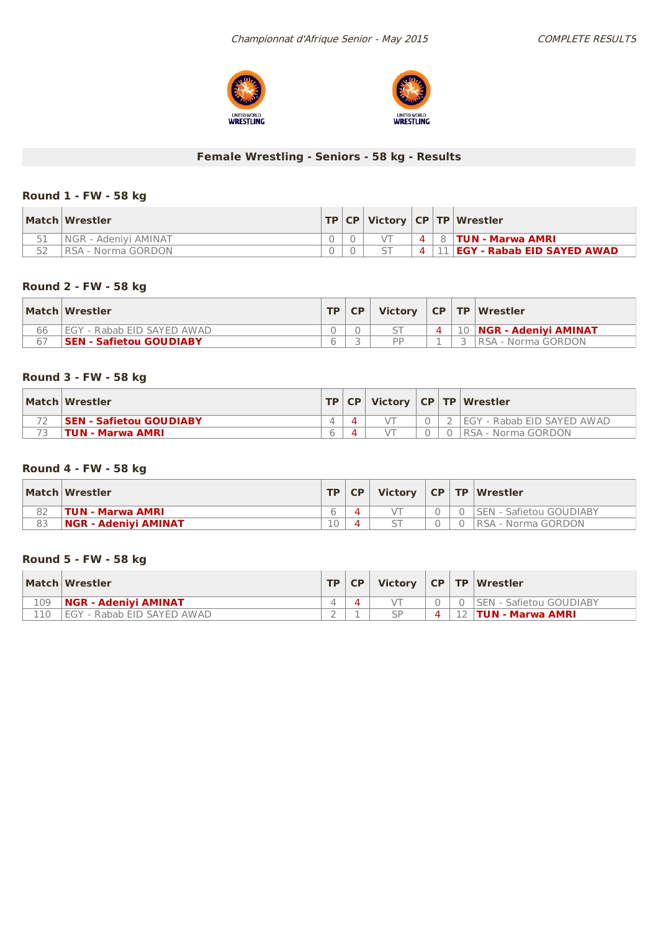



## **Female Wrestling - Seniors - 58 kg - Results**

## **Round 1 - FW - 58 kg**

| Match Wrestler        |  |                | TP   CP   Victory   CP   TP   Wrestler |
|-----------------------|--|----------------|----------------------------------------|
| INGR - Adenivi AMINAT |  | 4 <sup>1</sup> | 8   TUN - Marwa AMRI                   |
| RSA - Norma GORDON    |  | 4 <sup>1</sup> | 11   EGY - Rabab EID SAYED AWAD        |

## **Round 2 - FW - 58 kg**

|    | Match Wrestler                     | <b>TP</b> | <b>CP</b> | Victory $ CP TP Wrestler$ |  |                               |
|----|------------------------------------|-----------|-----------|---------------------------|--|-------------------------------|
| 66 | <b>IEGY - Rabab EID SAYED AWAD</b> |           |           |                           |  | 4   10   NGR - Adenivi AMINAT |
|    | <b>SEN - Safietou GOUDIABY</b>     |           |           | <b>DD</b>                 |  | √   RSA - Norma GORDON        |

### **Round 3 - FW - 58 kg**

| Match Wrestler                  |  |  | TP   CP   Victory   CP   TP   Wrestler |
|---------------------------------|--|--|----------------------------------------|
| <b>ISEN - Safietou GOUDIABY</b> |  |  | I FGY - Rabab EID SAYED AWAD           |
| <b>TUN - Marwa AMRI</b>         |  |  | RSA - Norma GORDON                     |

### **Round 4 - FW - 58 kg**

|    | Match Wrestler              | <b>TP CP</b> |  | Victory $ CP TP Wrestler$      |
|----|-----------------------------|--------------|--|--------------------------------|
|    | <b>TUN - Marwa AMRI</b>     |              |  | <b>SEN - Safietou GOUDIABY</b> |
| 83 | <b>NGR - Adeniyi AMINAT</b> |              |  | RSA - Norma GORDON             |

## **Round 5 - FW - 58 kg**

|     | Match Wrestler              | <b>TP</b> | CP. |  | Victory   CP   TP   Wrestler   |
|-----|-----------------------------|-----------|-----|--|--------------------------------|
| 109 | <b>NGR - Adenivi AMINAT</b> |           |     |  | <b>SEN - Safietou GOUDIABY</b> |
| 110 | EGY - Rabab EID SAYED AWAD  |           |     |  | <b>TUN - Marwa AMRI</b>        |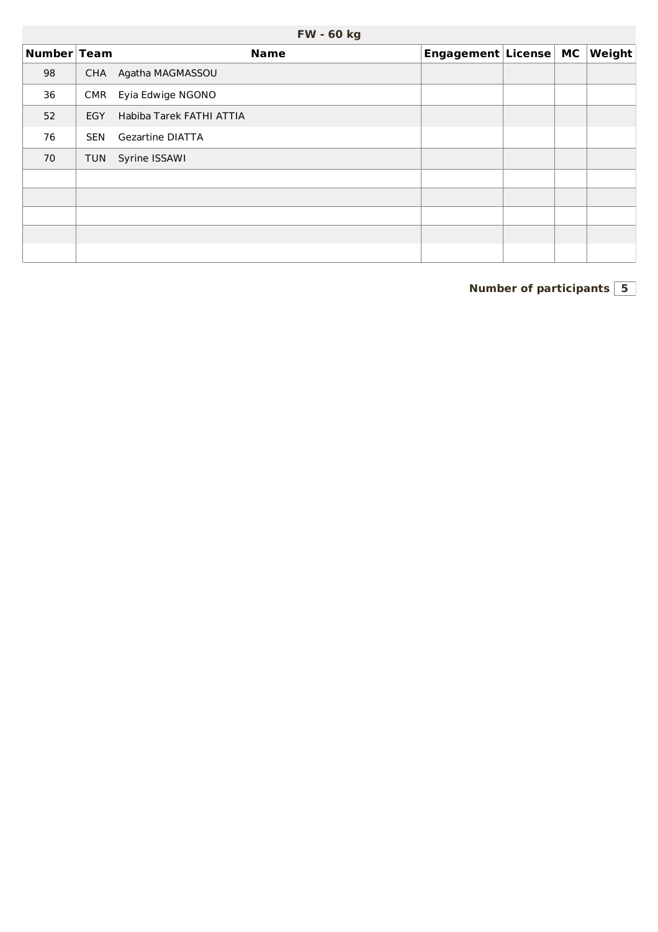|             | <b>FW - 60 kg</b> |                          |                       |  |  |                        |  |  |  |  |  |  |
|-------------|-------------------|--------------------------|-----------------------|--|--|------------------------|--|--|--|--|--|--|
| Number Team |                   | <b>Name</b>              | Engagement License MC |  |  | $\vert$ Weight $\vert$ |  |  |  |  |  |  |
| 98          | <b>CHA</b>        | Agatha MAGMASSOU         |                       |  |  |                        |  |  |  |  |  |  |
| 36          | <b>CMR</b>        | Eyia Edwige NGONO        |                       |  |  |                        |  |  |  |  |  |  |
| 52          | EGY               | Habiba Tarek FATHI ATTIA |                       |  |  |                        |  |  |  |  |  |  |
| 76          | <b>SEN</b>        | <b>Gezartine DIATTA</b>  |                       |  |  |                        |  |  |  |  |  |  |
| 70          | <b>TUN</b>        | Syrine ISSAWI            |                       |  |  |                        |  |  |  |  |  |  |
|             |                   |                          |                       |  |  |                        |  |  |  |  |  |  |
|             |                   |                          |                       |  |  |                        |  |  |  |  |  |  |
|             |                   |                          |                       |  |  |                        |  |  |  |  |  |  |
|             |                   |                          |                       |  |  |                        |  |  |  |  |  |  |
|             |                   |                          |                       |  |  |                        |  |  |  |  |  |  |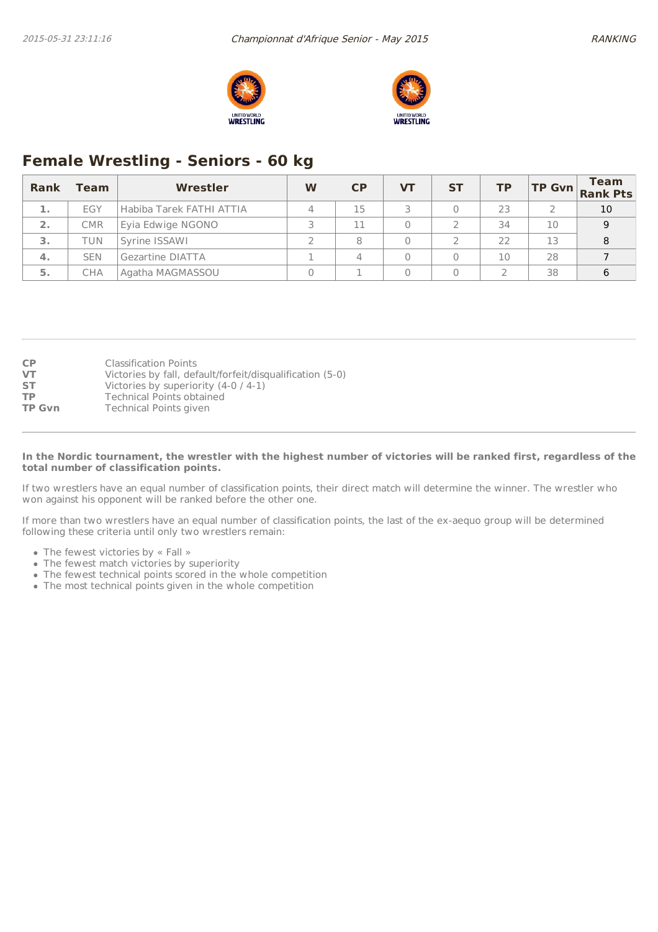



# **Female Wrestling - Seniors - 60 kg**

| <b>Rank</b> | Team       | <b>Wrestler</b>          | W | CP | VТ | <b>ST</b> | <b>TP</b> |    | <b>Team</b><br>TP Gvn Rank Pts |
|-------------|------------|--------------------------|---|----|----|-----------|-----------|----|--------------------------------|
| ak a        | EGY        | Habiba Tarek FATHI ATTIA |   | 15 |    |           | 23        |    | 10                             |
| 2.          | <b>CMR</b> | Eyia Edwige NGONO        |   | 11 |    |           | 34        | 10 | 9                              |
| з.          | TUN        | Syrine ISSAWI            |   |    |    |           | 22        | 13 | 8                              |
| -4.         | <b>SEN</b> | Gezartine DIATTA         |   |    |    |           | 10        | 28 |                                |
| 5.          | CHA        | Agatha MAGMASSOU         |   |    |    |           |           | 38 | 6                              |

| <b>CP</b>     | <b>Classification Points</b>                              |
|---------------|-----------------------------------------------------------|
| <b>VT</b>     | Victories by fall, default/forfeit/disqualification (5-0) |
| <b>ST</b>     | Victories by superiority $(4-0/4-1)$                      |
| <b>TP</b>     | Technical Points obtained                                 |
| <b>TP Gvn</b> | <b>Technical Points given</b>                             |

#### In the Nordic tournament, the wrestler with the highest number of victories will be ranked first, regardless of the **total number of classification points.**

If two wrestlers have an equal number of classification points, their direct match will determine the winner. The wrestler who won against his opponent will be ranked before the other one.

If more than two wrestlers have an equal number of classification points, the last of the ex-aequo group will be determined following these criteria until only two wrestlers remain:

- The fewest victories by « Fall »
- The fewest match victories by superiority
- The fewest technical points scored in the whole competition
- The most technical points given in the whole competition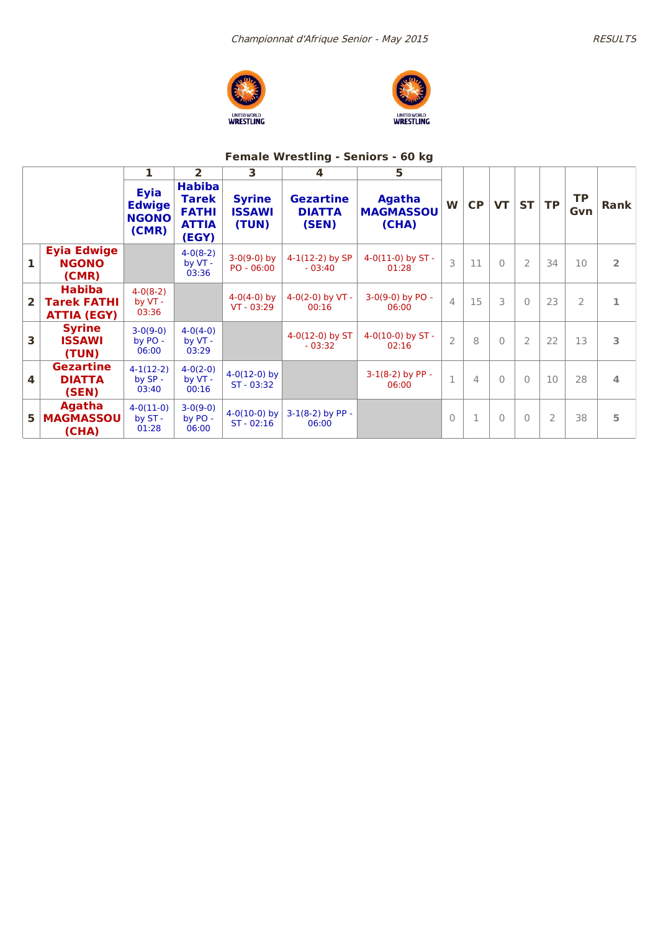



## **Female Wrestling - Seniors - 60 kg**

|                         |                                                           | 1                                                     | 2                                                                      | 3                                       | 4                                          | 5                                          |                |    |              |                |                |                  |                |
|-------------------------|-----------------------------------------------------------|-------------------------------------------------------|------------------------------------------------------------------------|-----------------------------------------|--------------------------------------------|--------------------------------------------|----------------|----|--------------|----------------|----------------|------------------|----------------|
|                         |                                                           | <b>Eyia</b><br><b>Edwige</b><br><b>NGONO</b><br>(CMR) | <b>Habiba</b><br><b>Tarek</b><br><b>FATHI</b><br><b>ATTIA</b><br>(EGY) | <b>Syrine</b><br><b>ISSAWI</b><br>(TUN) | <b>Gezartine</b><br><b>DIATTA</b><br>(SEN) | <b>Agatha</b><br><b>MAGMASSOU</b><br>(CHA) | W              | CP | <b>VT</b>    | <b>ST</b>      | <b>TP</b>      | <b>TP</b><br>Gvn | <b>Rank</b>    |
| $\mathbf{1}$            | <b>Eyia Edwige</b><br><b>NGONO</b><br>(CMR)               |                                                       | $4-0(8-2)$<br>by VT -<br>03:36                                         | $3-0(9-0)$ by<br>$PO - 06:00$           | $4-1(12-2)$ by SP<br>$-03:40$              | $4-0(11-0)$ by ST -<br>01:28               | 3              | 11 | $\Omega$     | $\overline{2}$ | 34             | 10               | $\overline{2}$ |
| $\overline{2}$          | <b>Habiba</b><br><b>Tarek FATHI</b><br><b>ATTIA (EGY)</b> | $4-0(8-2)$<br>by VT -<br>03:36                        |                                                                        | $4-0(4-0)$ by<br>$VT - 03:29$           | 4-0(2-0) by $VT -$<br>00:16                | $3-0(9-0)$ by PO -<br>06:00                | $\overline{4}$ | 15 | 3            | $\Omega$       | 23             | $\overline{2}$   | 1              |
| 3                       | <b>Syrine</b><br><b>ISSAWI</b><br>(TUN)                   | $3-0(9-0)$<br>by PO -<br>06:00                        | $4-0(4-0)$<br>by VT -<br>03:29                                         |                                         | $4-0(12-0)$ by ST<br>$-03:32$              | 4-0(10-0) by $ST -$<br>02:16               | $\overline{2}$ | 8  | $\Omega$     | $\overline{2}$ | 22             | 13               | 3              |
| $\overline{\mathbf{A}}$ | <b>Gezartine</b><br><b>DIATTA</b><br>(SEN)                | $4-1(12-2)$<br>$by SP -$<br>03:40                     | $4-0(2-0)$<br>by VT -<br>00:16                                         | $4-0(12-0)$ by<br>ST - 03:32            |                                            | $3-1(8-2)$ by PP -<br>06:00                | $\mathbf{1}$   | 4  | $\Omega$     | $\Omega$       | 10             | 28               | 4              |
| 5                       | <b>Agatha</b><br><b>MAGMASSOU</b><br>(CHA)                | $4-0(11-0)$<br>by ST -<br>01:28                       | $3-0(9-0)$<br>by PO -<br>06:00                                         | $4-0(10-0)$ by<br>$ST - 02:16$          | $3-1(8-2)$ by PP -<br>06:00                |                                            | $\Omega$       |    | $\mathbf{0}$ | $\Omega$       | $\overline{2}$ | 38               | 5              |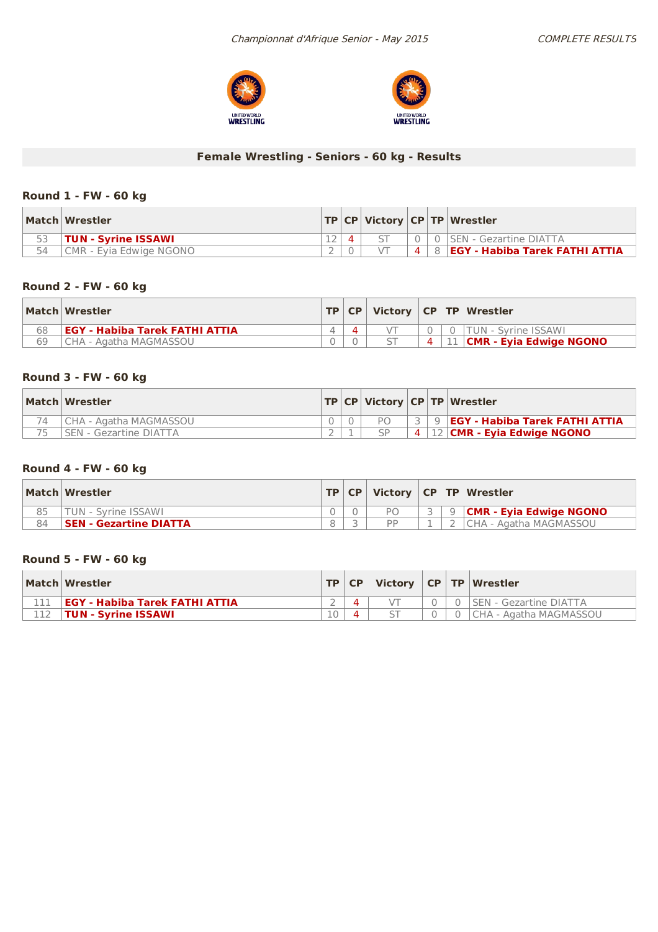



## **Female Wrestling - Seniors - 60 kg - Results**

## **Round 1 - FW - 60 kg**

|    | Match Wrestler                 |  |  | $ TP CP $ Victory $ CP TP $ Wrestler           |
|----|--------------------------------|--|--|------------------------------------------------|
|    | <b>TUN - Syrine ISSAWI</b>     |  |  | 0 SEN - Gezartine DIATTA                       |
| 54 | <b>CMR - Evia Edwige NGONO</b> |  |  | $4 \mid 8 \mid$ EGY - Habiba Tarek FATHI ATTIA |

## **Round 2 - FW - 60 kg**

|    | Match Wrestler                         |  |  | $\top$ TP $ $ CP $ $ Victory $ $ CP $ $ TP $ $ Wrestler |
|----|----------------------------------------|--|--|---------------------------------------------------------|
| 68 | <b>LEGY - Habiba Tarek FATHI ATTIA</b> |  |  | 0   TUN - Svrine ISSAWI                                 |
| 69 | I CHA - Agatha MAGMASSOU               |  |  | $4 \mid 11 \mid$ CMR - Eyia Edwige NGONO                |

## **Round 3 - FW - 60 kg**

| Match Wrestler         |  |  | TP   CP   Victory   CP   TP   Wrestler    |
|------------------------|--|--|-------------------------------------------|
| CHA - Agatha MAGMASSOU |  |  | 3 9 <b>EGY - Habiba Tarek FATHI ATTIA</b> |
| SEN - Gezartine DIATTA |  |  | 4   12   CMR - Eyia Edwige NGONO          |

### **Round 4 - FW - 60 kg**

|    | Match Wrestler         |  |  | TP CP   Victory   CP   TP   Wrestler |
|----|------------------------|--|--|--------------------------------------|
|    | TUN - Svrine ISSAWI    |  |  | │ 9 <b> CMR - Evia Edwige NGONO</b>  |
| 84 | SEN - Gezartine DIATTA |  |  | CHA - Agatha MAGMASSOU               |

## **Round 5 - FW - 60 kg**

| Match Wrestler                        |    | $TP   CP  $ Victory $  CP   TP  $ Wrestler |  |                               |
|---------------------------------------|----|--------------------------------------------|--|-------------------------------|
| <b>EGY - Habiba Tarek FATHI ATTIA</b> |    |                                            |  | <b>SEN - Gezartine DIATTA</b> |
| <b>TUN - Syrine ISSAWI</b>            | 10 |                                            |  | I CHA - Agatha MAGMASSOU      |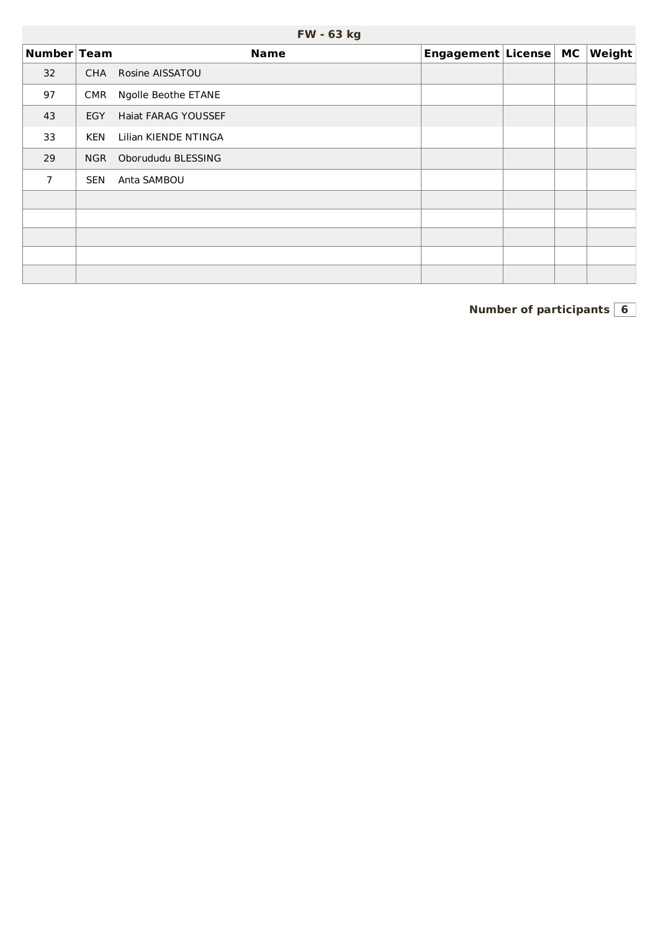| FW - 63 kg |  |  |
|------------|--|--|
|------------|--|--|

| Number Team    |            | <b>Name</b>                | Engagement License MC |  | Weight |
|----------------|------------|----------------------------|-----------------------|--|--------|
| 32             | CHA        | Rosine AISSATOU            |                       |  |        |
| 97             | <b>CMR</b> | Ngolle Beothe ETANE        |                       |  |        |
| 43             | <b>EGY</b> | <b>Haiat FARAG YOUSSEF</b> |                       |  |        |
| 33             | <b>KEN</b> | Lilian KIENDE NTINGA       |                       |  |        |
| 29             | <b>NGR</b> | Oborududu BLESSING         |                       |  |        |
| $\overline{7}$ | <b>SEN</b> | Anta SAMBOU                |                       |  |        |
|                |            |                            |                       |  |        |
|                |            |                            |                       |  |        |
|                |            |                            |                       |  |        |
|                |            |                            |                       |  |        |
|                |            |                            |                       |  |        |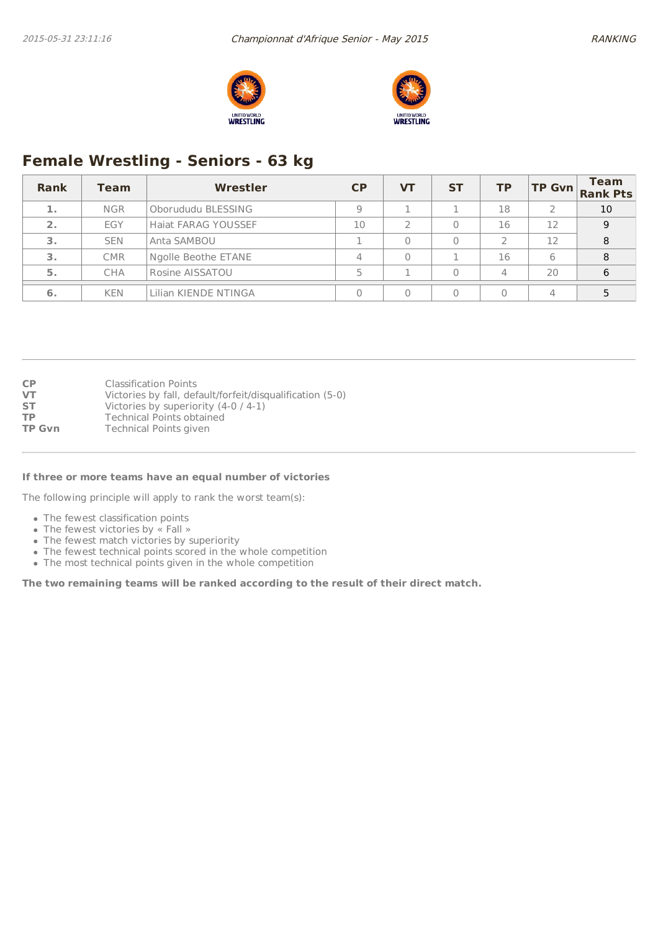



# **Female Wrestling - Seniors - 63 kg**

| Rank | <b>Team</b> | Wrestler             | CP | <b>VT</b> | <b>ST</b> | <b>TP</b> | <b>TP Gvn</b> | <b>Team</b><br><b>Rank Pts</b> |
|------|-------------|----------------------|----|-----------|-----------|-----------|---------------|--------------------------------|
| 1.   | <b>NGR</b>  | Oborududu BLESSING   |    |           |           | 18        |               | 10                             |
| 2.   | EGY         | Haiat FARAG YOUSSEF  | 10 |           |           | 16        | 12            | 9                              |
| з.   | <b>SEN</b>  | Anta SAMBOU          |    |           |           |           | 12            | 8                              |
| 3.   | <b>CMR</b>  | Ngolle Beothe ETANE  | 4  |           |           | 16        | 6             | 8                              |
| 5.   | CHA         | Rosine AISSATOU      |    |           |           | 4         | 20            | 6                              |
| 6.   | <b>KEN</b>  | Lilian KIENDE NTINGA |    |           |           |           | $\Delta$      |                                |

| <b>CP</b>     | <b>Classification Points</b>                              |
|---------------|-----------------------------------------------------------|
| VT            | Victories by fall, default/forfeit/disqualification (5-0) |
| <b>ST</b>     | Victories by superiority $(4-0/4-1)$                      |
| <b>TP</b>     | <b>Technical Points obtained</b>                          |
| <b>TP Gvn</b> | <b>Technical Points given</b>                             |
|               |                                                           |

#### **If three or more teams have an equal number of victories**

The following principle will apply to rank the worst team(s):

- The fewest classification points
- The fewest victories by « Fall »
- The fewest match victories by superiority
- The fewest technical points scored in the whole competition
- The most technical points given in the whole competition

**The two remaining teams will be ranked according to the result of their direct match.**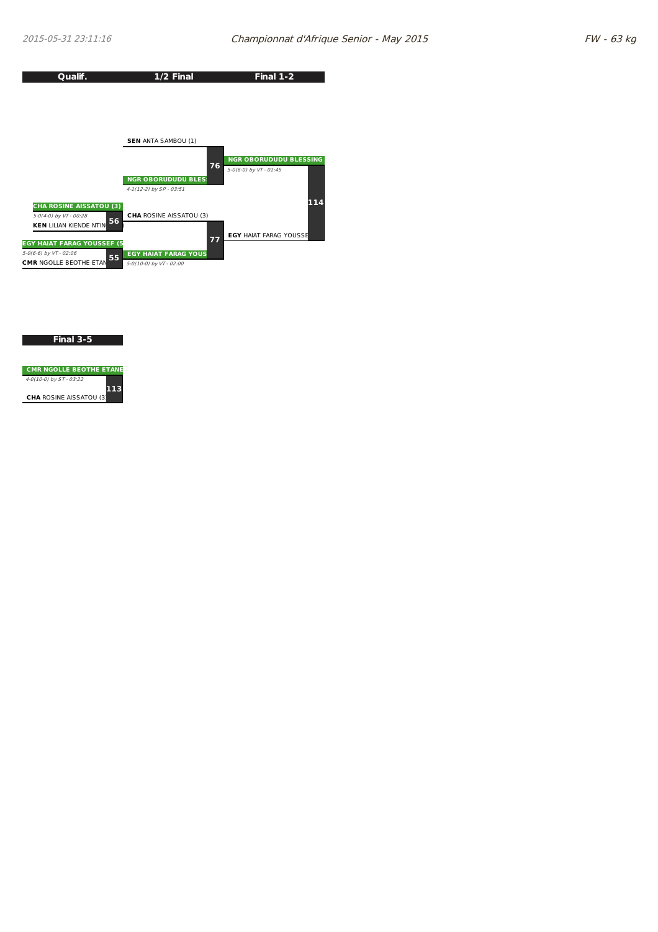

#### **Final 3-5**

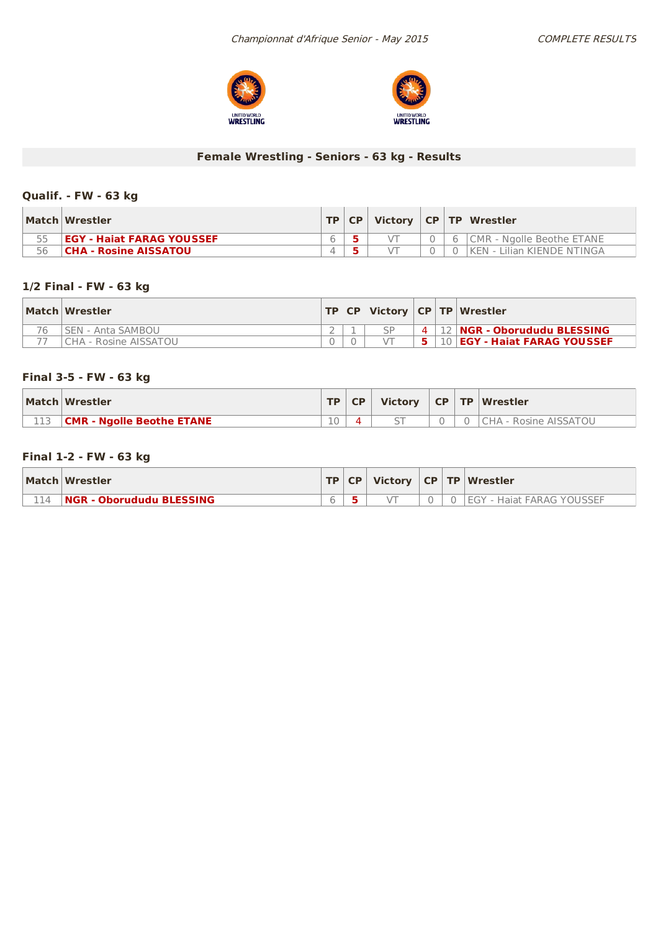



## **Female Wrestling - Seniors - 63 kg - Results**

## **Qualif. - FW -63 kg**

|    | Match Wrestler                   | TP | <b>CP</b> | Victory |  | CP TP Wrestler             |
|----|----------------------------------|----|-----------|---------|--|----------------------------|
| 55 | <b>EGY - Haiat FARAG YOUSSEF</b> |    |           |         |  | CMR - Ngolle Beothe ETANE  |
| 56 | CHA - Rosine AISSATOU            |    |           |         |  | KEN - Lilian KIENDE NTINGA |

## **1/2 Final - FW - 63 kg**

| Match Wrestler          |  |  | TP   CP   Victory   CP   TP   Wrestler |
|-------------------------|--|--|----------------------------------------|
| SEN - Anta SAMBOU       |  |  | . 12 <b>NGR - Oborududu BLESSING</b>   |
| l CHA - Rosine AISSATOU |  |  | 10 <b>EGY - Haiat FARAG YOUSSEF</b>    |

### **Final 3-5 - FW -63 kg**

| Match Wrestler                   | TD.    | <b>CP</b> | Victory                  |  | CP   TP   Wrestler    |
|----------------------------------|--------|-----------|--------------------------|--|-----------------------|
| <b>CMR - Ngolle Beothe ETANE</b> | $\sim$ |           | $\overline{\phantom{m}}$ |  | CHA - Rosine AISSATOU |

## **Final 1-2 - FW -63 kg**

|     | Match Wrestler                  |  |  | TP CP Victory CP TP Wrestler      |
|-----|---------------------------------|--|--|-----------------------------------|
| 114 | <b>NGR - Oborududu BLESSING</b> |  |  | <b>IEGY - Haiat FARAG YOUSSEF</b> |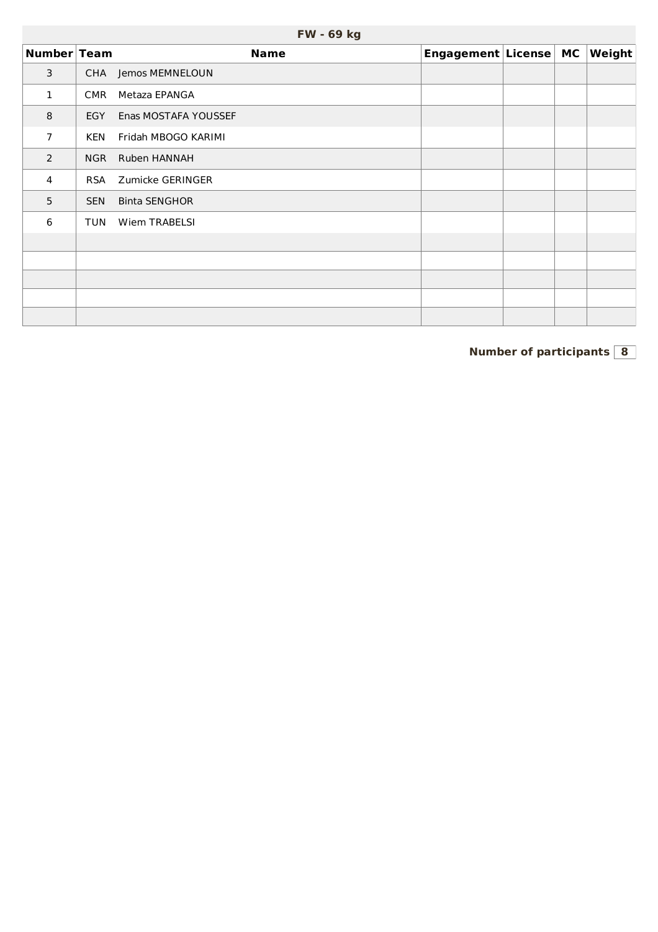| Number Team    |            | <b>Name</b>          | Engagement License MC |  | Weight |
|----------------|------------|----------------------|-----------------------|--|--------|
| 3              | CHA        | Jemos MEMNELOUN      |                       |  |        |
| 1              | <b>CMR</b> | Metaza EPANGA        |                       |  |        |
| 8              | <b>EGY</b> | Enas MOSTAFA YOUSSEF |                       |  |        |
| $\overline{7}$ | <b>KEN</b> | Fridah MBOGO KARIMI  |                       |  |        |
| $\overline{2}$ | NGR        | Ruben HANNAH         |                       |  |        |
| 4              | <b>RSA</b> | Zumicke GERINGER     |                       |  |        |
| 5              | <b>SEN</b> | <b>Binta SENGHOR</b> |                       |  |        |
| 6              | <b>TUN</b> | Wiem TRABELSI        |                       |  |        |
|                |            |                      |                       |  |        |
|                |            |                      |                       |  |        |
|                |            |                      |                       |  |        |
|                |            |                      |                       |  |        |
|                |            |                      |                       |  |        |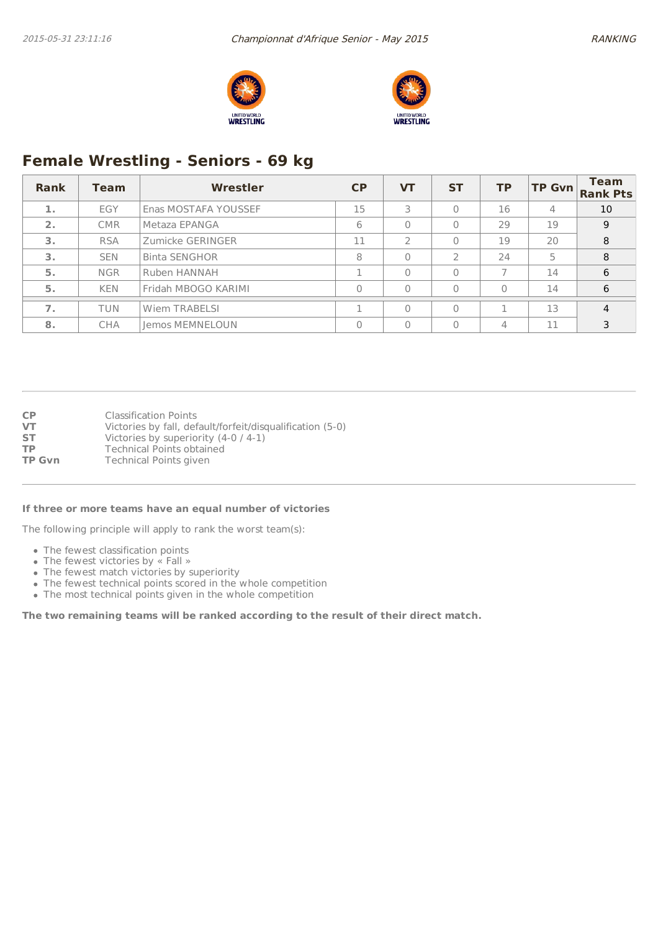



# **Female Wrestling - Seniors - 69 kg**

| Rank             | Team       | <b>Wrestler</b>        | <b>CP</b> | <b>VT</b> | <b>ST</b>     | <b>TP</b> | <b>TP Gvn</b> | <b>Team</b><br><b>Rank Pts</b> |
|------------------|------------|------------------------|-----------|-----------|---------------|-----------|---------------|--------------------------------|
| 1.               | EGY        | Enas MOSTAFA YOUSSEF   | 15        | 3         | 0             | 16        | 4             | 10                             |
| $\overline{2}$ . | <b>CMR</b> | Metaza EPANGA          | 6         | $\Omega$  | $\Omega$      | 29        | 19            | 9                              |
| 3.               | <b>RSA</b> | Zumicke GERINGER       | 11        |           | $\theta$      | 19        | 20            | 8                              |
| 3.               | <b>SEN</b> | <b>Binta SENGHOR</b>   | 8         | $\Omega$  | $\mathcal{L}$ | 24        | 5             | 8                              |
| 5.               | <b>NGR</b> | Ruben HANNAH           |           | $\Omega$  | $\Omega$      |           | 14            | 6                              |
| 5.               | <b>KEN</b> | Fridah MBOGO KARIMI    |           | $\Omega$  | $\Omega$      | $\Omega$  | 14            | 6                              |
| $\overline{7}$ . | <b>TUN</b> | Wiem TRABELSI          |           | $\Omega$  | $\Omega$      |           | 13            | 4                              |
| 8.               | <b>CHA</b> | <b>Jemos MEMNELOUN</b> |           | $\Omega$  | $\Omega$      | 4         | 11            | 3                              |

**CP** Classification Points **VT** Victories by fall, default/forfeit/disqualification (5-0) **ST** Victories by superiority (4-0 / 4-1)<br> **TP** Technical Points obtained **TP** Technical Points obtained<br> **TP Gvn** Technical Points given **Technical Points given** 

#### **If three or more teams have an equal number of victories**

The following principle will apply to rank the worst team(s):

- The fewest classification points
- The fewest victories by « Fall »
- The fewest match victories by superiority
- The fewest technical points scored in the whole competition
- The most technical points given in the whole competition

**The two remaining teams will be ranked according to the result of their direct match.**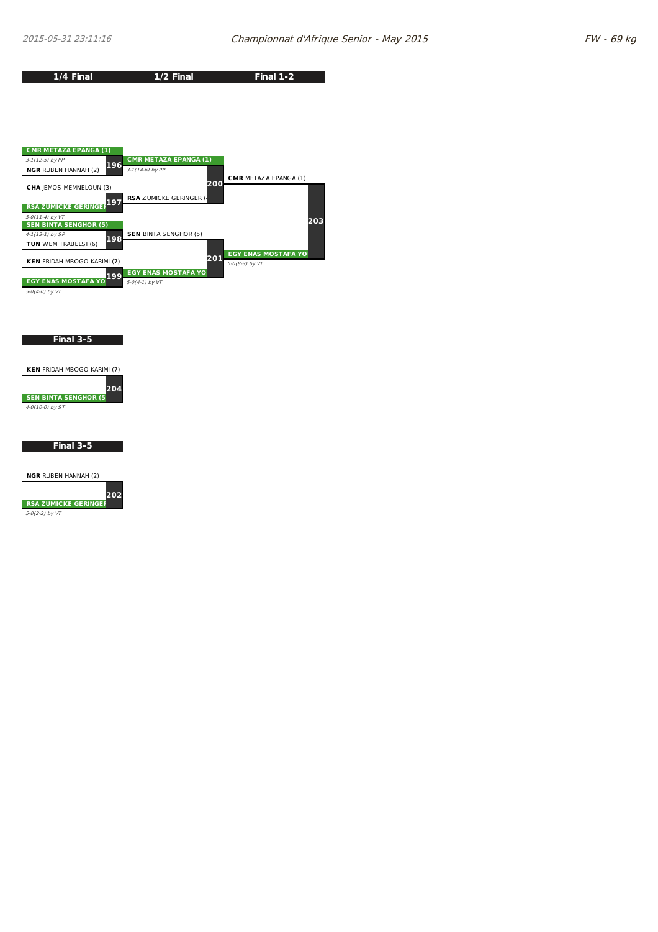**1/4 Final**

**Final 1-2**



**1/2 Final**

5-0(4-0) by VT

#### **Final 3-5**

| <b>KEN FRIDAH MBOGO KARIMI (7)</b> |  |
|------------------------------------|--|
| 204                                |  |
| <b>SEN BINTA SENGHOR (5</b>        |  |
| $4 - O(10 - 0)$ by $ST$            |  |

### **Final 3-5**

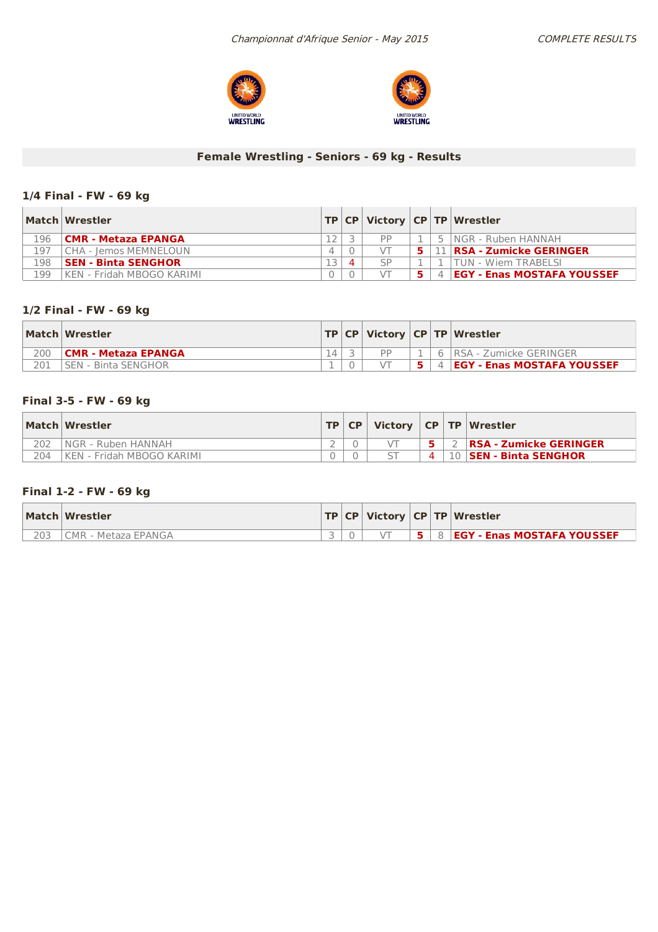



## **Female Wrestling - Seniors - 69 kg - Results**

## **1/4 Final - FW - 69 kg**

|     | Match Wrestler             |          |   |           |    | TP   CP   Victory   CP   TP   Wrestler |
|-----|----------------------------|----------|---|-----------|----|----------------------------------------|
| 196 | CMR - Metaza EPANGA        |          |   | <b>DD</b> |    | 5 INGR - Ruben HANNAH                  |
| 197 | CHA - Iemos MEMNELOUN      | $\Delta$ |   |           | 51 | <b>11   RSA - Zumicke GERINGER</b>     |
| 198 | <b>SEN - Binta SENGHOR</b> |          | Δ | SP        |    | TUN - Wiem TRABELSI                    |
| 199 | KEN - Fridah MBOGO KARIMI  |          |   |           |    | <b>EGY - Enas MOSTAFA YOUSSEF</b>      |

## **1/2 Final - FW - 69 kg**

| Match Wrestler              |  |    |   | <b>TP CP Victory CP TP Wrestler</b> |
|-----------------------------|--|----|---|-------------------------------------|
| <b>CMR - Metaza EPANGA</b>  |  | DD | 6 | IRSA - Zumicke GERINGER             |
| <b>ISEN - Binta SENGHOR</b> |  |    |   | 4 <b>EGY - Enas MOSTAFA YOUSSEF</b> |

## **Final 3-5 - FW -69 kg**

|     | Match Wrestler             | TP   CP |          | Victory   CP   TP   Wrestler  |
|-----|----------------------------|---------|----------|-------------------------------|
|     | INGR - Ruben HANNAH        |         |          | <b>RSA - Zumicke GERINGER</b> |
| 204 | IKEN - Fridah MBOGO KARIMI |         | $\Delta$ | 10 <b>SEN - Binta SENGHOR</b> |

## **Final 1-2 - FW -69 kg**

|     | Match Wrestler      |  |  | $ TP CP $ Victory $ CP TP $ Wrestler  |
|-----|---------------------|--|--|---------------------------------------|
| 203 | CMR - Metaza EPANGA |  |  | <b>5 8 EGY - Enas MOSTAFA YOUSSEF</b> |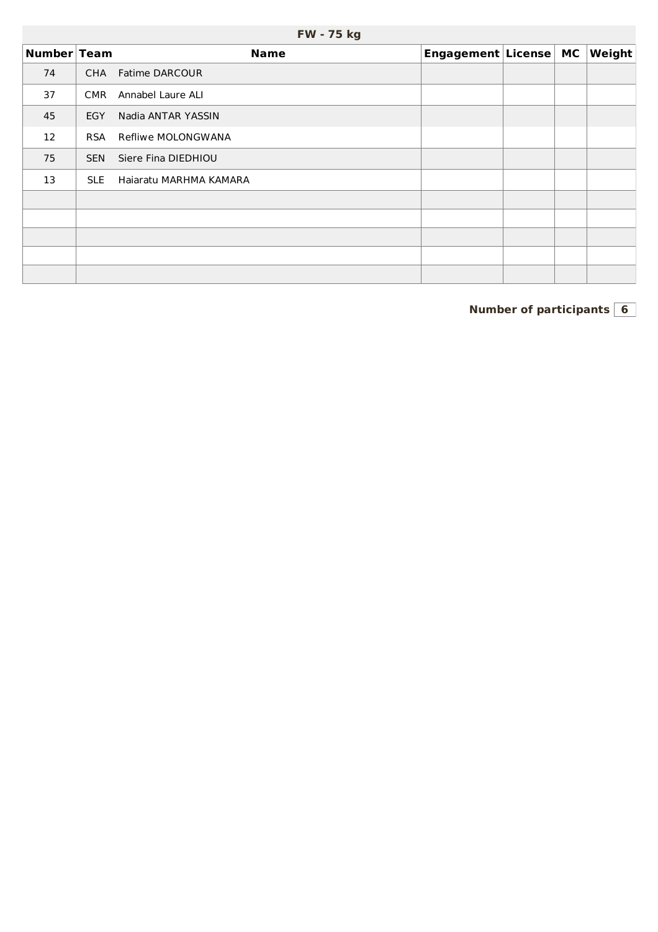|             | FW - 75 kg |                        |                       |  |  |        |  |  |  |  |  |
|-------------|------------|------------------------|-----------------------|--|--|--------|--|--|--|--|--|
| Number Team |            | <b>Name</b>            | Engagement License MC |  |  | Weight |  |  |  |  |  |
| 74          | <b>CHA</b> | Fatime DARCOUR         |                       |  |  |        |  |  |  |  |  |
| 37          | <b>CMR</b> | Annabel Laure ALI      |                       |  |  |        |  |  |  |  |  |
| 45          | <b>EGY</b> | Nadia ANTAR YASSIN     |                       |  |  |        |  |  |  |  |  |
| 12          | <b>RSA</b> | Refliwe MOLONGWANA     |                       |  |  |        |  |  |  |  |  |
| 75          | <b>SEN</b> | Siere Fina DIEDHIOU    |                       |  |  |        |  |  |  |  |  |
| 13          | <b>SLE</b> | Haiaratu MARHMA KAMARA |                       |  |  |        |  |  |  |  |  |
|             |            |                        |                       |  |  |        |  |  |  |  |  |
|             |            |                        |                       |  |  |        |  |  |  |  |  |
|             |            |                        |                       |  |  |        |  |  |  |  |  |
|             |            |                        |                       |  |  |        |  |  |  |  |  |
|             |            |                        |                       |  |  |        |  |  |  |  |  |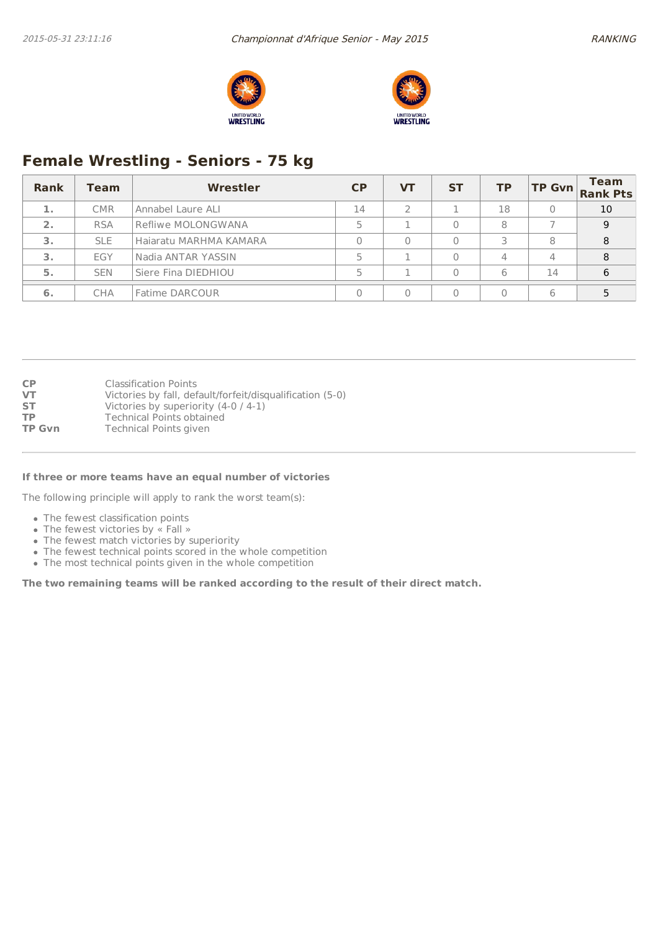



# **Female Wrestling - Seniors - 75 kg**

| Rank   | <b>Team</b> | Wrestler               | CP | VТ | <b>ST</b> | <b>TP</b> |    | <b>Team</b><br>TP Gvn Rank Pts |
|--------|-------------|------------------------|----|----|-----------|-----------|----|--------------------------------|
| ali se | <b>CMR</b>  | Annabel Laure ALI      | 14 |    |           | 18        |    | 10                             |
| 2.     | <b>RSA</b>  | Refliwe MOLONGWANA     |    |    |           | 8         |    | 9                              |
| 3.     | <b>SLE</b>  | Haiaratu MARHMA KAMARA |    |    |           |           | 8  | 8                              |
| 3.     | EGY         | Nadia ANTAR YASSIN     |    |    |           |           | 4  | 8                              |
| 5.     | <b>SEN</b>  | Siere Fina DIEDHIOU    |    |    |           | 6         | 14 | 6                              |
| 6.     | <b>CHA</b>  | Fatime DARCOUR         |    |    |           |           | 6  |                                |

| <b>CP</b>     | <b>Classification Points</b>                              |
|---------------|-----------------------------------------------------------|
| <b>VT</b>     | Victories by fall, default/forfeit/disqualification (5-0) |
| <b>ST</b>     | Victories by superiority (4-0 / 4-1)                      |
| <b>TP</b>     | <b>Technical Points obtained</b>                          |
| <b>TP Gvn</b> | Technical Points given                                    |
|               |                                                           |

#### **If three or more teams have an equal number of victories**

The following principle will apply to rank the worst team(s):

- The fewest classification points
- The fewest victories by « Fall »
- The fewest match victories by superiority
- The fewest technical points scored in the whole competition
- The most technical points given in the whole competition

**The two remaining teams will be ranked according to the result of their direct match.**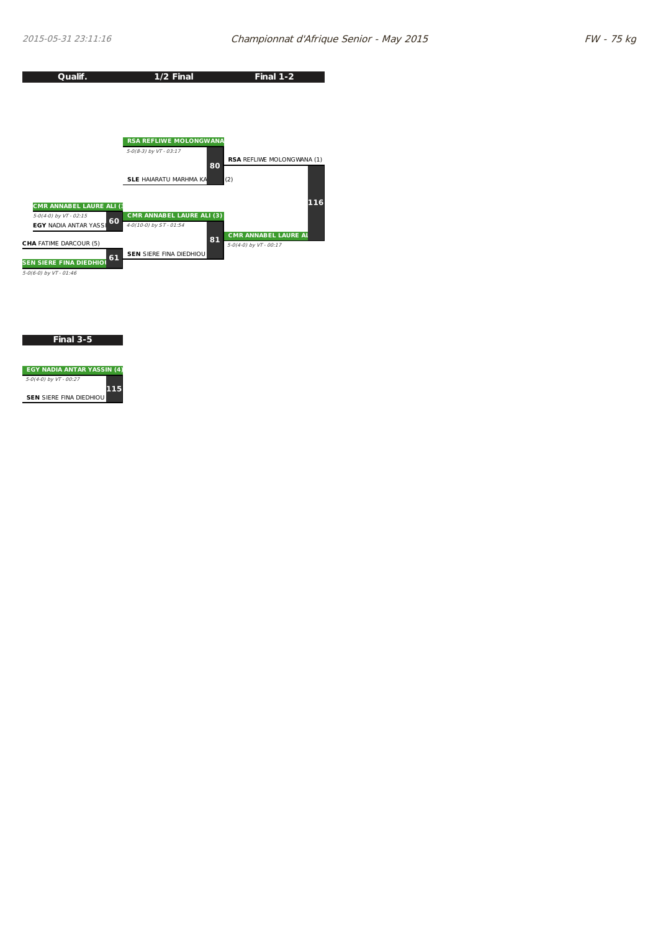

**Final 3-5**

| <b>EGY NADIA ANTAR YASSIN (4)</b> |   |
|-----------------------------------|---|
| 5-0(4-0) by VT - 00:27            |   |
| <b>SEN SIERE FINA DIEDHIOU</b>    | н |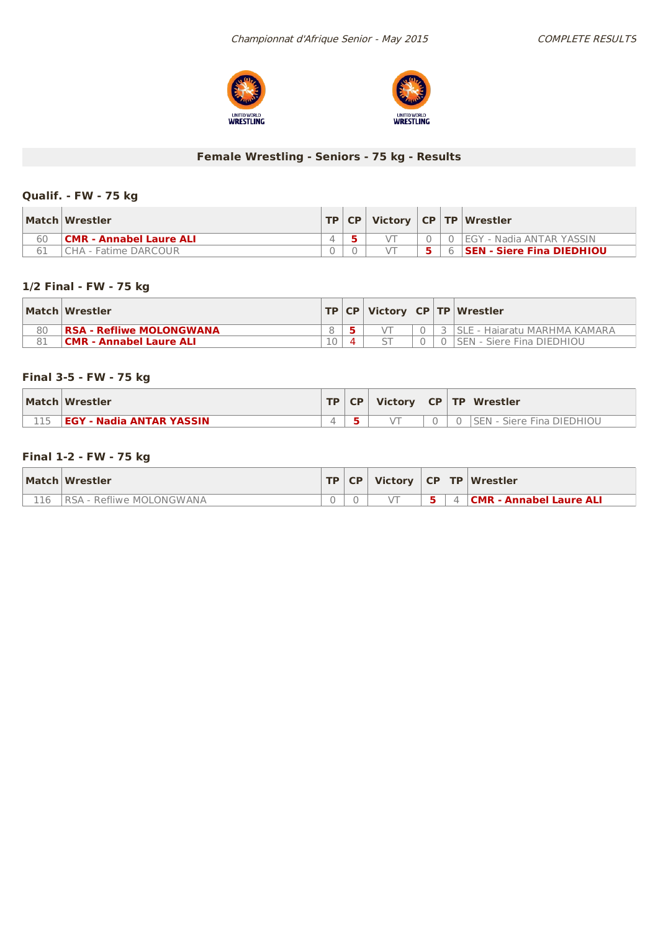



## **Female Wrestling - Seniors - 75 kg - Results**

## **Qualif. - FW -75 kg**

|    | Match Wrestler          |  |  | TP   CP   Victory   CP   TP   Wrestler    |
|----|-------------------------|--|--|-------------------------------------------|
| 60 | CMR - Annabel Laure ALI |  |  | .     O    I EGY  -   Nadia ANTAR  YASSIN |
|    | CHA - Fatime DARCOUR    |  |  | <b>6 SEN - Siere Fina DIEDHIOU</b>        |

## **1/2 Final - FW - 75 kg**

|    | Match Wrestler                  |  |  | TP   CP   Victory   CP   TP   Wrestler |
|----|---------------------------------|--|--|----------------------------------------|
| 80 | <b>RSA - Refliwe MOLONGWANA</b> |  |  | . 3 ISLE - Haiaratu MARHMA KAMARA      |
|    | <b>CMR - Annabel Laure ALI</b>  |  |  | 0 SEN - Siere Fina DIEDHIOU            |

## **Final 3-5 - FW -75 kg**

| Match Wrestler                  | TD. | <b>CP</b> | <b>Victory</b> |  | CP   TP   Wrestler         |
|---------------------------------|-----|-----------|----------------|--|----------------------------|
| <b>EGY - Nadia ANTAR YASSIN</b> |     |           |                |  | Siere Fina DIEDHIOU<br>SEN |

## **Final 1-2 - FW -75 kg**

|     | Match Wrestler            | TP   CP |  | Victory CP TP Wrestler         |
|-----|---------------------------|---------|--|--------------------------------|
| 116 | IRSA - Refliwe MOLONGWANA |         |  | <b>CMR - Annabel Laure ALI</b> |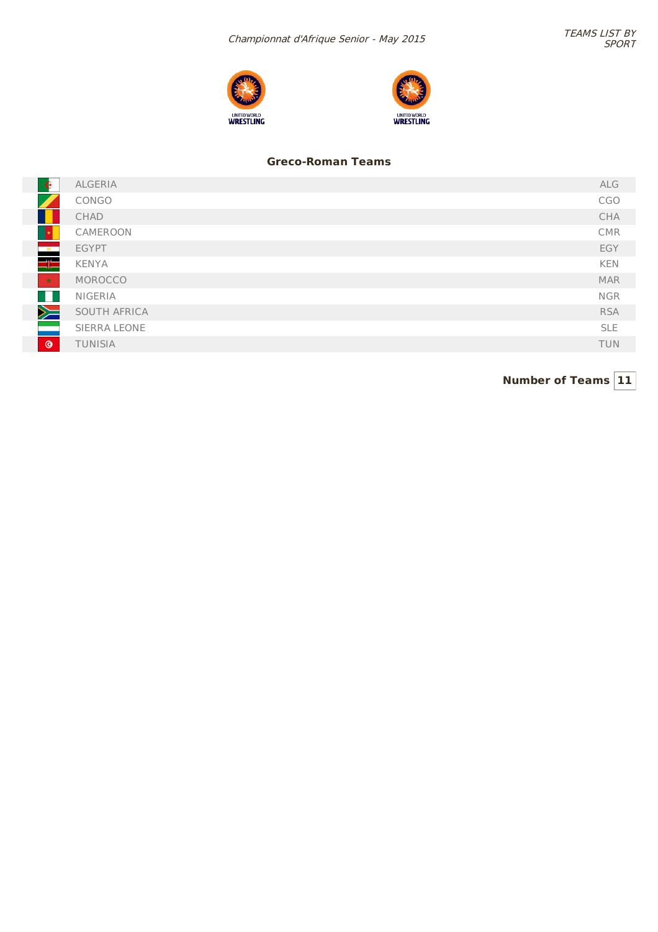



## **Greco-Roman Teams**

| $\bullet$      | ALGERIA        | ALG        |
|----------------|----------------|------------|
|                | CONGO          | CGO        |
|                | CHAD           | CHA        |
|                | CAMEROON       | <b>CMR</b> |
| $\frac{1}{2}$  | <b>EGYPT</b>   | EGY        |
| <u> HF</u>     | <b>KENYA</b>   | <b>KEN</b> |
| $\pm$          | MOROCCO        | <b>MAR</b> |
| - III          | <b>NIGERIA</b> | <b>NGR</b> |
| $\geq$         | SOUTH AFRICA   | <b>RSA</b> |
|                | SIERRA LEONE   | <b>SLE</b> |
| $\circledcirc$ | TUNISIA        | <b>TUN</b> |
|                |                |            |

**Number of Teams 11**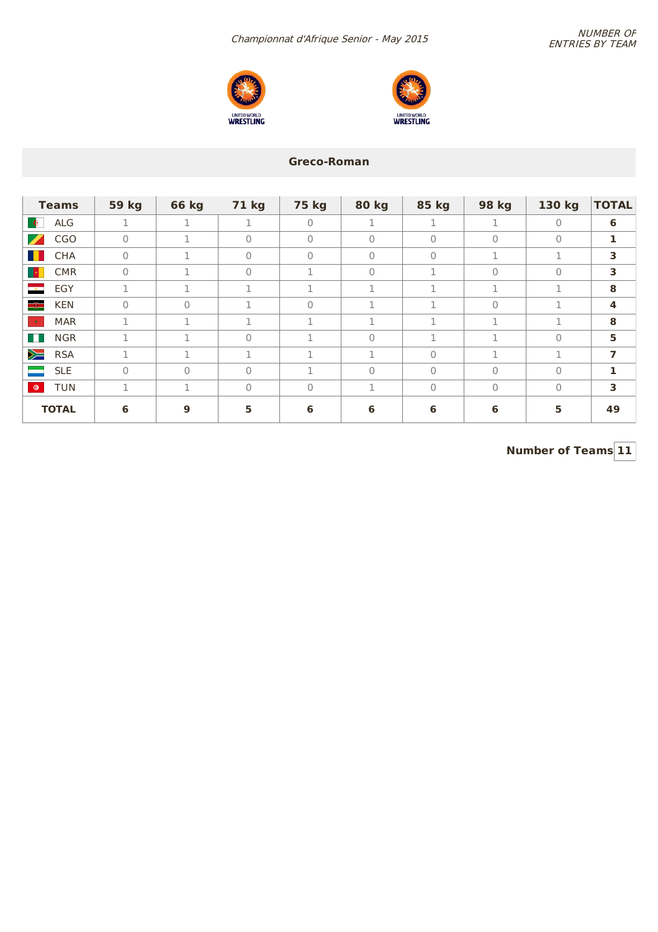NUMBER OF<br>Number of the Senior - May 2015





## **Greco-Roman**

| <b>Teams</b>                           | <b>59 kg</b> | <b>66 kg</b> | <b>71 kg</b> | <b>75 kg</b> | <b>80 kg</b> | 85 kg          | 98 kg     | 130 kg   | <b>TOTAL</b>            |
|----------------------------------------|--------------|--------------|--------------|--------------|--------------|----------------|-----------|----------|-------------------------|
| ALG<br>$\bullet$                       | 1            | п            | 1            | $\Omega$     | T            | п.             | 1         | $\Omega$ | 6                       |
| Z<br><b>CGO</b>                        | $\mathbf{0}$ | 1            | $\mathbf{0}$ | $\Omega$     | $\mathbf 0$  | $\overline{0}$ | $\bigcap$ | $\Omega$ | 1                       |
| H.<br>CHA                              | $\circ$      |              | $\mathbf{0}$ | $\Omega$     | $\mathbf{0}$ | $\Omega$       | 1.        | п.       | 3                       |
| <b>CMR</b><br><b>IX</b>                | $\mathbf 0$  | n.           | $\Omega$     | п.           | $\circ$      | п.             | $\Omega$  | $\Omega$ | 3                       |
| $\frac{1}{\sqrt{2}}$<br>EGY            | 1            | п.<br>÷.     | п.           | 1            | 1            | 1              | 1         | п.       | 8                       |
| ≡⊫<br><b>KEN</b>                       | $\mathbf{0}$ | 0            | п.           | $\Omega$     | п.           | п.             | $\bigcap$ | п.       | 4                       |
| $\langle \rangle_{\mathcal{H}}$<br>MAR | 1            | п.           | п.           | п.           | n.<br>÷.     | 1              | п.        | n.       | 8                       |
| <b>NGR</b><br><b>TILL</b>              | 1            | п.           | $\Omega$     | 1            | $\mathbf{0}$ | 1              | 1         | $\Omega$ | 5                       |
| $\geq$<br><b>RSA</b>                   | 1            | п.           | п.           | п.           | п.<br>T      | $\Omega$       | п.        | п.       | $\overline{\mathbf{z}}$ |
| <b>SLE</b>                             | $\Omega$     | $\Omega$     | $\Omega$     | п.           | $\bigcap$    | $\Omega$       | $\bigcap$ | $\Omega$ | $\mathbf{1}$            |
| TUN<br>$\bullet$                       | 1            |              | $\mathbf{0}$ | $\Omega$     |              | $\mathbf{0}$   | $\Omega$  | $\Omega$ | 3                       |
| <b>TOTAL</b>                           | 6            | 9            | 5            | 6            | 6            | 6              | 6         | 5        | 49                      |

**Number of Teams 11**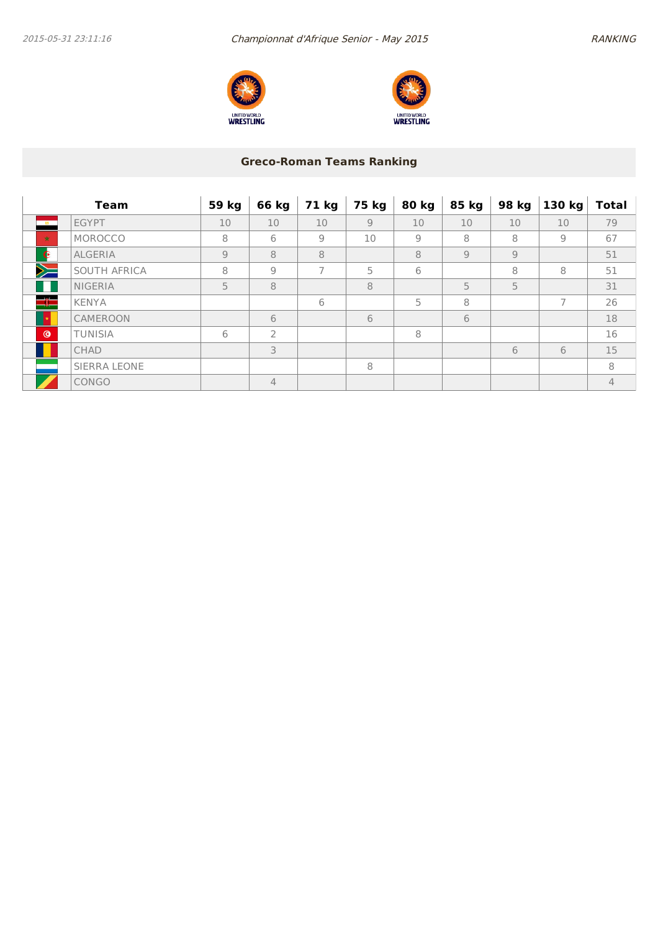



## **Greco-Roman Teams Ranking**

|                | <b>Team</b>    | 59 kg          | 66 kg          | 71 kg          | 75 kg | 80 kg          | 85 kg          | 98 kg | 130 kg         | <b>Total</b>   |
|----------------|----------------|----------------|----------------|----------------|-------|----------------|----------------|-------|----------------|----------------|
| $-18 -$        | <b>EGYPT</b>   | 10             | 10             | 10             | 9     | 10             | 10             | 10    | 10             | 79             |
| $\star$        | MOROCCO        | 8              | 6              | 9              | 10    | $\overline{9}$ | 8              | 8     | $\overline{9}$ | 67             |
| $\bullet$      | <b>ALGERIA</b> | $\overline{9}$ | 8              | 8              |       | 8              | $\overline{9}$ | 9     |                | 51             |
| $\searrow$     | SOUTH AFRICA   | 8              | 9              | $\overline{7}$ | 5     | 6              |                | 8     | 8              | 51             |
|                | <b>NIGERIA</b> | 5              | 8              |                | 8     |                | 5              | 5     |                | 31             |
| $\equiv$       | <b>KENYA</b>   |                |                | 6              |       | 5              | 8              |       | $\overline{7}$ | 26             |
|                | CAMEROON       |                | 6              |                | 6     |                | 6              |       |                | 18             |
| $\circledcirc$ | <b>TUNISIA</b> | 6              | $\overline{2}$ |                |       | 8              |                |       |                | 16             |
|                | <b>CHAD</b>    |                | 3              |                |       |                |                | 6     | 6              | 15             |
|                | SIERRA LEONE   |                |                |                | 8     |                |                |       |                | 8              |
|                | CONGO          |                | 4              |                |       |                |                |       |                | $\overline{4}$ |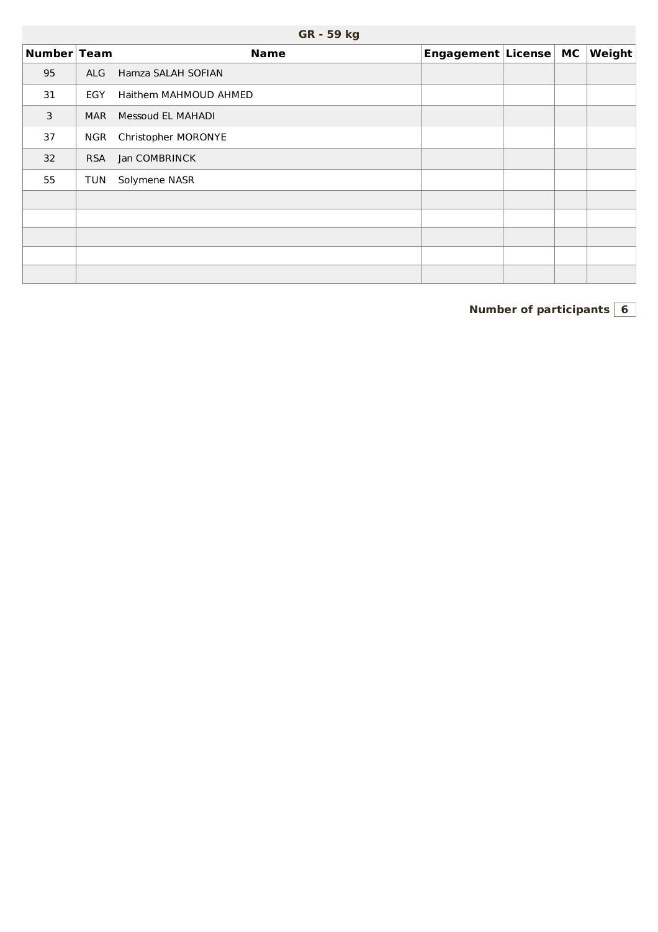| Number Team |            | <b>Name</b>           | Engagement License MC |  | $\vert$ Weight $\vert$ |
|-------------|------------|-----------------------|-----------------------|--|------------------------|
| 95          | <b>ALG</b> | Hamza SALAH SOFIAN    |                       |  |                        |
| 31          | EGY        | Haithem MAHMOUD AHMED |                       |  |                        |
| 3           | <b>MAR</b> | Messoud EL MAHADI     |                       |  |                        |
| 37          | <b>NGR</b> | Christopher MORONYE   |                       |  |                        |
| 32          | <b>RSA</b> | Jan COMBRINCK         |                       |  |                        |
| 55          | TUN        | Solymene NASR         |                       |  |                        |
|             |            |                       |                       |  |                        |
|             |            |                       |                       |  |                        |
|             |            |                       |                       |  |                        |
|             |            |                       |                       |  |                        |
|             |            |                       |                       |  |                        |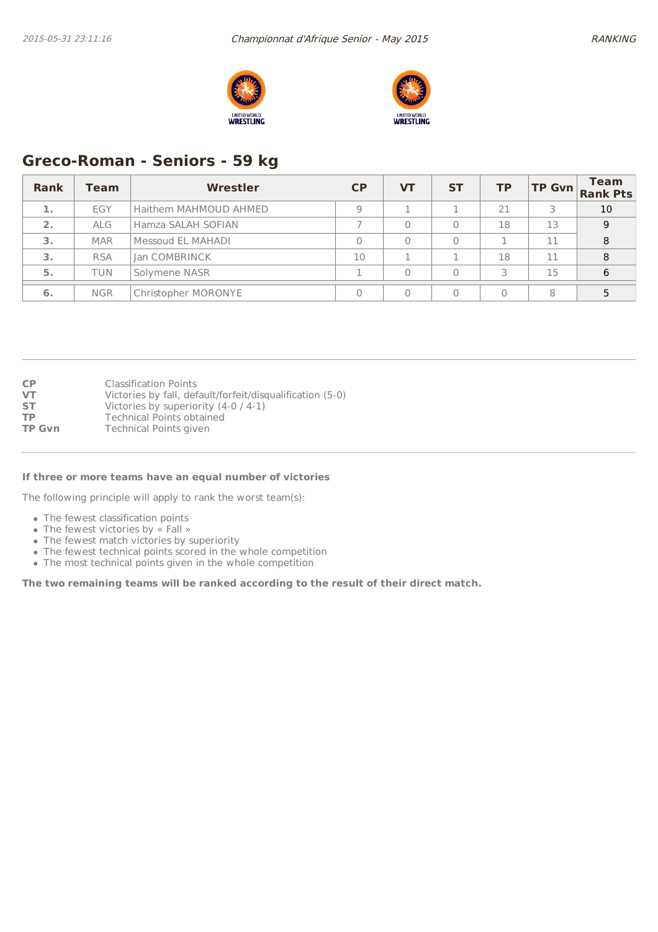



# **Greco-Roman - Seniors - 59 kg**

| Rank | <b>Team</b> | Wrestler              | CP | <b>VT</b> | <b>ST</b> | <b>TP</b> | <b>TP Gvn</b> | <b>Team</b><br><b>Rank Pts</b> |
|------|-------------|-----------------------|----|-----------|-----------|-----------|---------------|--------------------------------|
| 1.   | EGY         | Haithem MAHMOUD AHMED | Q  |           |           | 21        |               | 10                             |
| 2.   | <b>ALG</b>  | Hamza SALAH SOFIAN    |    |           |           | 18        | 13            | 9                              |
| 3.   | <b>MAR</b>  | Messoud EL MAHADI     |    |           |           |           | 11            | 8                              |
| 3.   | <b>RSA</b>  | <b>Ian COMBRINCK</b>  | 10 |           |           | 18        | 11            | 8                              |
| 5.   | TUN         | Solymene NASR         |    |           |           | ς         | 15            | 6                              |
| 6.   | <b>NGR</b>  | Christopher MORONYE   |    |           |           |           | 8             |                                |

| <b>CP</b>     | <b>Classification Points</b>                              |
|---------------|-----------------------------------------------------------|
| VT            | Victories by fall, default/forfeit/disqualification (5-0) |
| <b>ST</b>     | Victories by superiority $(4-0/4-1)$                      |
| <b>TP</b>     | <b>Technical Points obtained</b>                          |
| <b>TP Gvn</b> | <b>Technical Points given</b>                             |
|               |                                                           |

#### **If three or more teams have an equal number of victories**

The following principle will apply to rank the worst team(s):

- The fewest classification points
- The fewest victories by « Fall »
- The fewest match victories by superiority
- The fewest technical points scored in the whole competition
- The most technical points given in the whole competition

**The two remaining teams will be ranked according to the result of their direct match.**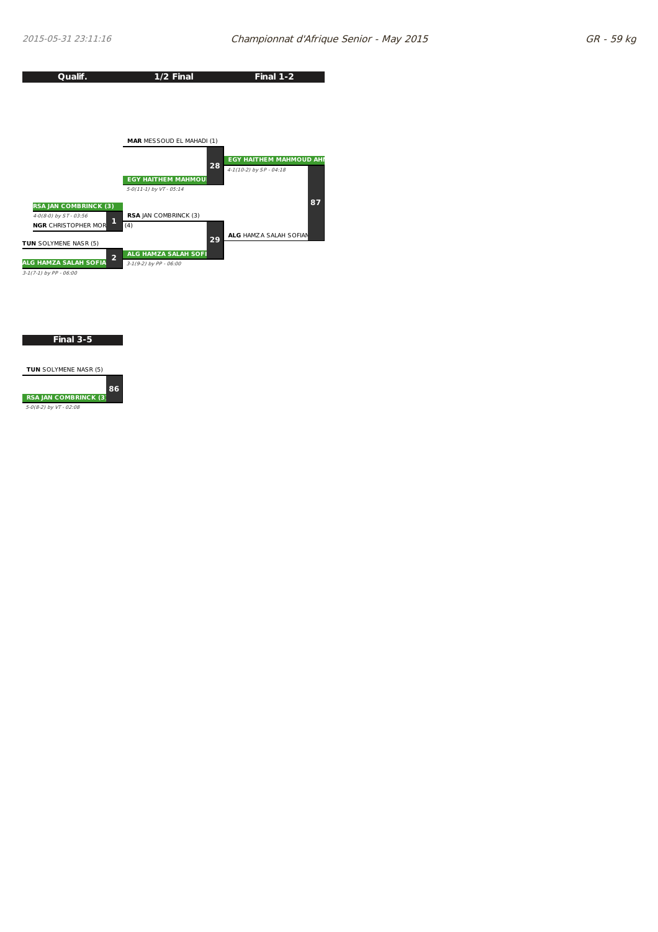

**Final 3-5**

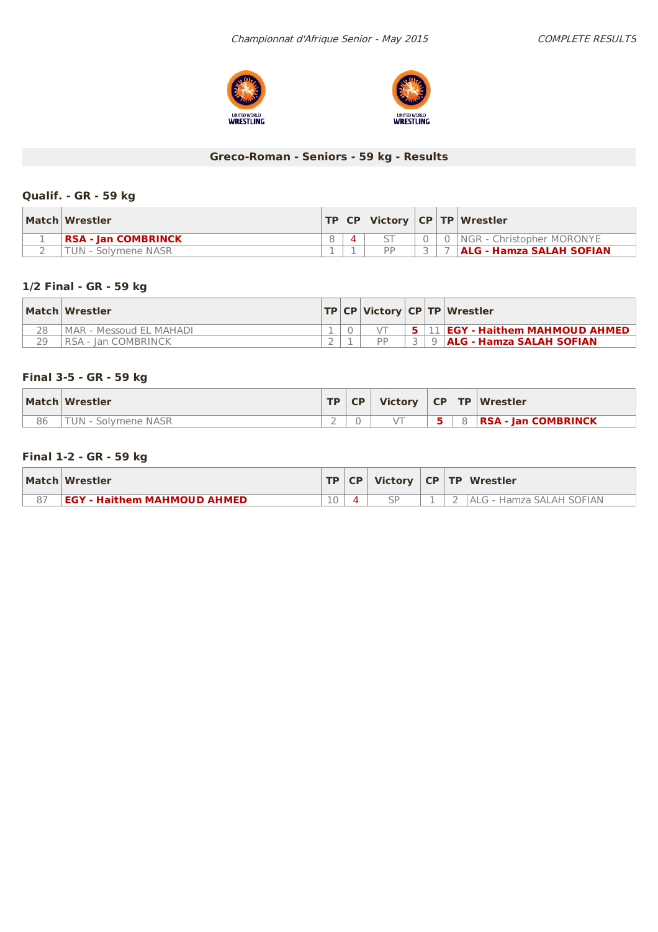



# **Greco-Roman - Seniors - 59 kg - Results**

## **Qualif. - GR - 59 kg**

| Match Wrestler              | TP CP |           |  | Victory   CP   TP   Wrestler    |
|-----------------------------|-------|-----------|--|---------------------------------|
| <b>IRSA - Ian COMBRINCK</b> |       |           |  | INGR - Christopher MORONYE      |
| TUN - Solvmene NASR         |       | <b>DD</b> |  | <b>ALG - Hamza SALAH SOFIAN</b> |

## **1/2 Final - GR - 59 kg**

|    | Match Wrestler          |  |           |  | TP   CP   Victory   CP   TP   Wrestler              |
|----|-------------------------|--|-----------|--|-----------------------------------------------------|
| 28 | MAR - Messoud EL MAHADI |  |           |  | $+$ 5 $+$ 11 <b>EGY - Haithem MAHMOUD AHMED</b> $+$ |
|    | IRSA - Ian COMBRINCK    |  | <b>DD</b> |  | 3 9 ALG - Hamza SALAH SOFIAN                        |

## **Final 3-5 - GR - 59 kg**

|    | Match Wrestler | <b>TD</b> | CP |  | Victory $\vert$ CP $\vert$ TP $\vert$ Wrestler |
|----|----------------|-----------|----|--|------------------------------------------------|
| 86 | Solvmene NASR  | -         |    |  | <b>RSA - Jan COMBRINCK</b>                     |

## **Final 1-2 - GR - 59 kg**

| Match Wrestler                     |    |  |  | TP CP   Victory   CP   TP   Wrestler |
|------------------------------------|----|--|--|--------------------------------------|
| <b>EGY - Haithem MAHMOUD AHMED</b> | 10 |  |  | IALG - Hamza SALAH SOFIAN            |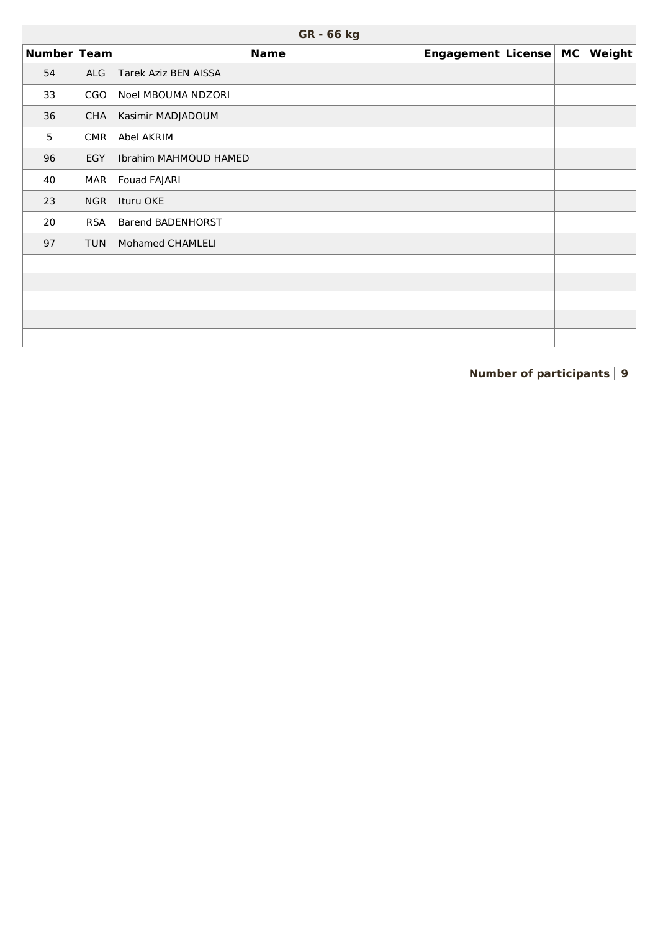| GR - 66 kg |  |  |
|------------|--|--|
|------------|--|--|

| Number Team |            | <b>Name</b>              | Engagement License MC |  | Weight |
|-------------|------------|--------------------------|-----------------------|--|--------|
| 54          | <b>ALG</b> | Tarek Aziz BEN AISSA     |                       |  |        |
| 33          | <b>CGO</b> | Noel MBOUMA NDZORI       |                       |  |        |
| 36          | <b>CHA</b> | Kasimir MADJADOUM        |                       |  |        |
| 5           | <b>CMR</b> | Abel AKRIM               |                       |  |        |
| 96          | EGY        | Ibrahim MAHMOUD HAMED    |                       |  |        |
| 40          | MAR        | Fouad FAJARI             |                       |  |        |
| 23          | <b>NGR</b> | Ituru OKE                |                       |  |        |
| 20          | <b>RSA</b> | <b>Barend BADENHORST</b> |                       |  |        |
| 97          | <b>TUN</b> | Mohamed CHAMLELI         |                       |  |        |
|             |            |                          |                       |  |        |
|             |            |                          |                       |  |        |
|             |            |                          |                       |  |        |
|             |            |                          |                       |  |        |
|             |            |                          |                       |  |        |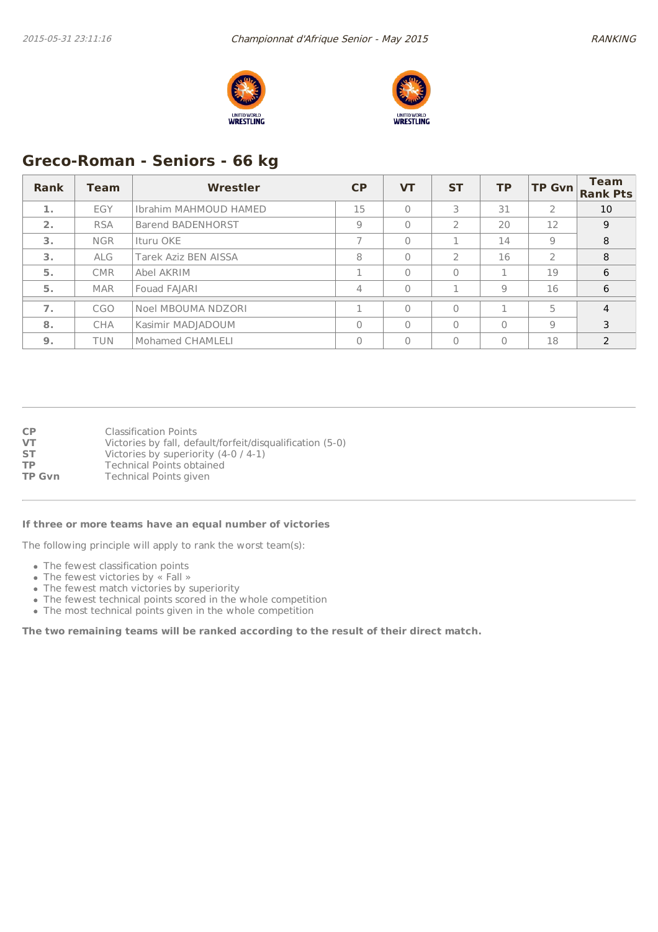



# **Greco-Roman - Seniors - 66 kg**

| <b>Rank</b>      | <b>Team</b> | Wrestler                     | <b>CP</b> | <b>VT</b> | <b>ST</b>      | <b>TP</b>      | <b>TP Gvn</b> | <b>Team</b><br><b>Rank Pts</b> |
|------------------|-------------|------------------------------|-----------|-----------|----------------|----------------|---------------|--------------------------------|
| 1.               | EGY         | <b>Ibrahim MAHMOUD HAMED</b> | 15        | $\Omega$  | 3              | 31             | 2             | 10                             |
| 2.               | <b>RSA</b>  | <b>Barend BADENHORST</b>     | 9         | $\Omega$  | $\overline{2}$ | 20             | 12            | 9                              |
| 3.               | <b>NGR</b>  | Ituru OKE                    |           | $\Omega$  |                | 14             | 9             | 8                              |
| 3.               | <b>ALG</b>  | <b>Tarek Aziz BEN AISSA</b>  | 8         | $\Omega$  | $\mathcal{L}$  | 16             | $\mathcal{P}$ | 8                              |
| 5.               | <b>CMR</b>  | Abel AKRIM                   |           | $\Omega$  | $\mathbf{0}$   |                | 19            | 6                              |
| 5.               | <b>MAR</b>  | Fouad FAJARI                 | 4         | $\Omega$  | п              | $\overline{9}$ | 16            | 6                              |
| $\overline{7}$ . | CGO         | Noel MBOUMA NDZORI           |           | $\Omega$  | $\Omega$       |                | 5             | $\overline{4}$                 |
| 8.               | <b>CHA</b>  | Kasimir MADJADOUM            | $\Omega$  | $\bigcap$ | $\Omega$       | $\Omega$       | 9             | 3                              |
| 9 <sub>1</sub>   | <b>TUN</b>  | Mohamed CHAMLELI             | $\Omega$  | $\Omega$  | $\mathbf{0}$   | $\Omega$       | 18            | $\mathcal{P}$                  |

**CP** Classification Points<br> **VT** Victories by fall, def **VT** Victories by fall, default/forfeit/disqualification (5-0)<br>**ST** Victories by superiority (4-0 / 4-1) Victories by superiority (4-0 / 4-1) **TP** Technical Points obtained<br> **TP Gvn** Technical Points given **Technical Points given** 

#### **If three or more teams have an equal number of victories**

The following principle will apply to rank the worst team(s):

- The fewest classification points
- The fewest victories by « Fall »
- The fewest match victories by superiority
- The fewest technical points scored in the whole competition
- The most technical points given in the whole competition

**The two remaining teams will be ranked according to the result of their direct match.**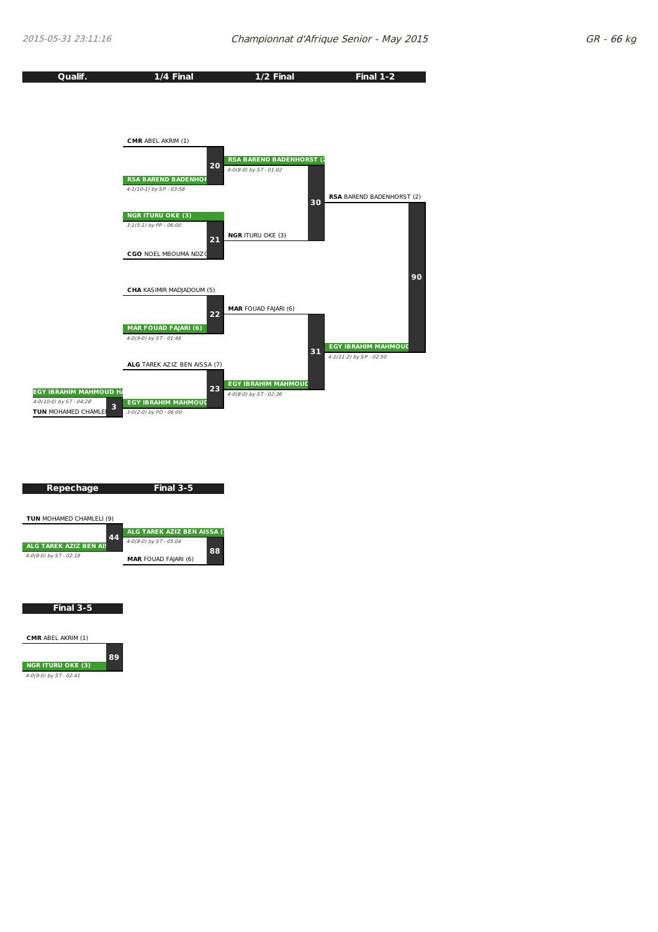



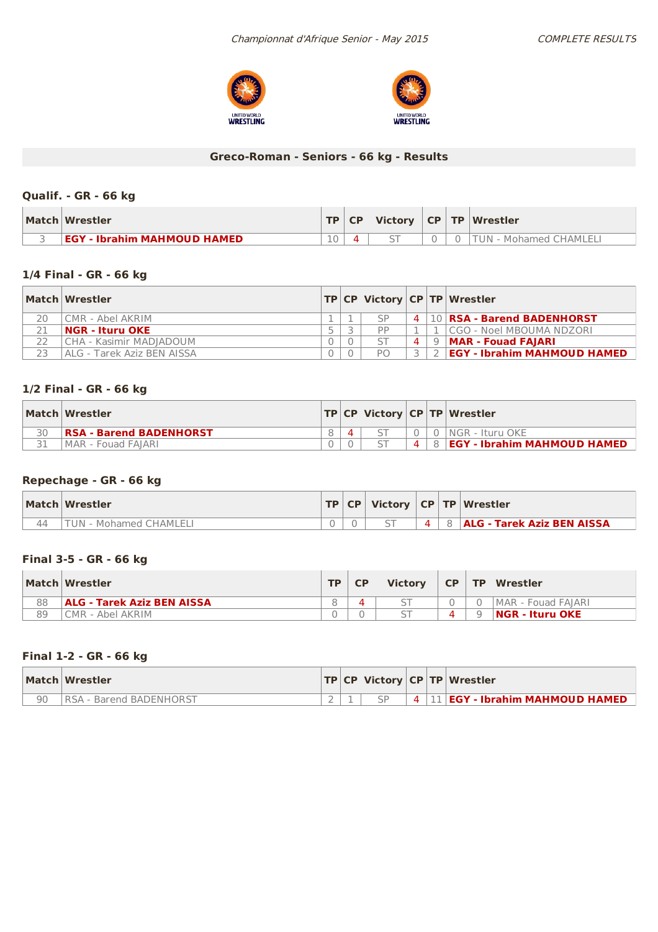



# **Greco-Roman - Seniors - 66 kg - Results**

## **Qualif. - GR - 66 kg**

| Match Wrestler                     |    | TP   CP | <b>Victory</b> |  | CP   TP   Wrestler     |
|------------------------------------|----|---------|----------------|--|------------------------|
| <b>EGY - Ibrahim MAHMOUD HAMED</b> | 10 |         |                |  | TUN - Mohamed CHAMLELI |

## **1/4 Final - GR - 66 kg**

|    | Match Wrestler             |   |                |                    | <b>TP CP Victory CP TP Wrestler</b> |
|----|----------------------------|---|----------------|--------------------|-------------------------------------|
| 20 | CMR - Abel AKRIM           |   | $\varsigma_P$  |                    | 4   10   RSA - Barend BADENHORST    |
| 21 | $ NGR - It$ uru OKE        |   | PP             |                    | .  CGO - Noel MBOUMA NDZORI         |
|    | CHA - Kasimir MADIADOUM    | า |                | $\mathbf{\Lambda}$ | $9$  MAR - Fouad FAJARI             |
| 23 | ALG - Tarek Aziz BEN AISSA |   | P <sub>O</sub> |                    | <b>EGY - Ibrahim MAHMOUD HAMED</b>  |

## **1/2 Final - GR - 66 kg**

| Match Wrestler                 |  |                | <b>TP CP Victory CP TP Wrestler</b>  |
|--------------------------------|--|----------------|--------------------------------------|
| <b>RSA - Barend BADENHORST</b> |  |                | 0   NGR - Ituru OKE                  |
| IMAR - Fouad FAIARI            |  | $\overline{4}$ | 8 <b>EGY - Ibrahim MAHMOUD HAMED</b> |

## **Repechage - GR - 66 kg**

| Match Wrestler            |  |          | $ TP CP $ Victory $ CP TP $ Wrestler |
|---------------------------|--|----------|--------------------------------------|
| - Mohamed CHAMLELI<br>JN. |  | $\Delta$ | 8 <b>ALG - Tarek Aziz BEN AISSA</b>  |

## **Final 3-5 - GR - 66 kg**

|    | Match Wrestler                    | <b>TP</b> | <b>CP</b> | <b>Victory</b> | <b>CP</b> | <b>TP</b> | Wrestler            |
|----|-----------------------------------|-----------|-----------|----------------|-----------|-----------|---------------------|
| 88 | <b>ALG - Tarek Aziz BEN AISSA</b> |           |           |                |           |           | IMAR - Fouad FAIARI |
| 89 | CMR - Abel AKRIM                  |           |           |                |           | Q         | $ NGR - It$ uru OKE |

## **Final 1-2 - GR - 66 kg**

|    | <b>Match Wrestler</b>    |  |  | <b>TP CP Victory CP TP Wrestler</b> |
|----|--------------------------|--|--|-------------------------------------|
| 90 | IRSA - Barend BADENHORST |  |  | <b>EGY - Ibrahim MAHMOUD HAMED</b>  |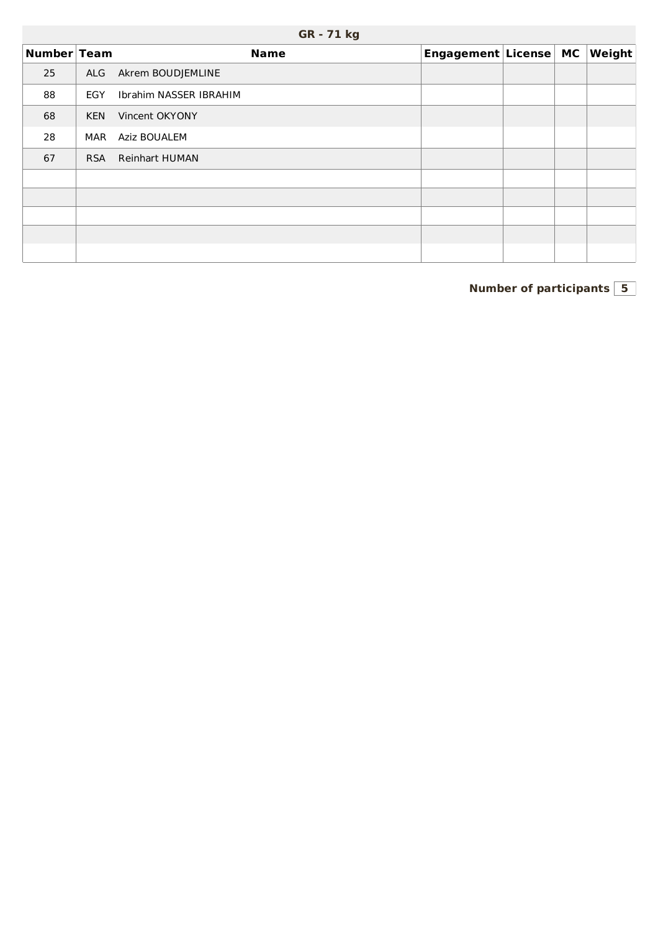| Number Team |            | <b>Name</b>            | Engagement License MC |  | $\vert$ Weight $\vert$ |
|-------------|------------|------------------------|-----------------------|--|------------------------|
| 25          | ALG        | Akrem BOUDJEMLINE      |                       |  |                        |
| 88          | EGY        | Ibrahim NASSER IBRAHIM |                       |  |                        |
| 68          | <b>KEN</b> | Vincent OKYONY         |                       |  |                        |
| 28          | MAR        | Aziz BOUALEM           |                       |  |                        |
| 67          | <b>RSA</b> | Reinhart HUMAN         |                       |  |                        |
|             |            |                        |                       |  |                        |
|             |            |                        |                       |  |                        |
|             |            |                        |                       |  |                        |
|             |            |                        |                       |  |                        |
|             |            |                        |                       |  |                        |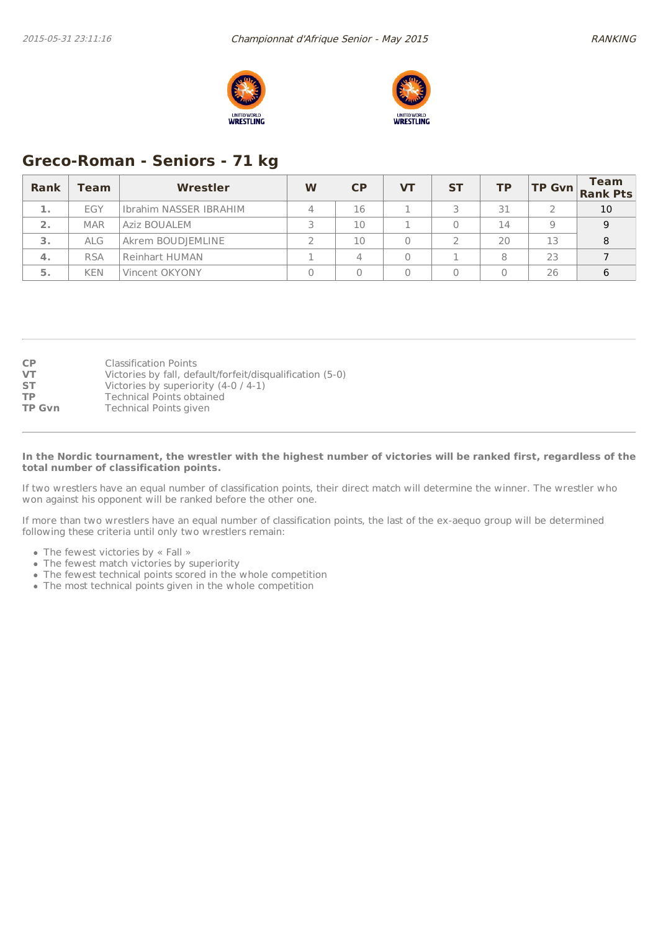



# **Greco-Roman - Seniors - 71 kg**

| Rank         | <b>Team</b> | Wrestler               | W | CP | VТ | <b>ST</b> | <b>TP</b> |    | <b>Team</b><br>$\begin{vmatrix} \mathsf{TP} & \mathsf{Gvn} \\ \mathsf{Rank} & \mathsf{Pts} \end{vmatrix}$ |
|--------------|-------------|------------------------|---|----|----|-----------|-----------|----|-----------------------------------------------------------------------------------------------------------|
|              | EGY         | Ibrahim NASSER IBRAHIM |   | 16 |    |           | 31        |    | 10                                                                                                        |
| $\mathbf{2}$ | <b>MAR</b>  | Aziz BOUALEM           |   | 10 |    |           | 14        | q  | 9                                                                                                         |
| 3.           | <b>ALG</b>  | Akrem BOUDJEMLINE      |   | 10 |    |           | 20        | 13 | 8                                                                                                         |
| $\mathbf 4.$ | <b>RSA</b>  | <b>Reinhart HUMAN</b>  |   |    |    |           | 8         | 23 |                                                                                                           |
| 5.           | <b>KEN</b>  | Vincent OKYONY         |   |    |    |           |           | 26 | 6                                                                                                         |

| <b>CP</b>     | <b>Classification Points</b>                              |
|---------------|-----------------------------------------------------------|
| <b>VT</b>     | Victories by fall, default/forfeit/disqualification (5-0) |
| <b>ST</b>     | Victories by superiority $(4-0/4-1)$                      |
| <b>TP</b>     | Technical Points obtained                                 |
| <b>TP Gvn</b> | <b>Technical Points given</b>                             |

#### In the Nordic tournament, the wrestler with the highest number of victories will be ranked first, regardless of the **total number of classification points.**

If two wrestlers have an equal number of classification points, their direct match will determine the winner. The wrestler who won against his opponent will be ranked before the other one.

If more than two wrestlers have an equal number of classification points, the last of the ex-aequo group will be determined following these criteria until only two wrestlers remain:

- The fewest victories by « Fall »
- The fewest match victories by superiority
- The fewest technical points scored in the whole competition
- The most technical points given in the whole competition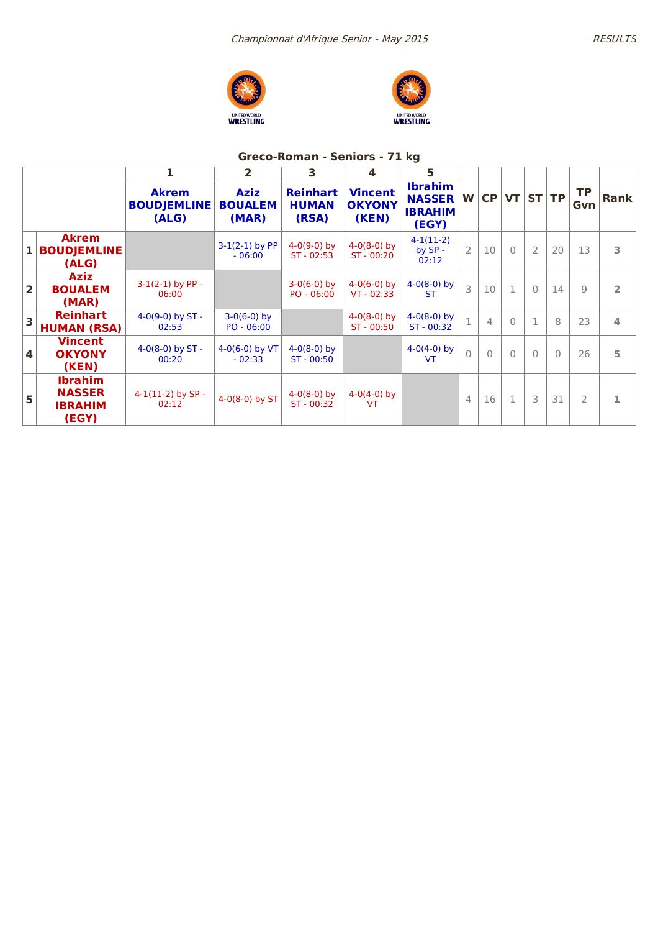



# **Greco-Roman - Seniors - 71 kg**

|                         |                                                            |                                             | $\overline{2}$                         | 3                                        | 4                                        | 5                                                          |                |                |              |                |           |                  |                |
|-------------------------|------------------------------------------------------------|---------------------------------------------|----------------------------------------|------------------------------------------|------------------------------------------|------------------------------------------------------------|----------------|----------------|--------------|----------------|-----------|------------------|----------------|
|                         |                                                            | <b>Akrem</b><br><b>BOUDJEMLINE</b><br>(ALG) | <b>Aziz</b><br><b>BOUALEM</b><br>(MAR) | <b>Reinhart</b><br><b>HUMAN</b><br>(RSA) | <b>Vincent</b><br><b>OKYONY</b><br>(KEN) | <b>Ibrahim</b><br><b>NASSER</b><br><b>IBRAHIM</b><br>(EGY) | W              | CP             |              | VT ST TP       |           | <b>TP</b><br>Gvn | <b>Rank</b>    |
| $\mathbf{1}$            | <b>Akrem</b><br><b>BOUDJEMLINE</b><br>(ALG)                |                                             | $3-1(2-1)$ by PP<br>$-06:00$           | $4-0(9-0)$ by<br>$ST - 02:53$            | $4-0(8-0)$ by<br>$ST - 00:20$            | $4-1(11-2)$<br>by SP -<br>02:12                            | $\overline{2}$ | 10             | $\bigcap$    | $\overline{2}$ | 20        | 13               | 3              |
| $\overline{\mathbf{2}}$ | <b>Aziz</b><br><b>BOUALEM</b><br>(MAR)                     | $3-1(2-1)$ by PP -<br>06:00                 |                                        | $3-0(6-0)$ by<br>$PO - 06:00$            | $4-0(6-0)$ by<br>$VT - 02:33$            | $4-0(8-0)$ by<br><b>ST</b>                                 | 3              | 10             | 1            | $\Omega$       | 14        | $\overline{9}$   | $\overline{2}$ |
| $\overline{\mathbf{3}}$ | <b>Reinhart</b><br><b>HUMAN (RSA)</b>                      | 4-0(9-0) by $ST -$<br>02:53                 | $3-0(6-0)$ by<br>$PO - 06:00$          |                                          | $4-0(8-0)$ by<br>$ST - 00:50$            | $4-0(8-0)$ by<br>$ST - 00:32$                              | $\overline{1}$ | $\overline{4}$ | $\bigcap$    | $\mathbf{1}$   | 8         | 23               | 4              |
| $\overline{\mathbf{4}}$ | <b>Vincent</b><br><b>OKYONY</b><br>(KEN)                   | 4-0(8-0) by $ST -$<br>00:20                 | $4-0(6-0)$ by VT<br>$-02:33$           | $4-0(8-0)$ by<br>ST - 00:50              |                                          | $4-0(4-0)$ by<br><b>VT</b>                                 | $\bigcap$      | $\bigcap$      | $\bigcap$    | $\Omega$       | $\bigcap$ | 26               | 5              |
| 5                       | <b>Ibrahim</b><br><b>NASSER</b><br><b>IBRAHIM</b><br>(EGY) | $4-1(11-2)$ by SP -<br>02:12                | 4-0(8-0) by ST                         | $4-0(8-0)$ by<br>ST - 00:32              | $4-0(4-0)$ by<br><b>VT</b>               |                                                            | $\overline{4}$ | 16             | $\mathbf{1}$ | 3              | 31        | $\overline{2}$   | 1              |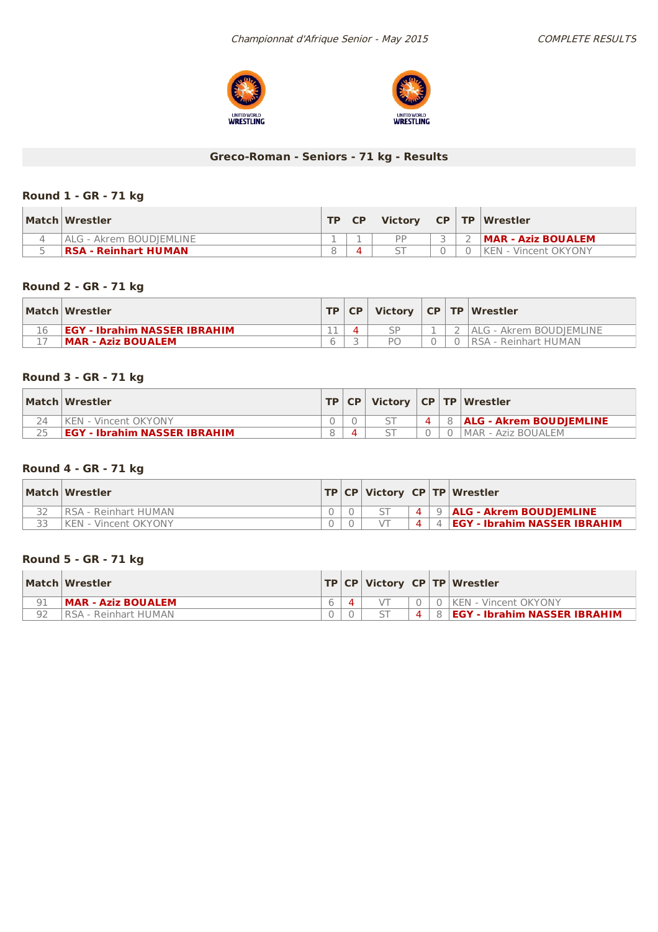



# **Greco-Roman - Seniors - 71 kg - Results**

## **Round 1 - GR - 71 kg**

| Match Wrestler                  | TD. | <b>Victory</b> |  | $C$ P $\mid$ TP $\mid$ Wrestler |
|---------------------------------|-----|----------------|--|---------------------------------|
| <b>IALG - Akrem BOUDIEMLINE</b> |     | PP             |  | MAR - Aziz BOUALEM              |
| RSA - Reinhart HUMAN            |     |                |  | <b>IKEN - Vincent OKYONY</b>    |

## **Round 2 - GR - 71 kg**

|    | Match Wrestler                      | TP | <b>CP</b> | Victory |  | CP   TP   Wrestler      |
|----|-------------------------------------|----|-----------|---------|--|-------------------------|
| 16 | <b>EGY - Ibrahim NASSER IBRAHIM</b> |    |           |         |  | ALG - Akrem BOUDIEMLINE |
|    | <b>MAR - Aziz BOUALEM</b>           |    |           |         |  | RSA - Reinhart HUMAN    |

## **Round 3 - GR - 71 kg**

| Match Wrestler                      |  |  | TP   CP   Victory   CP   TP   Wrestler |
|-------------------------------------|--|--|----------------------------------------|
| KFN - Vincent OKYONY                |  |  | 8 <b>ALG - Akrem BOUDIEMLINE</b>       |
| <b>EGY - Ibrahim NASSER IBRAHIM</b> |  |  | I MAR - Aziz BOUALEM                   |

## **Round 4 - GR - 71 kg**

| Match Wrestler        |  |                |    | TP   CP   Victory   CP   TP   Wrestler |
|-----------------------|--|----------------|----|----------------------------------------|
| RSA - Reinhart HUMAN  |  | $\overline{4}$ |    | 9   ALG - Akrem BOUDJEMLINE            |
| IKEN - Vincent OKYONY |  | $\Delta$       | 41 | <b>EGY - Ibrahim NASSER IBRAHIM</b>    |

## **Round 5 - GR - 71 kg**

|    | Match Wrestler       |  |                | TP   CP   Victory   CP   TP   Wrestler |
|----|----------------------|--|----------------|----------------------------------------|
| 91 | MAR - Aziz BOUALEM   |  |                | 0   KEN - Vincent OKYONY               |
| 92 | RSA - Reinhart HUMAN |  | $\overline{a}$ | <b>EGY - Ibrahim NASSER IBRAHIM</b>    |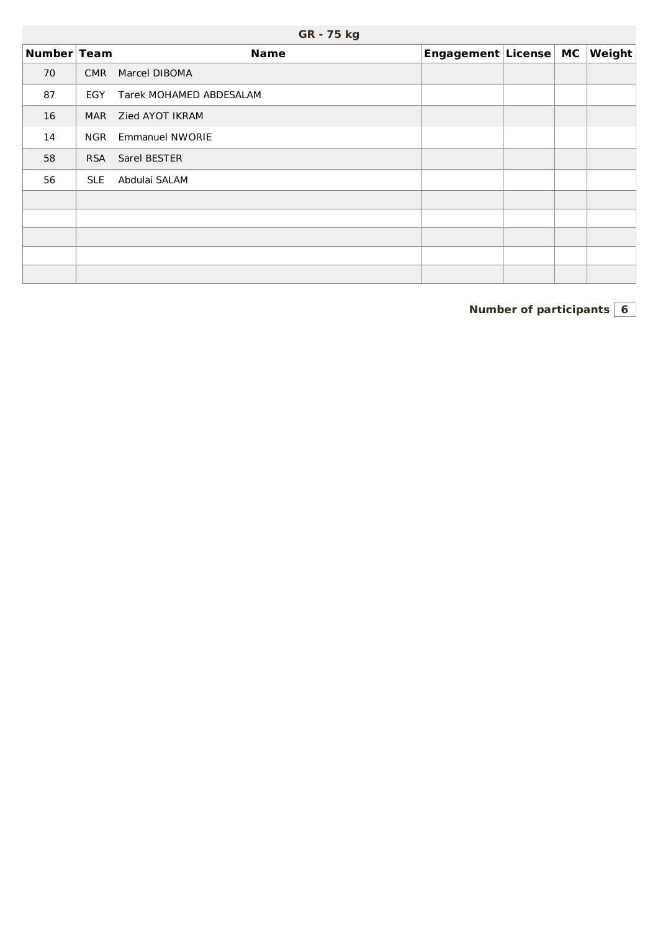| Number Team |            | <b>Name</b>             | Engagement License MC |  | Weight |
|-------------|------------|-------------------------|-----------------------|--|--------|
| 70          | <b>CMR</b> | Marcel DIBOMA           |                       |  |        |
| 87          | EGY        | Tarek MOHAMED ABDESALAM |                       |  |        |
| 16          | <b>MAR</b> | Zied AYOT IKRAM         |                       |  |        |
| 14          | <b>NGR</b> | <b>Emmanuel NWORIE</b>  |                       |  |        |
| 58          | <b>RSA</b> | Sarel BESTER            |                       |  |        |
| 56          | <b>SLE</b> | Abdulai SALAM           |                       |  |        |
|             |            |                         |                       |  |        |
|             |            |                         |                       |  |        |
|             |            |                         |                       |  |        |
|             |            |                         |                       |  |        |
|             |            |                         |                       |  |        |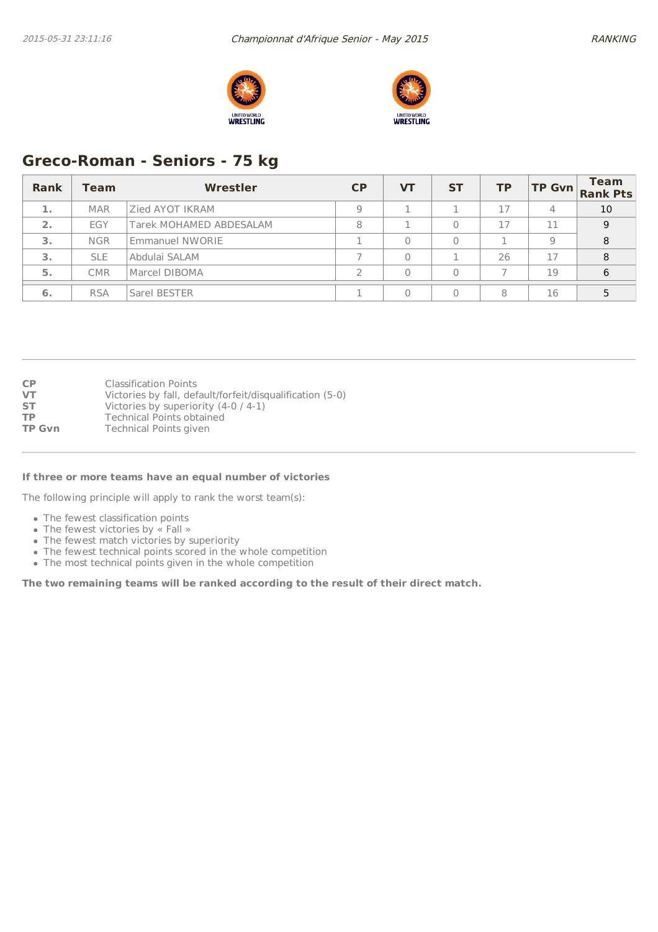



# **Greco-Roman - Seniors - 75 kg**

| Rank | Team       | Wrestler                | CP | <b>VT</b> | <b>ST</b> | <b>TP</b> | <b>TP Gvn</b> | <b>Team</b><br><b>Rank Pts</b> |
|------|------------|-------------------------|----|-----------|-----------|-----------|---------------|--------------------------------|
| 1.   | <b>MAR</b> | Zied AYOT IKRAM         | Q  |           |           | 17        | 4             | 10                             |
| 2.   | EGY        | Tarek MOHAMED ABDESALAM | 8  |           |           | 17        | 11            | 9                              |
| 3.   | <b>NGR</b> | Emmanuel NWORIE         |    |           |           |           | 9             | 8                              |
| 3.   | <b>SLE</b> | Abdulai SALAM           |    |           |           | 26        | 17            | 8                              |
| 5.   | <b>CMR</b> | Marcel DIBOMA           |    |           |           |           | 19            | 6                              |
| 6.   | <b>RSA</b> | Sarel BESTER            |    |           |           | 8         | 16            |                                |

| <b>CP</b>     | <b>Classification Points</b>                              |
|---------------|-----------------------------------------------------------|
| <b>VT</b>     | Victories by fall, default/forfeit/disqualification (5-0) |
| <b>ST</b>     | Victories by superiority $(4-0/4-1)$                      |
| <b>TP</b>     | <b>Technical Points obtained</b>                          |
| <b>TP Gvn</b> | <b>Technical Points given</b>                             |

#### **If three or more teams have an equal number of victories**

The following principle will apply to rank the worst team(s):

- The fewest classification points
- The fewest victories by « Fall »
- The fewest match victories by superiority
- The fewest technical points scored in the whole competition
- The most technical points given in the whole competition

**The two remaining teams will be ranked according to the result of their direct match.**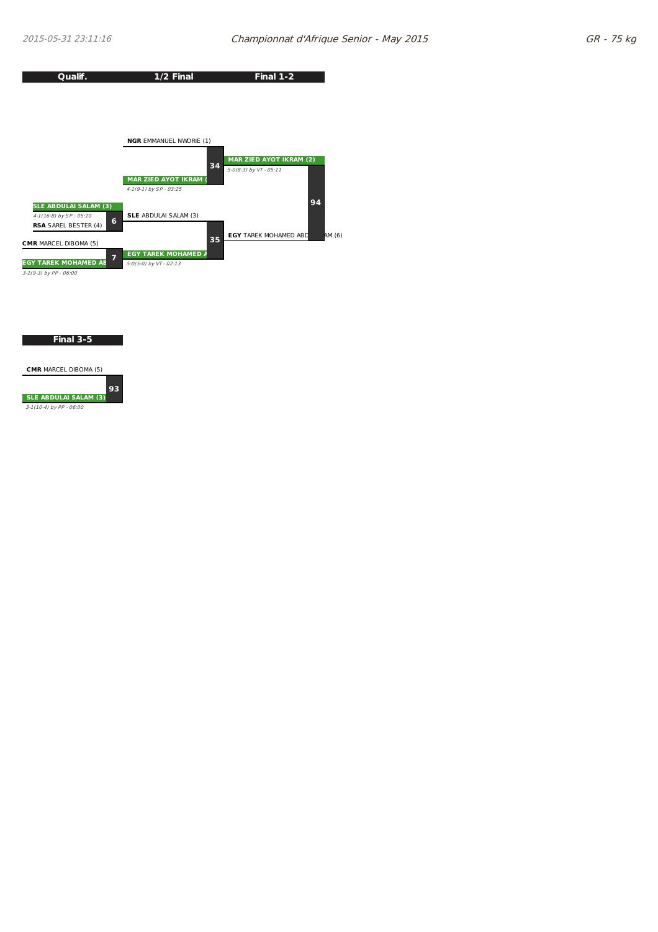

**Final 3-5**

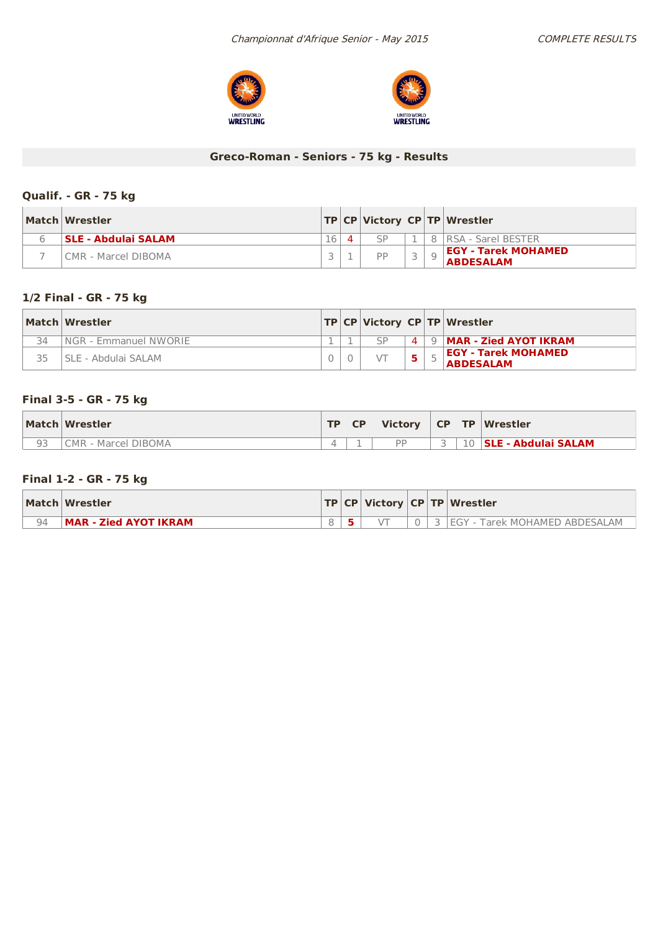



# **Greco-Roman - Seniors - 75 kg - Results**

## **Qualif. - GR - 75 kg**

| Match Wrestler             |    |           |  | TP   CP   Victory   CP   TP   Wrestler         |
|----------------------------|----|-----------|--|------------------------------------------------|
| <b>SLE - Abdulai SALAM</b> | 16 |           |  | 8   RSA - Sarel BESTER                         |
| l CMR - Marcel DIBOMA      |    | <b>DD</b> |  | <b>EGY - Tarek MOHAMED</b><br><b>ABDESALAM</b> |

## **1/2 Final - GR - 75 kg**

|    | Match Wrestler         |  |              | TP CP Victory CP TP Wrestler                   |
|----|------------------------|--|--------------|------------------------------------------------|
| 34 | INGR - Emmanuel NWORIE |  | $\mathbf{A}$ | 9   MAR - Zied AYOT IKRAM                      |
|    | ISLE - Abdulai SALAM   |  |              | <b>EGY - Tarek MOHAMED</b><br><b>ABDESALAM</b> |

## **Final 3-5 - GR - 75 kg**

| Match Wrestler      | <b>TP</b> | <b>CP</b> | <b>Victory</b> | CP TP                    | Wrestler               |
|---------------------|-----------|-----------|----------------|--------------------------|------------------------|
| CMR - Marcel DIBOMA |           |           | <b>DD</b>      | $\overline{\phantom{a}}$ | 10 SLE - Abdulai SALAM |

## **Final 1-2 - GR - 75 kg**

|    | Match Wrestler        |  |          | $  TP CP $ Victory $ CP TP $ Wrestler |  |  |  |
|----|-----------------------|--|----------|---------------------------------------|--|--|--|
| 94 | MAR - Zied AYOT IKRAM |  | $\Omega$ | IEGY - Tarek MOHAMED ABDESALAM        |  |  |  |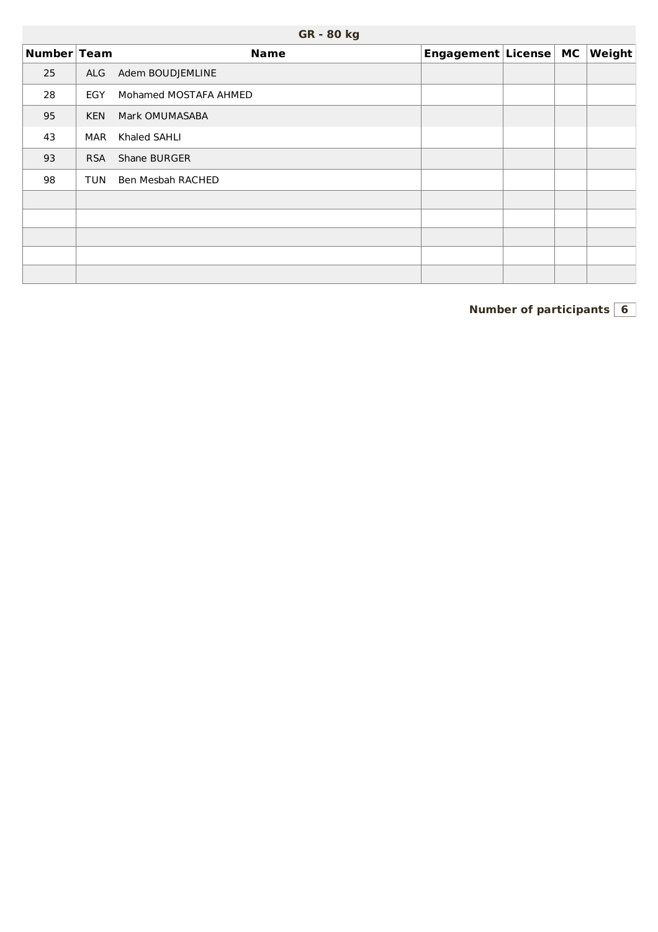| Number Team |            | <b>Name</b>           | Engagement License MC |  | Weight |
|-------------|------------|-----------------------|-----------------------|--|--------|
| 25          | ALG        | Adem BOUDJEMLINE      |                       |  |        |
| 28          | EGY        | Mohamed MOSTAFA AHMED |                       |  |        |
| 95          | <b>KEN</b> | Mark OMUMASABA        |                       |  |        |
| 43          | <b>MAR</b> | Khaled SAHLI          |                       |  |        |
| 93          | <b>RSA</b> | Shane BURGER          |                       |  |        |
| 98          | <b>TUN</b> | Ben Mesbah RACHED     |                       |  |        |
|             |            |                       |                       |  |        |
|             |            |                       |                       |  |        |
|             |            |                       |                       |  |        |
|             |            |                       |                       |  |        |
|             |            |                       |                       |  |        |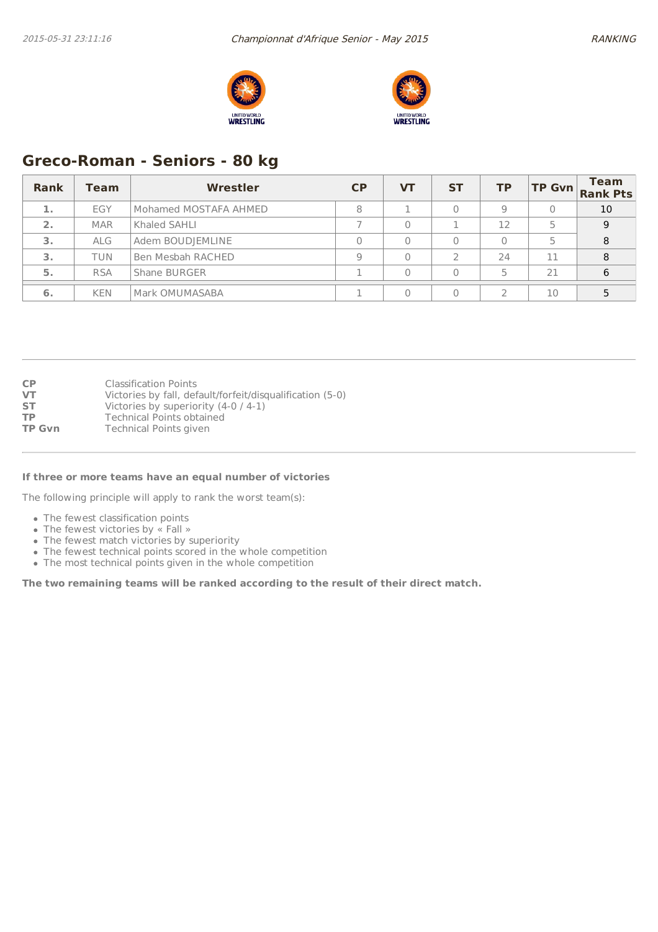



# **Greco-Roman - Seniors - 80 kg**

| Rank | <b>Team</b> | Wrestler              | CP | <b>VT</b> | <b>ST</b> | <b>TP</b> | <b>TP Gvn</b> | <b>Team</b><br><b>Rank Pts</b> |
|------|-------------|-----------------------|----|-----------|-----------|-----------|---------------|--------------------------------|
| 1.   | EGY         | Mohamed MOSTAFA AHMED | 8  |           |           | 9         | 0             | 10                             |
| 2.   | <b>MAR</b>  | Khaled SAHLI          |    |           |           | 12        |               | 9                              |
| 3.   | <b>ALG</b>  | Adem BOUDJEMLINE      |    |           |           |           | 5             | 8                              |
| 3.   | <b>TUN</b>  | Ben Mesbah RACHED     | Q  |           |           | 24        | 11            | 8                              |
| 5.   | <b>RSA</b>  | Shane BURGER          |    |           |           | 5         | 21            | 6                              |
| 6.   | <b>KEN</b>  | Mark OMUMASABA        |    |           |           |           | 10            |                                |

| <b>CP</b>     | <b>Classification Points</b>                              |
|---------------|-----------------------------------------------------------|
| VT            | Victories by fall, default/forfeit/disqualification (5-0) |
| <b>ST</b>     | Victories by superiority $(4-0/4-1)$                      |
| <b>TP</b>     | <b>Technical Points obtained</b>                          |
| <b>TP Gvn</b> | <b>Technical Points given</b>                             |
|               |                                                           |

#### **If three or more teams have an equal number of victories**

The following principle will apply to rank the worst team(s):

- The fewest classification points
- The fewest victories by « Fall »
- The fewest match victories by superiority
- The fewest technical points scored in the whole competition
- The most technical points given in the whole competition

**The two remaining teams will be ranked according to the result of their direct match.**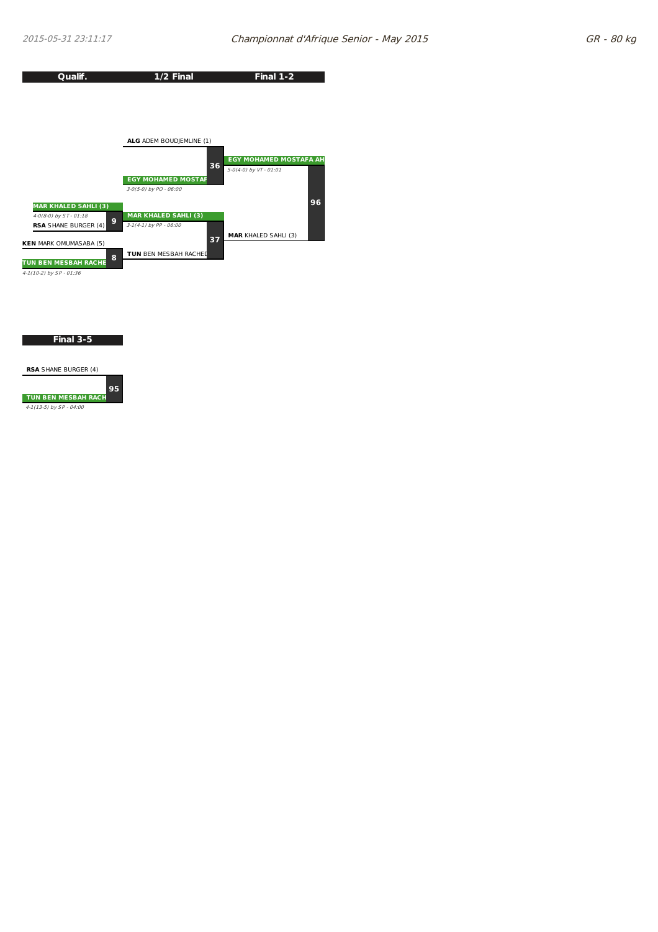

**Final 3-5**

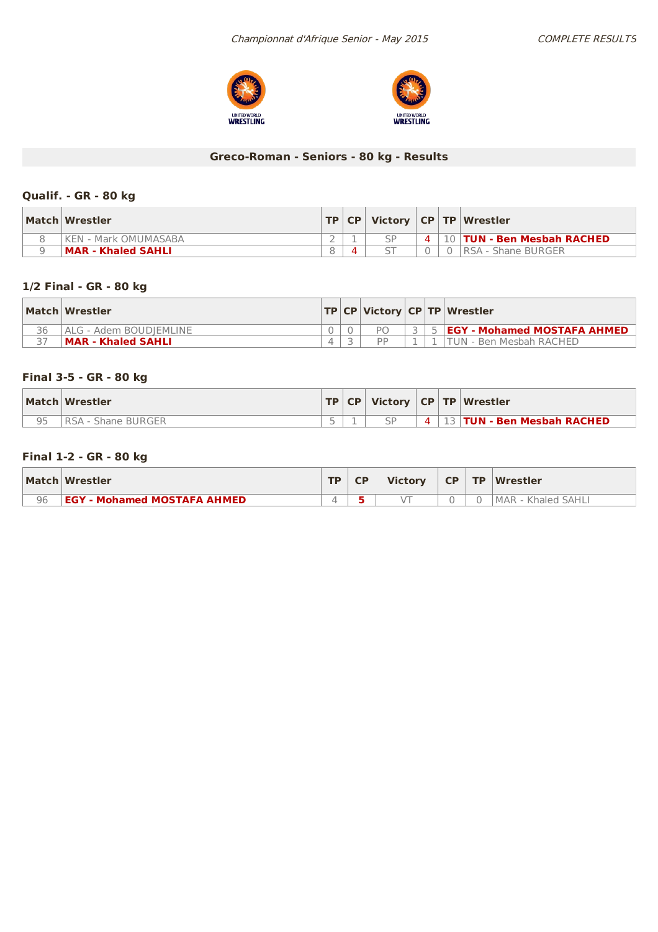



# **Greco-Roman - Seniors - 80 kg - Results**

## **Qualif. - GR - 80 kg**

| Match Wrestler        |  |  | TP   CP   Victory   CP   TP   Wrestler |
|-----------------------|--|--|----------------------------------------|
| IKEN - Mark OMUMASABA |  |  | 4   10   TUN - Ben Mesbah RACHED       |
| MAR - Khaled SAHLI    |  |  | IRSA - Shane BURGER                    |

## **1/2 Final - GR - 80 kg**

|    | Match Wrestler            |  |           |  | TP CP Victory CP TP Wrestler               |
|----|---------------------------|--|-----------|--|--------------------------------------------|
| 36 | IALG - Adem BOUDIEMLINE   |  |           |  | 3   5   <b>EGY - Mohamed MOSTAFA AHMED</b> |
|    | <b>MAR - Khaled SAHLI</b> |  | <b>DD</b> |  | ITUN - Ben Mesbah RACHED                   |

## **Final 3-5 - GR - 80 kg**

|    | Match Wrestler |  |           | TP   CP   Victory   CP   TP   Wrestler |
|----|----------------|--|-----------|----------------------------------------|
| QF | - Shane BURGER |  | $\Lambda$ | <b>13 TUN - Ben Mesbah RACHED</b>      |

## **Final 1-2 - GR - 80 kg**

|    | Match Wrestler                     | <b>TD</b> | <b>Victory</b> | $CP$ $TP$ | <b>Wrestler</b>    |
|----|------------------------------------|-----------|----------------|-----------|--------------------|
| 96 | <b>EGY - Mohamed MOSTAFA AHMED</b> |           |                |           | MAR - Khaled SAHLI |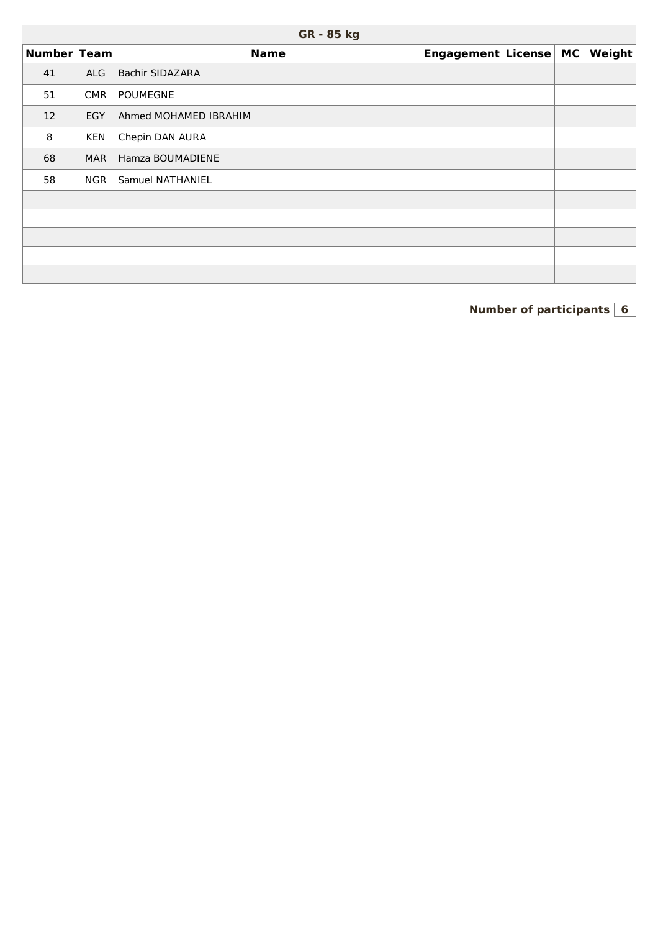|             | <b>GR - 85 kg</b> |                        |                       |  |  |        |  |  |  |  |  |  |  |
|-------------|-------------------|------------------------|-----------------------|--|--|--------|--|--|--|--|--|--|--|
| Number Team |                   | <b>Name</b>            | Engagement License MC |  |  | Weight |  |  |  |  |  |  |  |
| 41          | <b>ALG</b>        | <b>Bachir SIDAZARA</b> |                       |  |  |        |  |  |  |  |  |  |  |
| 51          | <b>CMR</b>        | <b>POUMEGNE</b>        |                       |  |  |        |  |  |  |  |  |  |  |
| 12          | <b>EGY</b>        | Ahmed MOHAMED IBRAHIM  |                       |  |  |        |  |  |  |  |  |  |  |
| 8           | <b>KEN</b>        | Chepin DAN AURA        |                       |  |  |        |  |  |  |  |  |  |  |
| 68          | <b>MAR</b>        | Hamza BOUMADIENE       |                       |  |  |        |  |  |  |  |  |  |  |
| 58          | <b>NGR</b>        | Samuel NATHANIEL       |                       |  |  |        |  |  |  |  |  |  |  |
|             |                   |                        |                       |  |  |        |  |  |  |  |  |  |  |
|             |                   |                        |                       |  |  |        |  |  |  |  |  |  |  |
|             |                   |                        |                       |  |  |        |  |  |  |  |  |  |  |
|             |                   |                        |                       |  |  |        |  |  |  |  |  |  |  |
|             |                   |                        |                       |  |  |        |  |  |  |  |  |  |  |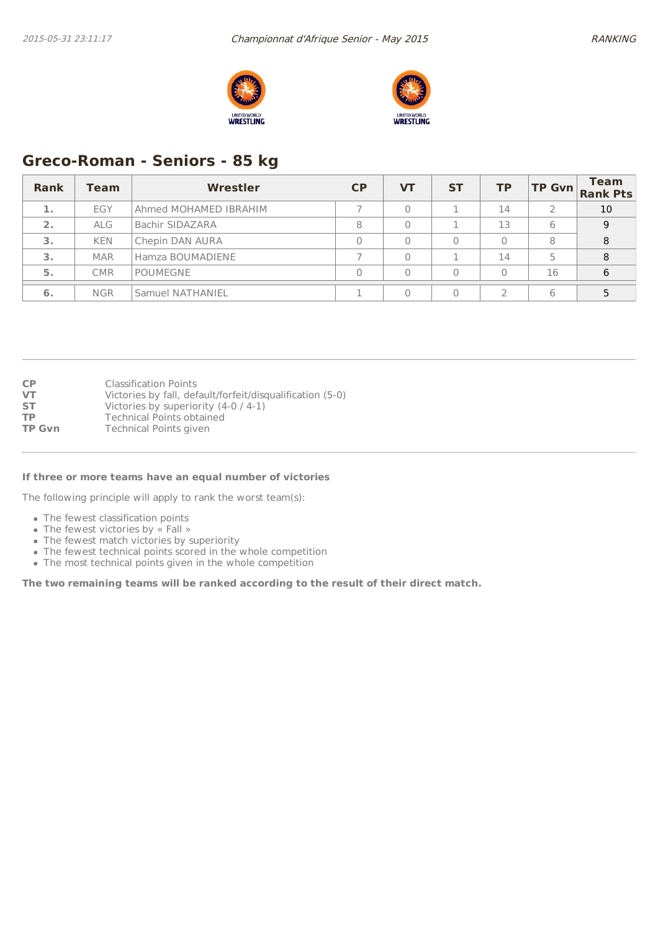



# **Greco-Roman - Seniors - 85 kg**

| <b>Rank</b> | Team       | Wrestler              | <b>CP</b> | <b>VT</b> | <b>ST</b> | <b>TP</b> | <b>TP Gvn</b> | <b>Team</b><br><b>Rank Pts</b> |
|-------------|------------|-----------------------|-----------|-----------|-----------|-----------|---------------|--------------------------------|
| 1.          | EGY        | Ahmed MOHAMED IBRAHIM |           |           |           | 14        |               | 10                             |
| 2.          | <b>ALG</b> | Bachir SIDAZARA       | 8         |           |           | 13        | 6             | 9                              |
| 3.          | <b>KEN</b> | Chepin DAN AURA       |           |           |           | $\Omega$  | 8             | 8                              |
| 3.          | <b>MAR</b> | Hamza BOUMADIENE      |           |           |           | 14        | 5             | 8                              |
| 5.          | <b>CMR</b> | <b>POUMEGNE</b>       |           |           |           | $\Omega$  | 16            | 6                              |
| 6.          | <b>NGR</b> | Samuel NATHANIEL      |           |           |           |           | 6             |                                |

| <b>CP</b>     | <b>Classification Points</b>                              |
|---------------|-----------------------------------------------------------|
| <b>VT</b>     | Victories by fall, default/forfeit/disqualification (5-0) |
| <b>ST</b>     | Victories by superiority $(4-0/4-1)$                      |
| <b>TP</b>     | <b>Technical Points obtained</b>                          |
| <b>TP Gvn</b> | <b>Technical Points given</b>                             |

#### **If three or more teams have an equal number of victories**

The following principle will apply to rank the worst team(s):

- The fewest classification points
- The fewest victories by « Fall »
- The fewest match victories by superiority
- The fewest technical points scored in the whole competition
- The most technical points given in the whole competition

**The two remaining teams will be ranked according to the result of their direct match.**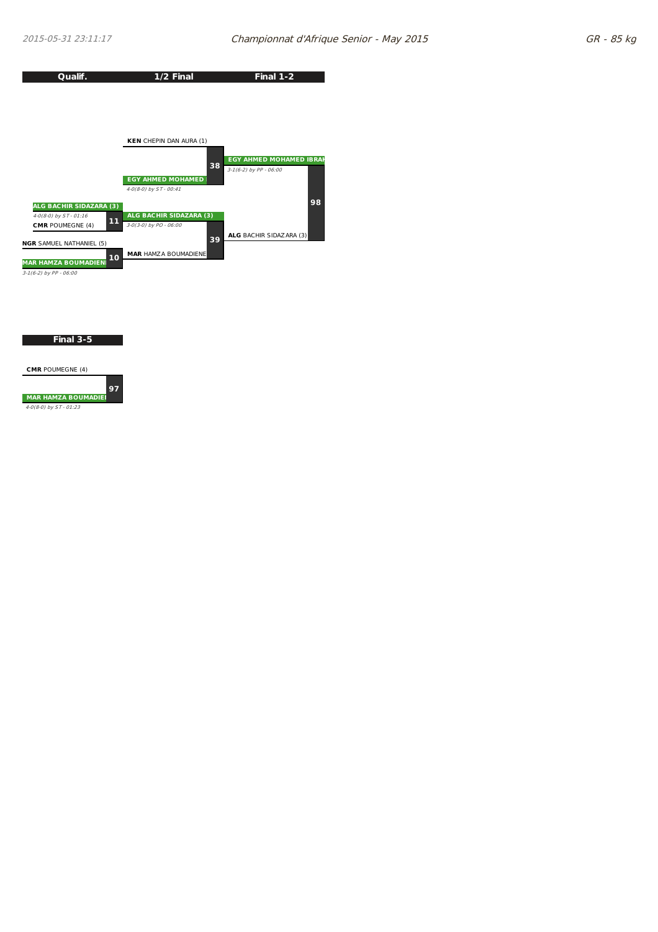

**Final 3-5**

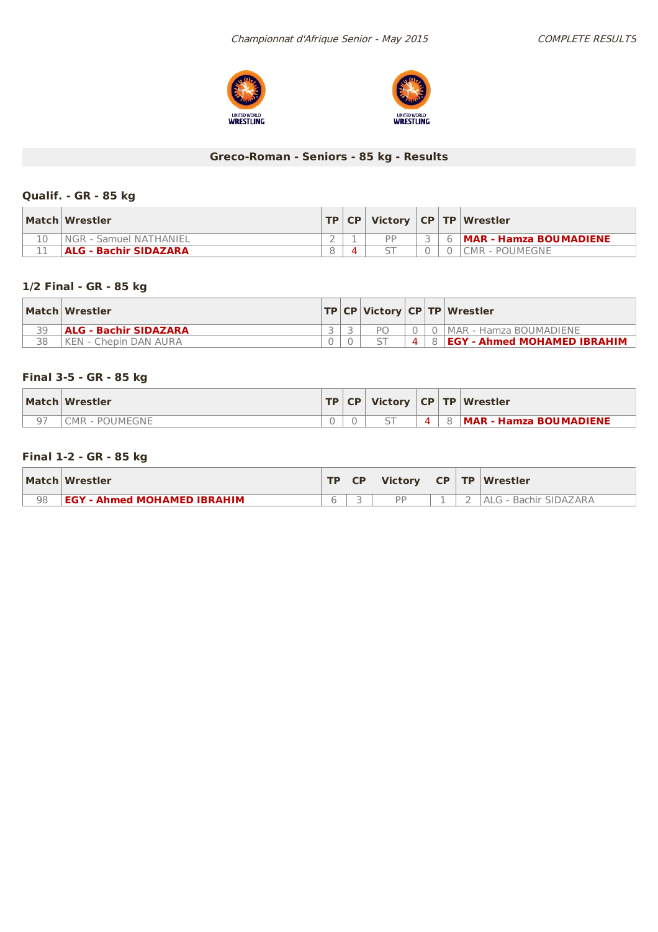



# **Greco-Roman - Seniors - 85 kg - Results**

## **Qualif. - GR - 85 kg**

| Match Wrestler         |  |  | TP   CP   Victory   CP   TP   Wrestler |
|------------------------|--|--|----------------------------------------|
| NGR - Samuel NATHANIEL |  |  | <b>MAR - Hamza BOUMADIENE</b>          |
| ALG - Bachir SIDAZARA  |  |  | CMR - POUMEGNE                         |

## **1/2 Final - GR - 85 kg**

|    | Match Wrestler        |  |   |     | TP CP Victory CP TP Wrestler       |
|----|-----------------------|--|---|-----|------------------------------------|
| 30 | ALG - Bachir SIDAZARA |  |   |     | MAR - Hamza BOUMADIENE             |
| 38 | KEN - Chepin DAN AURA |  | 4 | 8 I | <b>EGY - Ahmed MOHAMED IBRAHIM</b> |

## **Final 3-5 - GR - 85 kg**

| Match Wrestler |  |  |    | TP   CP   Victory   CP   TP   Wrestler |
|----------------|--|--|----|----------------------------------------|
| MR - POUMEGNE  |  |  | -8 | <b>MAR - Hamza BOUMADIENE</b>          |

## **Final 1-2 - GR - 85 kg**

|    | Match Wrestler                     | TD. | <b>CP</b> | <b>Victory</b> | $CP$ TP | Wrestler              |
|----|------------------------------------|-----|-----------|----------------|---------|-----------------------|
| 98 | <b>EGY - Ahmed MOHAMED IBRAHIM</b> |     |           | DD             |         | ALG - Bachir SIDAZARA |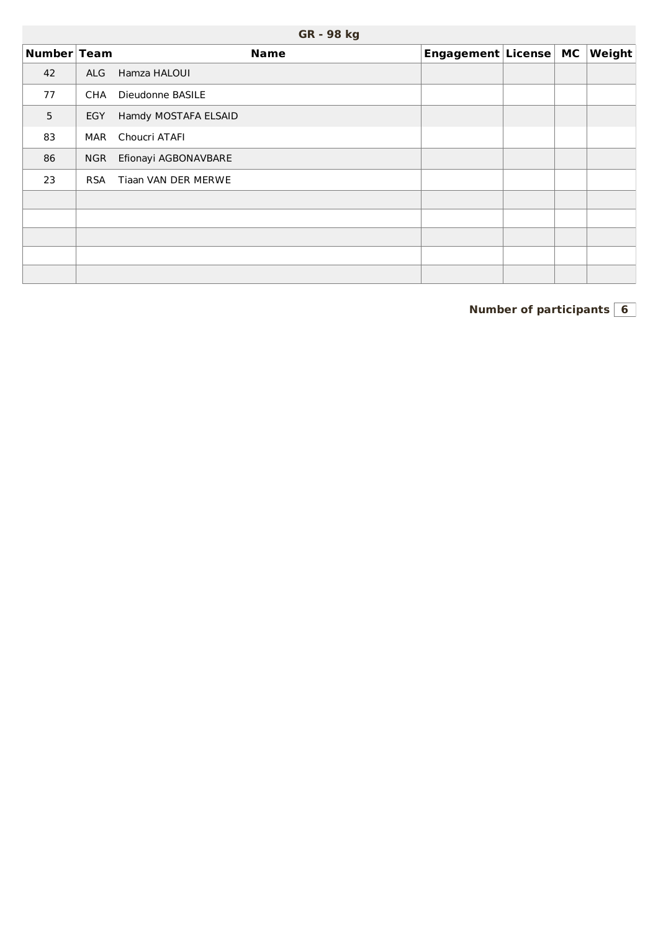|             | <b>GR - 98 kg</b> |                      |                       |  |  |        |  |  |  |  |  |  |  |
|-------------|-------------------|----------------------|-----------------------|--|--|--------|--|--|--|--|--|--|--|
| Number Team |                   | <b>Name</b>          | Engagement License MC |  |  | Weight |  |  |  |  |  |  |  |
| 42          | <b>ALG</b>        | Hamza HALOUI         |                       |  |  |        |  |  |  |  |  |  |  |
| 77          | CHA               | Dieudonne BASILE     |                       |  |  |        |  |  |  |  |  |  |  |
| 5           | EGY               | Hamdy MOSTAFA ELSAID |                       |  |  |        |  |  |  |  |  |  |  |
| 83          | MAR               | Choucri ATAFI        |                       |  |  |        |  |  |  |  |  |  |  |
| 86          | <b>NGR</b>        | Efionayi AGBONAVBARE |                       |  |  |        |  |  |  |  |  |  |  |
| 23          | <b>RSA</b>        | Tiaan VAN DER MERWE  |                       |  |  |        |  |  |  |  |  |  |  |
|             |                   |                      |                       |  |  |        |  |  |  |  |  |  |  |
|             |                   |                      |                       |  |  |        |  |  |  |  |  |  |  |
|             |                   |                      |                       |  |  |        |  |  |  |  |  |  |  |
|             |                   |                      |                       |  |  |        |  |  |  |  |  |  |  |
|             |                   |                      |                       |  |  |        |  |  |  |  |  |  |  |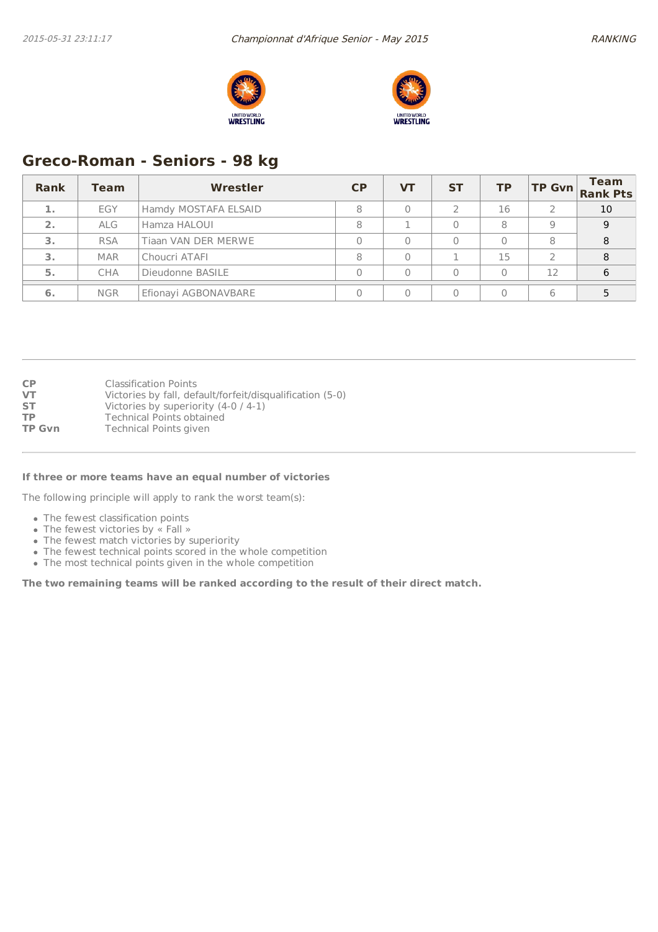



# **Greco-Roman - Seniors - 98 kg**

| Rank | Team       | Wrestler             | CP | <b>VT</b> | <b>ST</b> | <b>TP</b> |    | <b>Team</b><br>TP Gvn Rank Pts |
|------|------------|----------------------|----|-----------|-----------|-----------|----|--------------------------------|
| 1.   | EGY        | Hamdy MOSTAFA ELSAID | 8  |           |           | 16        |    | 10                             |
| 2.   | <b>ALG</b> | Hamza HALOUI         | 8  |           |           | 8         | 9  | <sup>Q</sup>                   |
| 3.   | <b>RSA</b> | Tiaan VAN DER MERWE  |    |           |           | 0         | 8  | 8                              |
| 3.   | <b>MAR</b> | Choucri ATAFI        |    |           |           | 15        |    | 8                              |
| 5.   | <b>CHA</b> | Dieudonne BASILE     |    |           |           |           | 12 | 6                              |
| 6.   | <b>NGR</b> | Efionayi AGBONAVBARE |    |           |           |           | 6  |                                |

| <b>CP</b>     | <b>Classification Points</b>                              |
|---------------|-----------------------------------------------------------|
| VT            | Victories by fall, default/forfeit/disqualification (5-0) |
| <b>ST</b>     | Victories by superiority $(4-0/4-1)$                      |
| <b>TP</b>     | <b>Technical Points obtained</b>                          |
| <b>TP Gvn</b> | <b>Technical Points given</b>                             |
|               |                                                           |

#### **If three or more teams have an equal number of victories**

The following principle will apply to rank the worst team(s):

- The fewest classification points
- The fewest victories by « Fall »
- The fewest match victories by superiority
- The fewest technical points scored in the whole competition
- The most technical points given in the whole competition

**The two remaining teams will be ranked according to the result of their direct match.**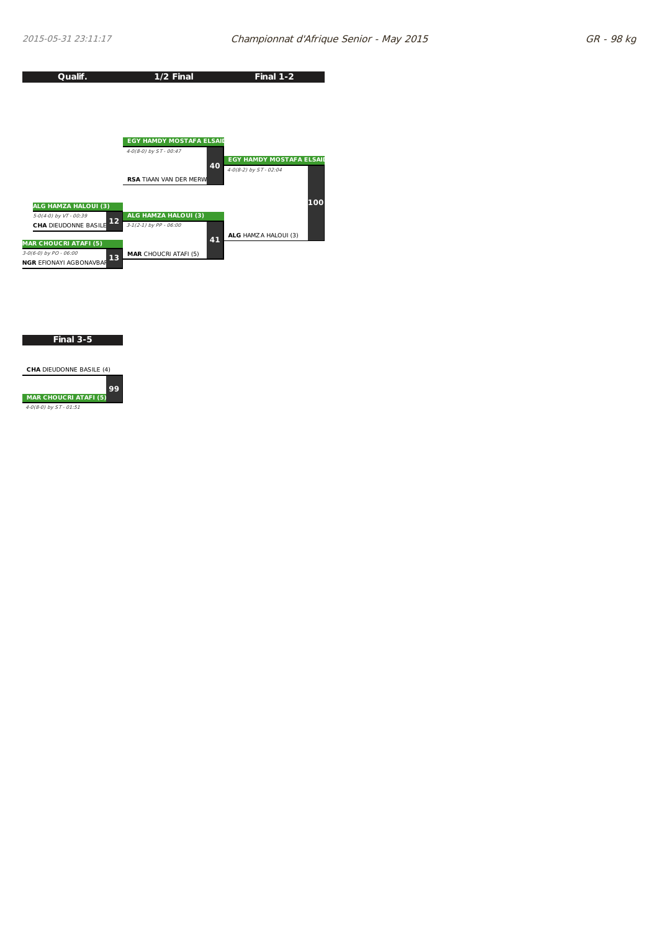

#### **Final 3-5**

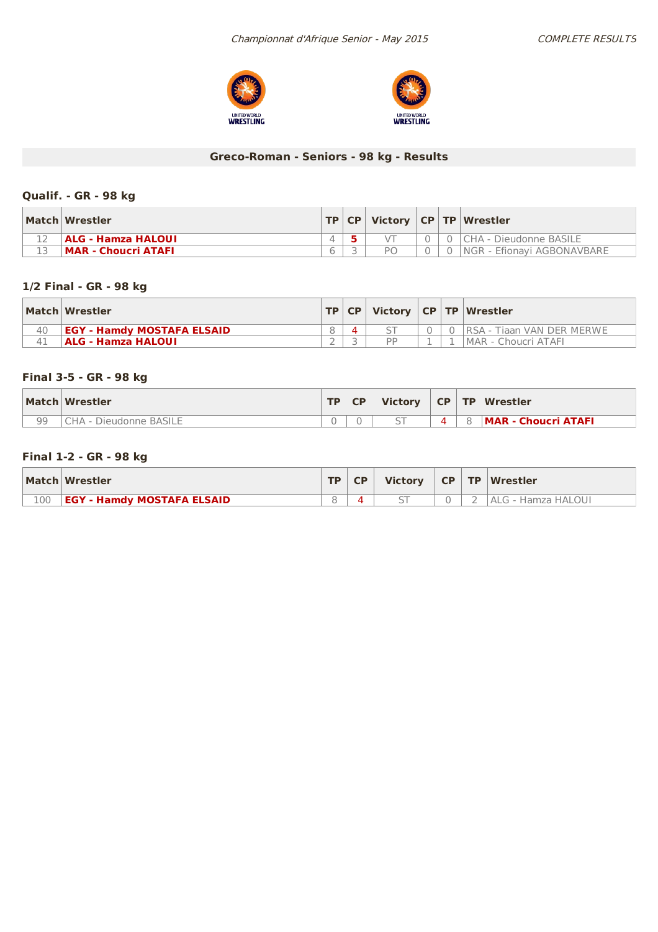



# **Greco-Roman - Seniors - 98 kg - Results**

## **Qualif. - GR - 98 kg**

| Match Wrestler            |  |  | TP   CP   Victory   CP   TP   Wrestler |
|---------------------------|--|--|----------------------------------------|
| <b>ALG - Hamza HALOUI</b> |  |  | 0 CHA - Dieudonne BASILE               |
| MAR - Choucri ATAFI       |  |  | <b>INGR - Efionavi AGBONAVBARE</b>     |

## **1/2 Final - GR - 98 kg**

|    | Match Wrestler                    |  |           |  | TP CP   Victory   CP   TP   Wrestler |
|----|-----------------------------------|--|-----------|--|--------------------------------------|
| 40 | <b>EGY - Hamdy MOSTAFA ELSAID</b> |  |           |  | 0   RSA - Tiaan VAN DER MERWE        |
|    | ALG - Hamza HALOUI                |  | <b>DD</b> |  | IMAR - Choucri ATAFI                 |

## **Final 3-5 - GR - 98 kg**

|    | Match Wrestler   | <b>TD</b> | <b>CP</b> | <b>Victory</b> |  | $CP$ TP Wrestler           |
|----|------------------|-----------|-----------|----------------|--|----------------------------|
| 99 | Dieudonne BASILE |           |           | --             |  | <b>MAR - Choucri ATAFI</b> |

## **Final 1-2 - GR - 98 kg**

|     | Match Wrestler                    | <b>TD</b> | <b>Victory</b> | $CP$ $TP$ | <b>Wrestler</b>    |
|-----|-----------------------------------|-----------|----------------|-----------|--------------------|
| 100 | <b>EGY - Hamdy MOSTAFA ELSAID</b> |           |                |           | ALG - Hamza HALOUI |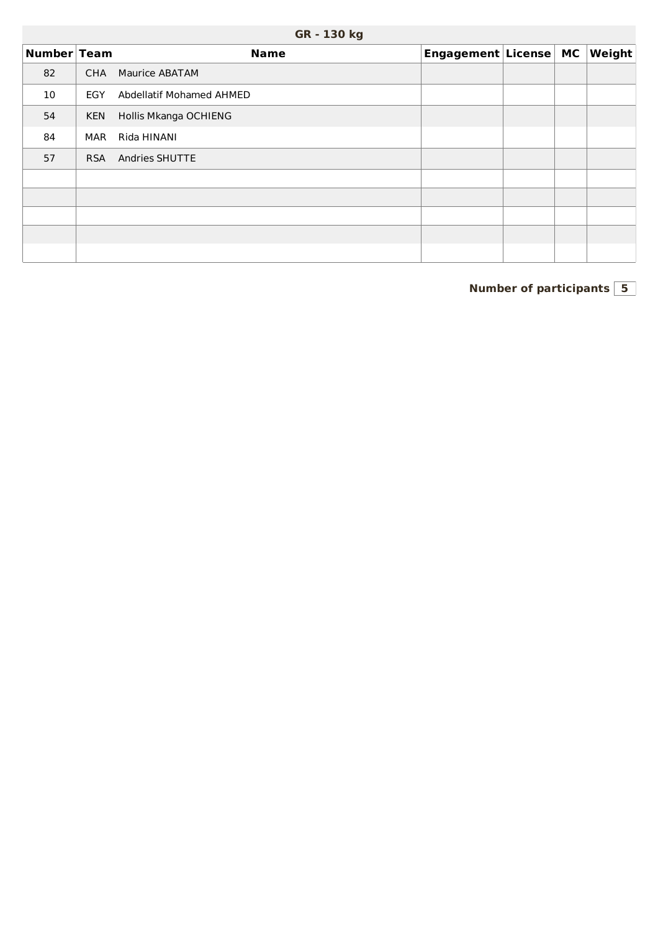| Number Team |            | <b>Name</b>                     | Engagement License MC |  | $\vert$ Weight $\vert$ |
|-------------|------------|---------------------------------|-----------------------|--|------------------------|
| 82          | <b>CHA</b> | Maurice ABATAM                  |                       |  |                        |
| 10          | EGY        | <b>Abdellatif Mohamed AHMED</b> |                       |  |                        |
| 54          | <b>KEN</b> | Hollis Mkanga OCHIENG           |                       |  |                        |
| 84          | <b>MAR</b> | Rida HINANI                     |                       |  |                        |
| 57          | <b>RSA</b> | Andries SHUTTE                  |                       |  |                        |
|             |            |                                 |                       |  |                        |
|             |            |                                 |                       |  |                        |
|             |            |                                 |                       |  |                        |
|             |            |                                 |                       |  |                        |
|             |            |                                 |                       |  |                        |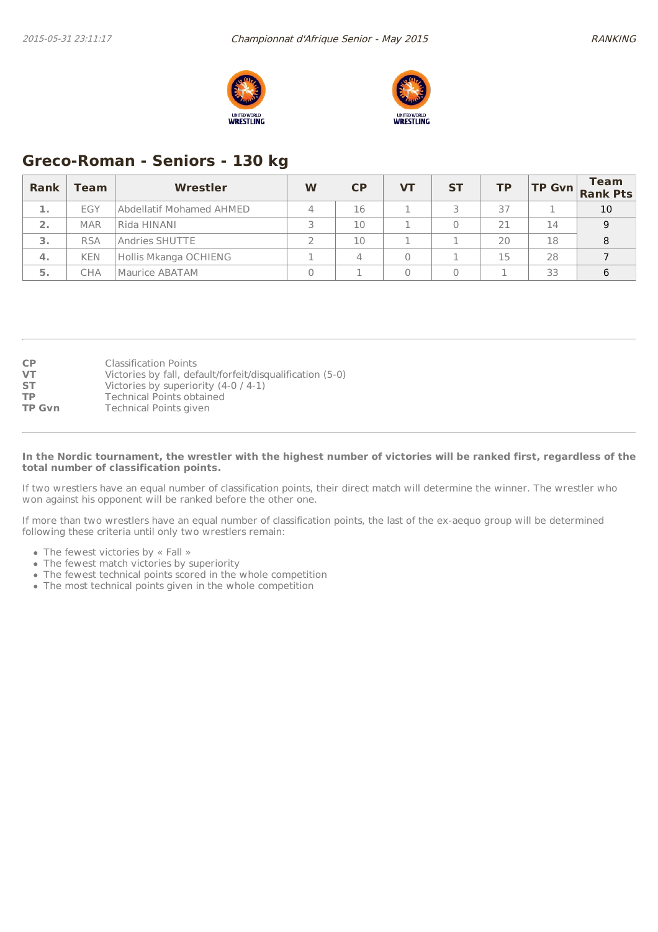



# **Greco-Roman - Seniors - 130 kg**

| <b>Rank</b>   | <b>Team</b> | Wrestler                 | W | CP | VТ | <b>ST</b> | TP |    | <b>Team</b><br>$\begin{vmatrix} \mathsf{TP} & \mathsf{Gvn} \\ \mathsf{Rank} & \mathsf{Pts} \end{vmatrix}$ |
|---------------|-------------|--------------------------|---|----|----|-----------|----|----|-----------------------------------------------------------------------------------------------------------|
| <b>July 1</b> | <b>EGY</b>  | Abdellatif Mohamed AHMED |   | 16 |    |           | 37 |    | 10                                                                                                        |
| 2.            | <b>MAR</b>  | Rida HINANI              |   | 10 |    |           | 21 | 14 | 9                                                                                                         |
| з.            | <b>RSA</b>  | Andries SHUTTE           |   | 10 |    |           | 20 | 18 |                                                                                                           |
| 4.            | <b>KEN</b>  | Hollis Mkanga OCHIENG    |   |    |    |           | 15 | 28 |                                                                                                           |
| 5.            | СНА         | Maurice ABATAM           |   |    |    |           |    | 33 | 6                                                                                                         |

| <b>CP</b>     | <b>Classification Points</b>                              |
|---------------|-----------------------------------------------------------|
| <b>VT</b>     | Victories by fall, default/forfeit/disqualification (5-0) |
| <b>ST</b>     | Victories by superiority $(4-0/4-1)$                      |
| <b>TP</b>     | <b>Technical Points obtained</b>                          |
| <b>TP Gvn</b> | <b>Technical Points given</b>                             |

#### In the Nordic tournament, the wrestler with the highest number of victories will be ranked first, regardless of the **total number of classification points.**

If two wrestlers have an equal number of classification points, their direct match will determine the winner. The wrestler who won against his opponent will be ranked before the other one.

If more than two wrestlers have an equal number of classification points, the last of the ex-aequo group will be determined following these criteria until only two wrestlers remain:

- The fewest victories by « Fall »
- The fewest match victories by superiority
- The fewest technical points scored in the whole competition
- The most technical points given in the whole competition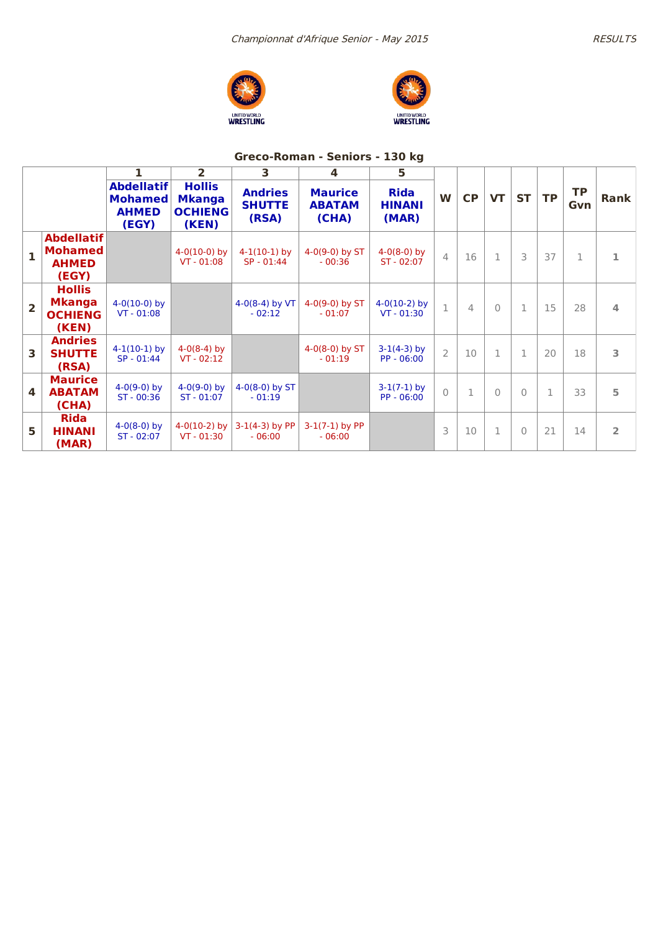



# **Greco-Roman - Seniors - 130 kg**

|                         |                                                              |                                                              | $\overline{2}$                                            | 3                                        | $\overline{\mathbf{4}}$                  | 5                                     |                |                |              |           |              |                  |                |
|-------------------------|--------------------------------------------------------------|--------------------------------------------------------------|-----------------------------------------------------------|------------------------------------------|------------------------------------------|---------------------------------------|----------------|----------------|--------------|-----------|--------------|------------------|----------------|
|                         |                                                              | <b>Abdellatif</b><br><b>Mohamed</b><br><b>AHMED</b><br>(EGY) | <b>Hollis</b><br><b>Mkanga</b><br><b>OCHIENG</b><br>(KEN) | <b>Andries</b><br><b>SHUTTE</b><br>(RSA) | <b>Maurice</b><br><b>ABATAM</b><br>(CHA) | <b>Rida</b><br><b>HINANI</b><br>(MAR) | W              | CP             | <b>VT</b>    | <b>ST</b> | <b>TP</b>    | <b>TP</b><br>Gvn | Rank           |
| $\mathbf{1}$            | <b>Abdellatif</b><br><b>Mohamed</b><br><b>AHMED</b><br>(EGY) |                                                              | $4-0(10-0)$ by<br>$VT - 01:08$                            | $4-1(10-1)$ by<br>$SP - 01:44$           | $4-0(9-0)$ by ST<br>$-00:36$             | $4-0(8-0)$ by<br>$ST - 02:07$         | $\overline{4}$ | 16             | $\mathbf{1}$ | 3         | 37           | $\mathbf{1}$     | 1              |
| $\overline{2}$          | <b>Hollis</b><br><b>Mkanga</b><br><b>OCHIENG</b><br>(KEN)    | $4-0(10-0)$ by<br>$VT - 01:08$                               |                                                           | $4-0(8-4)$ by VT<br>$-02:12$             | $4-0(9-0)$ by ST<br>$-01:07$             | $4-0(10-2)$ by<br>$VT - 01:30$        | $\mathbf{1}$   | $\overline{4}$ | $\Omega$     |           | 15           | 28               | 4              |
| 3                       | <b>Andries</b><br><b>SHUTTE</b><br>(RSA)                     | $4-1(10-1)$ by<br>$SP - 01:44$                               | $4-0(8-4)$ by<br>$VT - 02:12$                             |                                          | $4-0(8-0)$ by ST<br>$-01:19$             | $3-1(4-3)$ by<br>$PP - 06:00$         | $\overline{2}$ | 10             |              | 1         | 20           | 18               | 3              |
| $\overline{\mathbf{4}}$ | <b>Maurice</b><br><b>ABATAM</b><br>(CHA)                     | $4-0(9-0)$ by<br>ST - 00:36                                  | $4-0(9-0)$ by<br>$ST - 01:07$                             | $4-0(8-0)$ by ST<br>$-01:19$             |                                          | $3-1(7-1)$ by<br>PP - 06:00           | $\bigcap$      | $\mathbf{1}$   | $\bigcap$    | $\Omega$  | $\mathbf{1}$ | 33               | 5              |
| 5                       | <b>Rida</b><br><b>HINANI</b><br>(MAR)                        | $4-0(8-0)$ by<br>ST - 02:07                                  | $4-0(10-2)$ by<br>$VT - 01:30$                            | $3-1(4-3)$ by PP<br>$-06:00$             | $3-1(7-1)$ by PP<br>$-06:00$             |                                       | 3              | 10             | 1            | $\Omega$  | 21           | 14               | $\overline{2}$ |